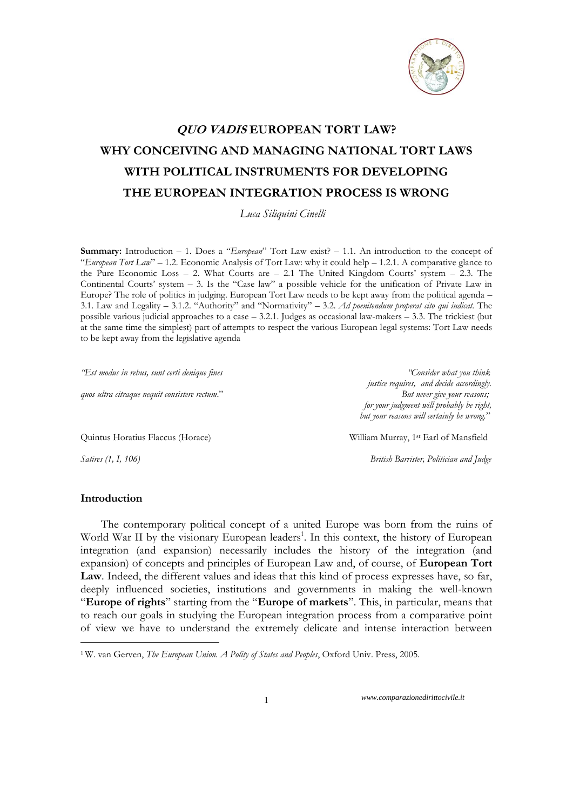

## **QUO VADIS EUROPEAN TORT LAW? WHY CONCEIVING AND MANAGING NATIONAL TORT LAWS WITH POLITICAL INSTRUMENTS FOR DEVELOPING THE EUROPEAN INTEGRATION PROCESS IS WRONG**

 *Luca Siliquini Cinelli*

**Summary:** Introduction – 1. Does a "*European*" Tort Law exist? – 1.1. An introduction to the concept of "*European Tort Law*" – 1.2. Economic Analysis of Tort Law: why it could help – 1.2.1. A comparative glance to the Pure Economic Loss – 2. What Courts are – 2.1 The United Kingdom Courts' system – 2.3. The Continental Courts' system – 3. Is the "Case law" a possible vehicle for the unification of Private Law in Europe? The role of politics in judging. European Tort Law needs to be kept away from the political agenda – 3.1. Law and Legality – 3.1.2. "Authority" and "Normativity" – 3.2. *Ad poenitendum properat cito qui iudicat.* The possible various judicial approaches to a case – 3.2.1. Judges as occasional law-makers – 3.3. The trickiest (but at the same time the simplest) part of attempts to respect the various European legal systems: Tort Law needs to be kept away from the legislative agenda

*"Est modus in rebus, sunt certi denique fines "Consider what you think*

*quos ultra citraque nequit consistere rectum*." *But never give your reasons;*

Quintus Horatius Flaccus (Horace) William Murray, 1st Earl of Mansfield

 *justice requires, and decide accordingly. for your judgment will probably be right, but your reasons will certainly be wrong.*"

*Satires (1, I, 106) British Barrister, Politician and Judge*

## **Introduction**

<u>.</u>

The contemporary political concept of a united Europe was born from the ruins of World War II by the visionary European leaders<sup>1</sup>. In this context, the history of European integration (and expansion) necessarily includes the history of the integration (and expansion) of concepts and principles of European Law and, of course, of **European Tort Law**. Indeed, the different values and ideas that this kind of process expresses have, so far, deeply influenced societies, institutions and governments in making the well-known "**Europe of rights**" starting from the "**Europe of markets**". This, in particular, means that to reach our goals in studying the European integration process from a comparative point of view we have to understand the extremely delicate and intense interaction between

<sup>1</sup> W. van Gerven, *The European Union. A Polity of States and Peoples*, Oxford Univ. Press, 2005.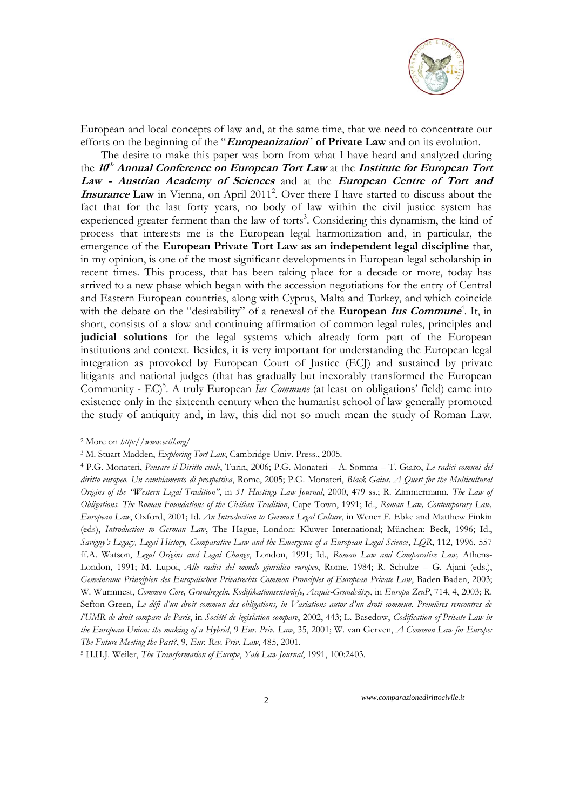

European and local concepts of law and, at the same time, that we need to concentrate our efforts on the beginning of the "**Europeanization**" **of Private Law** and on its evolution.

The desire to make this paper was born from what I have heard and analyzed during the **<sup>10</sup> th Annual Conference on European Tort Law** at the **Institute for European Tort Law - Austrian Academy of Sciences** and at the **European Centre of Tort and Insurance Law** in Vienna, on April 2011<sup>2</sup>. Over there I have started to discuss about the fact that for the last forty years, no body of law within the civil justice system has experienced greater ferment than the law of torts<sup>3</sup>. Considering this dynamism, the kind of process that interests me is the European legal harmonization and, in particular, the emergence of the **European Private Tort Law as an independent legal discipline** that, in my opinion, is one of the most significant developments in European legal scholarship in recent times. This process, that has been taking place for a decade or more, today has arrived to a new phase which began with the accession negotiations for the entry of Central and Eastern European countries, along with Cyprus, Malta and Turkey, and which coincide with the debate on the "desirability" of a renewal of the **European Ius Commune**<sup>4</sup>. It, in short, consists of a slow and continuing affirmation of common legal rules, principles and **judicial solutions** for the legal systems which already form part of the European institutions and context. Besides, it is very important for understanding the European legal integration as provoked by European Court of Justice (ECJ) and sustained by private litigants and national judges (that has gradually but inexorably transformed the European Community - EC)<sup>5</sup>. A truly European *Ius Commune* (at least on obligations' field) came into existence only in the sixteenth century when the humanist school of law generally promoted the study of antiquity and, in law, this did not so much mean the study of Roman Law.

<u>.</u>

<sup>2</sup> More on *http://www.ectil.org/*

<sup>3</sup> M. Stuart Madden, *Exploring Tort Law*, Cambridge Univ. Press., 2005.

<sup>4</sup> P.G. Monateri, *Pensare il Diritto civile*, Turin, 2006; P.G. Monateri – A. Somma – T. Giaro, *Le radici comuni del diritto europeo*. *Un cambiamento di prospettiva*, Rome, 2005; P.G. Monateri, *Black Gaius. A Quest for the Multicultural Origins of the "Western Legal Tradition"*, in *51 Hastings Law Journal*, 2000, 479 ss.; R. Zimmermann, *The Law of Obligations. The Roman Foundations of the Civilian Tradition*, Cape Town, 1991; Id., *Roman Law, Contemporary Law, European Law*, Oxford, 2001; Id. *An Introduction to German Legal Culture*, in Wener F. Ebke and Matthew Finkin (eds), *Introduction to German Law*, The Hague, London: Kluwer International; München: Beck, 1996; Id., *Savigny"s Legacy, Legal History, Comparative Law and the Emergence of a European Legal Science*, *LQR*, 112, 1996, 557 ff.A. Watson, *Legal Origins and Legal Change*, London, 1991; Id., *Roman Law and Comparative Law,* Athens-London, 1991; M. Lupoi, *Alle radici del mondo giuridico europeo*, Rome, 1984; R. Schulze – G. Ajani (eds.), *Gemeinsame Prinzipien des Europäischen Privatrechts Common Pronciples of European Private Law*, Baden-Baden, 2003; W. Wurmnest, *Common Core, Grundregeln. Kodifikationsentwürfe, Acquis-Grundsätze*, in *Europa ZeuP*, 714, 4, 2003; R. Sefton-Green, *Le défi d"un droit commun des obligations, in Variations autor d"un droti commun. Premières rencontres de l"UMR de droit compare de Paris*, in *Société de legislation compare*, 2002, 443; L. Basedow, *Codification of Private Law in the European Union: the making of a Hybrid*, 9 *Eur. Priv. Law*, 35, 2001; W. van Gerven, *A Common Law for Europe: The Future Meeting the Past?*, 9, *Eur. Rev. Priv. Law*, 485, 2001.

<sup>5</sup> H.H.J. Weiler, *The Transformation of Europe*, *Yale Law Journal*, 1991, 100:2403.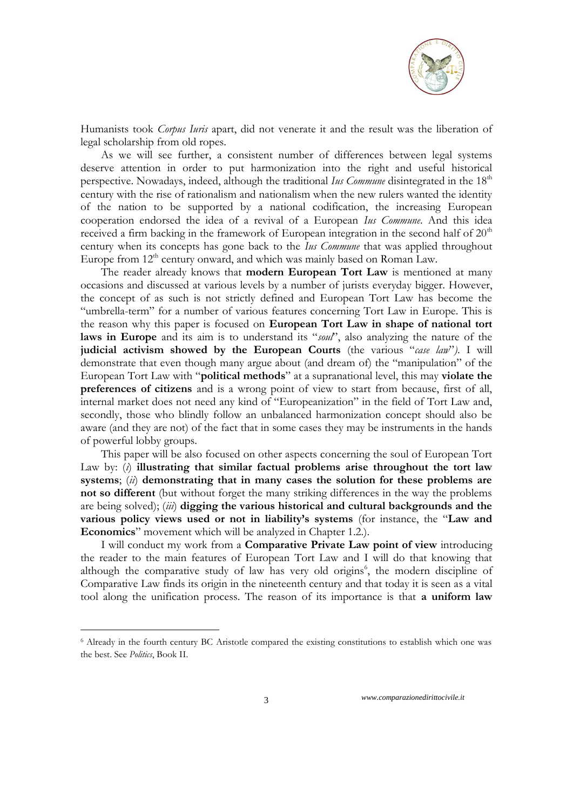

Humanists took *Corpus Iuris* apart, did not venerate it and the result was the liberation of legal scholarship from old ropes.

As we will see further, a consistent number of differences between legal systems deserve attention in order to put harmonization into the right and useful historical perspective. Nowadays, indeed, although the traditional *Ius Commune* disintegrated in the 18<sup>th</sup> century with the rise of rationalism and nationalism when the new rulers wanted the identity of the nation to be supported by a national codification, the increasing European cooperation endorsed the idea of a revival of a European *Ius Commune*. And this idea received a firm backing in the framework of European integration in the second half of  $20<sup>th</sup>$ century when its concepts has gone back to the *Ius Commune* that was applied throughout Europe from  $12<sup>th</sup>$  century onward, and which was mainly based on Roman Law.

The reader already knows that **modern European Tort Law** is mentioned at many occasions and discussed at various levels by a number of jurists everyday bigger. However, the concept of as such is not strictly defined and European Tort Law has become the "umbrella-term" for a number of various features concerning Tort Law in Europe. This is the reason why this paper is focused on **European Tort Law in shape of national tort laws in Europe** and its aim is to understand its "*soul*", also analyzing the nature of the **judicial activism showed by the European Courts** (the various "*case law*"*)*. I will demonstrate that even though many argue about (and dream of) the "manipulation" of the European Tort Law with "**political methods**" at a supranational level, this may **violate the preferences of citizens** and is a wrong point of view to start from because, first of all, internal market does not need any kind of "Europeanization" in the field of Tort Law and, secondly, those who blindly follow an unbalanced harmonization concept should also be aware (and they are not) of the fact that in some cases they may be instruments in the hands of powerful lobby groups.

This paper will be also focused on other aspects concerning the soul of European Tort Law by: (*i*) **illustrating that similar factual problems arise throughout the tort law systems**; (*ii*) **demonstrating that in many cases the solution for these problems are not so different** (but without forget the many striking differences in the way the problems are being solved); (*iii*) **digging the various historical and cultural backgrounds and the various policy views used or not in liability's systems** (for instance, the "**Law and Economics**" movement which will be analyzed in Chapter 1.2.).

I will conduct my work from a **Comparative Private Law point of view** introducing the reader to the main features of European Tort Law and I will do that knowing that although the comparative study of law has very old origins<sup>6</sup>, the modern discipline of Comparative Law finds its origin in the nineteenth century and that today it is seen as a vital tool along the unification process. The reason of its importance is that **a uniform law** 

1

<sup>6</sup> Already in the fourth century BC Aristotle compared the existing constitutions to establish which one was the best. See *Politics*, Book II.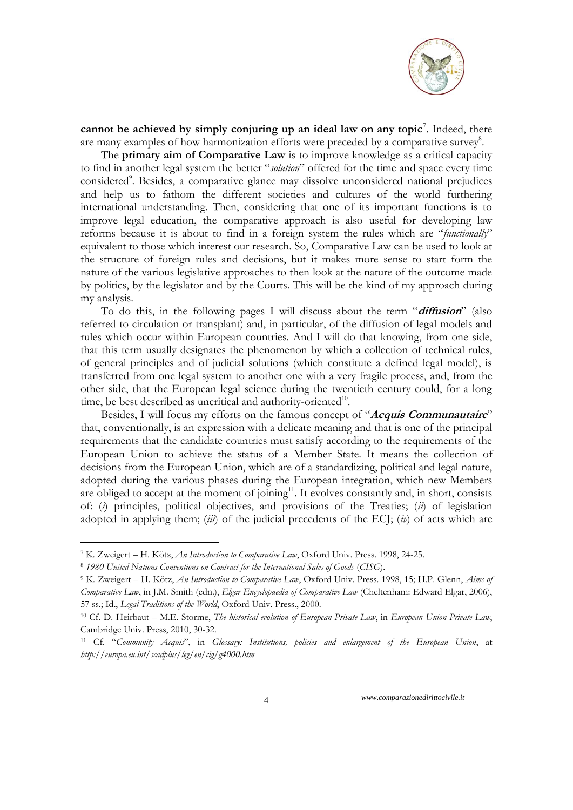

cannot be achieved by simply conjuring up an ideal law on any topic<sup>7</sup>. Indeed, there are many examples of how harmonization efforts were preceded by a comparative survey<sup>8</sup>.

The **primary aim of Comparative Law** is to improve knowledge as a critical capacity to find in another legal system the better "*solution*" offered for the time and space every time considered<sup>9</sup>. Besides, a comparative glance may dissolve unconsidered national prejudices and help us to fathom the different societies and cultures of the world furthering international understanding. Then, considering that one of its important functions is to improve legal education, the comparative approach is also useful for developing law reforms because it is about to find in a foreign system the rules which are "*functionally*" equivalent to those which interest our research. So, Comparative Law can be used to look at the structure of foreign rules and decisions, but it makes more sense to start form the nature of the various legislative approaches to then look at the nature of the outcome made by politics, by the legislator and by the Courts. This will be the kind of my approach during my analysis.

To do this, in the following pages I will discuss about the term "**diffusion**" (also referred to circulation or transplant) and, in particular, of the diffusion of legal models and rules which occur within European countries. And I will do that knowing, from one side, that this term usually designates the phenomenon by which a collection of technical rules, of general principles and of judicial solutions (which constitute a defined legal model), is transferred from one legal system to another one with a very fragile process, and, from the other side, that the European legal science during the twentieth century could, for a long time, be best described as uncritical and authority-oriented<sup>10</sup>.

Besides, I will focus my efforts on the famous concept of "**Acquis Communautaire**" that, conventionally, is an expression with a delicate meaning and that is one of the principal requirements that the candidate countries must satisfy according to the requirements of the European Union to achieve the status of a Member State. It means the collection of decisions from the European Union, which are of a standardizing, political and legal nature, adopted during the various phases during the European integration, which new Members are obliged to accept at the moment of joining $11$ . It evolves constantly and, in short, consists of: (*i*) principles, political objectives, and provisions of the Treaties; (*ii*) of legislation adopted in applying them; (*iii*) of the judicial precedents of the ECJ; (*iv*) of acts which are

<u>.</u>

<sup>7</sup> K. Zweigert – H. Kötz, *An Introduction to Comparative Law*, Oxford Univ. Press. 1998, 24-25.

<sup>8</sup> *1980 United Nations Conventions on Contract for the International Sales of Goods* (*CISG*).

<sup>9</sup> K. Zweigert – H. Kötz, *An Introduction to Comparative Law*, Oxford Univ. Press. 1998, 15; H.P. Glenn, *Aims of Comparative Law*, in J.M. Smith (edn.), *Elgar Encyclopaedia of Comparative Law* (Cheltenham: Edward Elgar, 2006), 57 ss.; Id., *Legal Traditions of the World*, Oxford Univ. Press., 2000.

<sup>10</sup> Cf. D. Heirbaut – M.E. Storme, *The historical evolution of European Private Law*, in *European Union Private Law*, Cambridge Univ. Press, 2010, 30-32.

<sup>11</sup> Cf. "*Community Acquis*", in *Glossary: Institutions, policies and enlargement of the European Union*, at *http://europa.eu.int/scadplus/leg/en/cig/g4000.htm*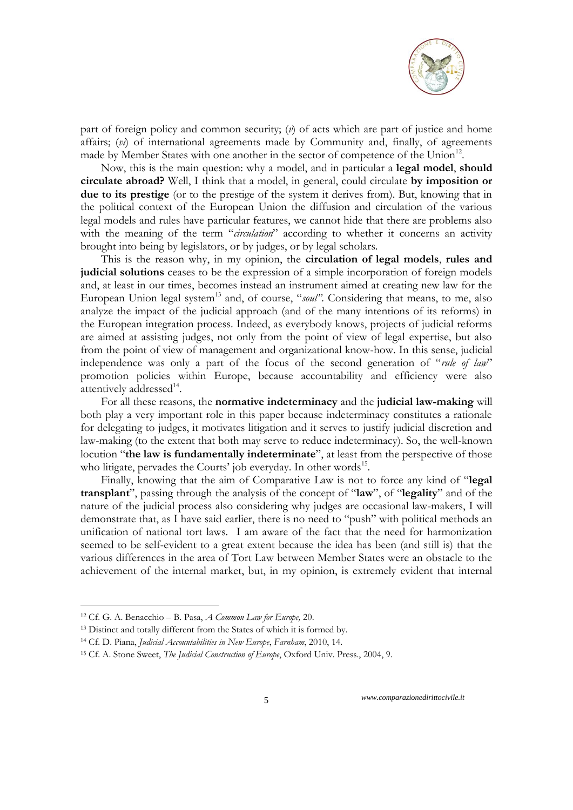

part of foreign policy and common security; (*v*) of acts which are part of justice and home affairs; (*vi*) of international agreements made by Community and, finally, of agreements made by Member States with one another in the sector of competence of the Union<sup>12</sup>.

Now, this is the main question: why a model, and in particular a **legal model**, **should circulate abroad?** Well, I think that a model, in general, could circulate **by imposition or due to its prestige** (or to the prestige of the system it derives from). But, knowing that in the political context of the European Union the diffusion and circulation of the various legal models and rules have particular features, we cannot hide that there are problems also with the meaning of the term "*circulation*" according to whether it concerns an activity brought into being by legislators, or by judges, or by legal scholars.

This is the reason why, in my opinion, the **circulation of legal models**, **rules and judicial solutions** ceases to be the expression of a simple incorporation of foreign models and, at least in our times, becomes instead an instrument aimed at creating new law for the European Union legal system<sup>13</sup> and, of course, "soul". Considering that means, to me, also analyze the impact of the judicial approach (and of the many intentions of its reforms) in the European integration process. Indeed, as everybody knows, projects of judicial reforms are aimed at assisting judges, not only from the point of view of legal expertise, but also from the point of view of management and organizational know-how. In this sense, judicial independence was only a part of the focus of the second generation of "*rule of law*" promotion policies within Europe, because accountability and efficiency were also attentively addressed<sup>14</sup>.

For all these reasons, the **normative indeterminacy** and the **judicial law-making** will both play a very important role in this paper because indeterminacy constitutes a rationale for delegating to judges, it motivates litigation and it serves to justify judicial discretion and law-making (to the extent that both may serve to reduce indeterminacy). So, the well-known locution "**the law is fundamentally indeterminate**", at least from the perspective of those who litigate, pervades the Courts' job everyday. In other words<sup>15</sup>.

Finally, knowing that the aim of Comparative Law is not to force any kind of "**legal transplant**", passing through the analysis of the concept of "**law**", of "**legality**" and of the nature of the judicial process also considering why judges are occasional law-makers, I will demonstrate that, as I have said earlier, there is no need to "push" with political methods an unification of national tort laws. I am aware of the fact that the need for harmonization seemed to be self-evident to a great extent because the idea has been (and still is) that the various differences in the area of Tort Law between Member States were an obstacle to the achievement of the internal market, but, in my opinion, is extremely evident that internal

<u>.</u>

<sup>12</sup> Cf. G. A. Benacchio – B. Pasa, *A Common Law for Europe,* 20.

<sup>&</sup>lt;sup>13</sup> Distinct and totally different from the States of which it is formed by.

<sup>14</sup> Cf. D. Piana, *Judicial Accountabilities in New Europe*, *Farnham*, 2010, 14.

<sup>15</sup> Cf. A. Stone Sweet, *The Judicial Construction of Europe*, Oxford Univ. Press., 2004, 9.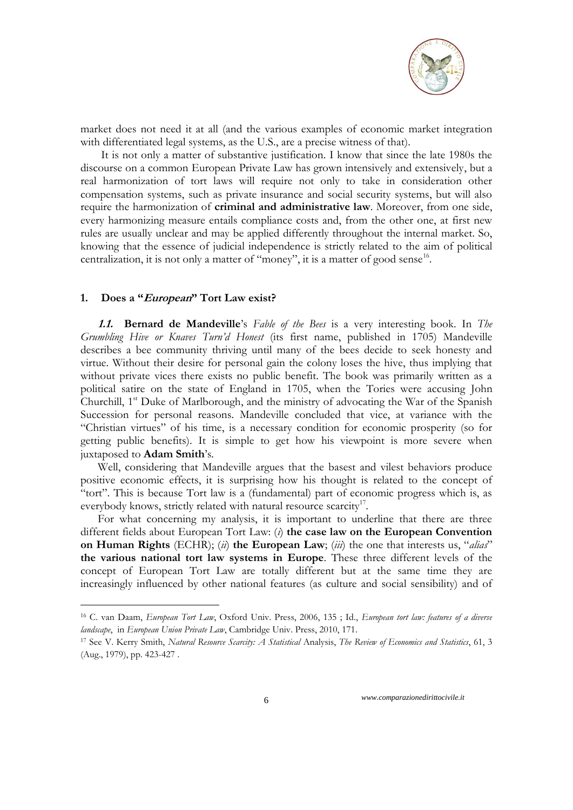

market does not need it at all (and the various examples of economic market integration with differentiated legal systems, as the U.S., are a precise witness of that).

It is not only a matter of substantive justification. I know that since the late 1980s the discourse on a common European Private Law has grown intensively and extensively, but a real harmonization of tort laws will require not only to take in consideration other compensation systems, such as private insurance and social security systems, but will also require the harmonization of **criminal and administrative law**. Moreover, from one side, every harmonizing measure entails compliance costs and, from the other one, at first new rules are usually unclear and may be applied differently throughout the internal market. So, knowing that the essence of judicial independence is strictly related to the aim of political centralization, it is not only a matter of "money", it is a matter of good sense<sup>16</sup>.

## **1. Does a "European" Tort Law exist?**

<u>.</u>

**1.1. Bernard de Mandeville**'s *Fable of the Bees* is a very interesting book. In *The Grumbling Hive or Knaves Turn"d Honest* (its first name, published in 1705) Mandeville describes a bee community thriving until many of the bees decide to seek honesty and virtue. Without their desire for personal gain the colony loses the hive, thus implying that without private vices there exists no public benefit. The book was primarily written as a political [satire](http://en.wikipedia.org/wiki/Satire) on the state of England in 1705, when the [Tories](http://en.wikipedia.org/wiki/Tory) were accusing [John](http://en.wikipedia.org/wiki/John_Churchill,_1st_Duke_of_Marlborough)  Churchill, 1<sup>st</sup> [Duke of Marlborough,](http://en.wikipedia.org/wiki/John_Churchill,_1st_Duke_of_Marlborough) and the ministry of advocating the War of the Spanish [Succession](http://en.wikipedia.org/wiki/War_of_the_Spanish_Succession) for personal reasons. Mandeville concluded that vice, at variance with the "Christian virtues" of his time, is a necessary condition for economic prosperity (so for getting public benefits). It is simple to get how his viewpoint is more severe when juxtaposed to **[Adam Smith](http://en.wikipedia.org/wiki/Adam_Smith)**'s.

Well, considering that Mandeville argues that the basest and vilest behaviors produce positive economic effects, it is surprising how his thought is related to the concept of "tort". This is because Tort law is a (fundamental) part of economic progress which is, as everybody knows, strictly related with natural resource scarcity<sup>17</sup>.

For what concerning my analysis, it is important to underline that there are three different fields about European Tort Law: (*i*) **the case law on the European Convention on Human Rights** (ECHR); (*ii*) **the European Law**; (*iii*) the one that interests us, "*alias*" **the various national tort law systems in Europe**. These three different levels of the concept of European Tort Law are totally different but at the same time they are increasingly influenced by other national features (as culture and social sensibility) and of

<sup>16</sup> C. van Daam, *European Tort Law*, Oxford Univ. Press, 2006, 135 ; Id., *European tort law: features of a diverse landscape*, in *European Union Private Law*, Cambridge Univ. Press, 2010, 171.

<sup>17</sup> See V. Kerry Smith, *Natural Resource Scarcity: A Statistical* Analysis, *The Review of Economics and Statistics*, 61, 3 (Aug., 1979), pp. 423-427 .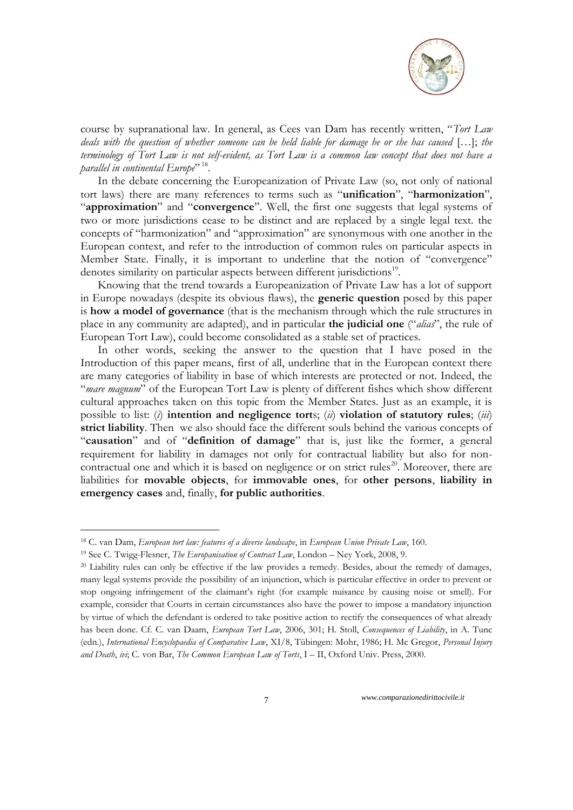

course by supranational law. In general, as Cees van Dam has recently written, "*Tort Law deals with the question of whether someone can be held liable for damage he or she has caused* […]; *the terminology of Tort Law is not self-evident, as Tort Law is a common law concept that does not have a parallel in continental Europe*" 18 .

In the debate concerning the Europeanization of Private Law (so, not only of national tort laws) there are many references to terms such as "**unification**", "**harmonization**", "**approximation**" and "**convergence**". Well, the first one suggests that legal systems of two or more jurisdictions cease to be distinct and are replaced by a single legal text. the concepts of "harmonization" and "approximation" are synonymous with one another in the European context, and refer to the introduction of common rules on particular aspects in Member State. Finally, it is important to underline that the notion of "convergence" denotes similarity on particular aspects between different jurisdictions<sup>19</sup>.

Knowing that the trend towards a Europeanization of Private Law has a lot of support in Europe nowadays (despite its obvious flaws), the **generic question** posed by this paper is **how a model of governance** (that is the mechanism through which the rule structures in place in any community are adapted), and in particular **the judicial one** ("*alias*", the rule of European Tort Law), could become consolidated as a stable set of practices.

In other words, seeking the answer to the question that I have posed in the Introduction of this paper means, first of all, underline that in the European context there are many categories of liability in base of which interests are protected or not. Indeed, the "*mare magnum*" of the European Tort Law is plenty of different fishes which show different cultural approaches taken on this topic from the Member States. Just as an example, it is possible to list: (*i*) **intention and negligence tort**s; (*ii*) **violation of statutory rules**; (*iii*) **strict liability**. Then we also should face the different souls behind the various concepts of "**causation**" and of "**definition of damage**" that is, just like the former, a general requirement for liability in damages not only for contractual liability but also for noncontractual one and which it is based on negligence or on strict rules<sup>20</sup>. Moreover, there are liabilities for **movable objects**, for **immovable ones**, for **other persons**, **liability in emergency cases** and, finally, **for public authorities**.

<u>.</u>

<sup>18</sup> C. van Dam, *European tort law: features of a diverse landscape*, in *European Union Private Law*, 160.

<sup>19</sup> See C. Twigg-Flesner, *The Europanisation of Contract Law*, London – Ney York, 2008, 9.

<sup>&</sup>lt;sup>20</sup> Liability rules can only be effective if the law provides a remedy. Besides, about the remedy of damages, many legal systems provide the possibility of an injunction, which is particular effective in order to prevent or stop ongoing infringement of the claimant's right (for example nuisance by causing noise or smell). For example, consider that Courts in certain circumstances also have the power to impose a mandatory injunction by virtue of which the defendant is ordered to take positive action to rectify the consequences of what already has been done. Cf. C. van Daam, *European Tort Law*, 2006, 301; H. Stoll, *Consequences of Liability*, in A. Tunc (edn.), *International Encyclopaedia of Comparative Law*, XI/8, Tübingen: Mohr, 1986; H. Mc Gregor, *Personal Injury and Death*, *ivi*; C. von Bar, *The Common European Law of Torts*, I – II, Oxford Univ. Press, 2000.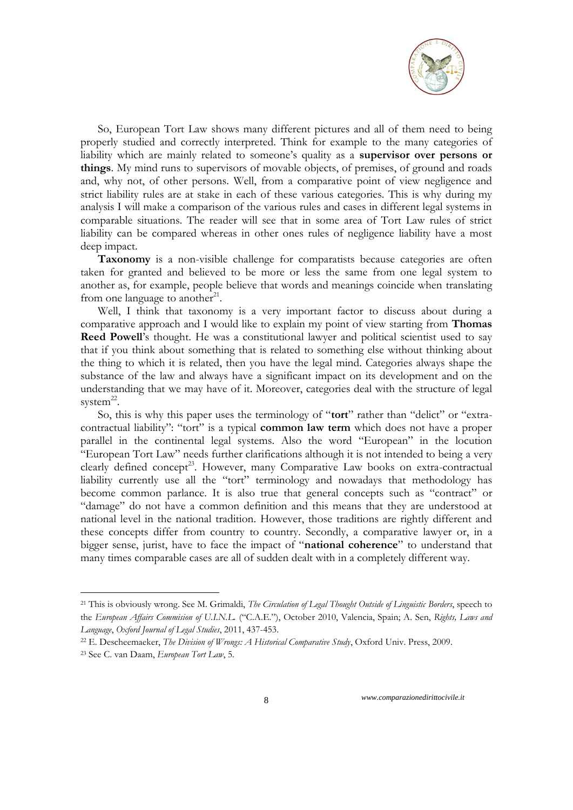

So, European Tort Law shows many different pictures and all of them need to being properly studied and correctly interpreted. Think for example to the many categories of liability which are mainly related to someone's quality as a **supervisor over persons or things**. My mind runs to supervisors of movable objects, of premises, of ground and roads and, why not, of other persons. Well, from a comparative point of view negligence and strict liability rules are at stake in each of these various categories. This is why during my analysis I will make a comparison of the various rules and cases in different legal systems in comparable situations. The reader will see that in some area of Tort Law rules of strict liability can be compared whereas in other ones rules of negligence liability have a most deep impact.

**Taxonomy** is a non-visible challenge for comparatists because categories are often taken for granted and believed to be more or less the same from one legal system to another as, for example, people believe that words and meanings coincide when translating from one language to another $2<sup>1</sup>$ .

Well, I think that taxonomy is a very important factor to discuss about during a comparative approach and I would like to explain my point of view starting from **Thomas Reed Powell**'s thought. He was a constitutional lawyer and political scientist used to say that if you think about something that is related to something else without thinking about the thing to which it is related, then you have the legal mind. Categories always shape the substance of the law and always have a significant impact on its development and on the understanding that we may have of it. Moreover, categories deal with the structure of legal  $system<sup>22</sup>$ .

So, this is why this paper uses the terminology of "**tort**" rather than "delict" or "extracontractual liability": "tort" is a typical **common law term** which does not have a proper parallel in the continental legal systems. Also the word "European" in the locution "European Tort Law" needs further clarifications although it is not intended to being a very clearly defined concept<sup>23</sup>. However, many Comparative Law books on extra-contractual liability currently use all the "tort" terminology and nowadays that methodology has become common parlance. It is also true that general concepts such as "contract" or "damage" do not have a common definition and this means that they are understood at national level in the national tradition. However, those traditions are rightly different and these concepts differ from country to country. Secondly, a comparative lawyer or, in a bigger sense, jurist, have to face the impact of "**national coherence**" to understand that many times comparable cases are all of sudden dealt with in a completely different way.

1

<sup>21</sup> This is obviously wrong. See M. Grimaldi, *The Circulation of Legal Thought Outside of Linguistic Borders*, speech to the *European Affairs Commision of U.I.N.L.* ("C.A.E."), October 2010, Valencia, Spain; A. Sen, *Rights, Laws and Language*, *Oxford Journal of Legal Studies*, 2011, 437-453.

<sup>22</sup> E. Descheemaeker, *The Division of Wrongs: A Historical Comparative Study*, Oxford Univ. Press, 2009.

<sup>23</sup> See C. van Daam, *European Tort Law*, 5.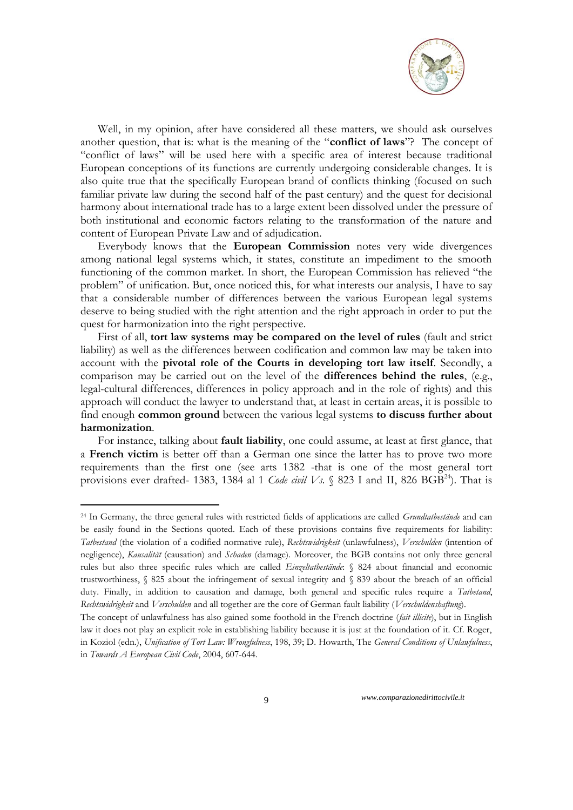

Well, in my opinion, after have considered all these matters, we should ask ourselves another question, that is: what is the meaning of the "**conflict of laws**"? The concept of "conflict of laws" will be used here with a specific area of interest because traditional European conceptions of its functions are currently undergoing considerable changes. It is also quite true that the specifically European brand of conflicts thinking (focused on such familiar private law during the second half of the past century) and the quest for decisional harmony about international trade has to a large extent been dissolved under the pressure of both institutional and economic factors relating to the transformation of the nature and content of European Private Law and of adjudication.

Everybody knows that the **European Commission** notes very wide divergences among national legal systems which, it states, constitute an impediment to the smooth functioning of the common market. In short, the European Commission has relieved "the problem" of unification. But, once noticed this, for what interests our analysis, I have to say that a considerable number of differences between the various European legal systems deserve to being studied with the right attention and the right approach in order to put the quest for harmonization into the right perspective.

First of all, **tort law systems may be compared on the level of rules** (fault and strict liability) as well as the differences between codification and common law may be taken into account with the **pivotal role of the Courts in developing tort law itself**. Secondly, a comparison may be carried out on the level of the **differences behind the rules**, (e.g., legal-cultural differences, differences in policy approach and in the role of rights) and this approach will conduct the lawyer to understand that, at least in certain areas, it is possible to find enough **common ground** between the various legal systems **to discuss further about harmonization**.

For instance, talking about **fault liability**, one could assume, at least at first glance, that a **French victim** is better off than a German one since the latter has to prove two more requirements than the first one (see arts 1382 -that is one of the most general tort provisions ever drafted- 1383, 1384 al 1 *Code civil Vs.*  $\S$  823 I and II, 826 BGB<sup>24</sup>). That is

<u>.</u>

<sup>24</sup> In Germany, the three general rules with restricted fields of applications are called *Grundtatbestände* and can be easily found in the Sections quoted. Each of these provisions contains five requirements for liability: *Tatbestand* (the violation of a codified normative rule), *Rechtswidrigkeit* (unlawfulness), *Verschulden* (intention of negligence), *Kausalität* (causation) and *Schaden* (damage). Moreover, the BGB contains not only three general rules but also three specific rules which are called *Einzeltatbestände*: § 824 about financial and economic trustworthiness, § 825 about the infringement of sexual integrity and § 839 about the breach of an official duty. Finally, in addition to causation and damage, both general and specific rules require a *Tatbetand*, *Rechtswidrigkeit* and *Verschulden* and all together are the core of German fault liability (*Verschuldenshaftung*).

The concept of unlawfulness has also gained some foothold in the French doctrine (*fait illicite*), but in English law it does not play an explicit role in establishing liability because it is just at the foundation of it. Cf. Roger, in Koziol (edn.), *Unification of Tort Law: Wrongfulness*, 198, 39; D. Howarth, The *General Conditions of Unlawfulness*, in *Towards A European Civil Code*, 2004, 607-644.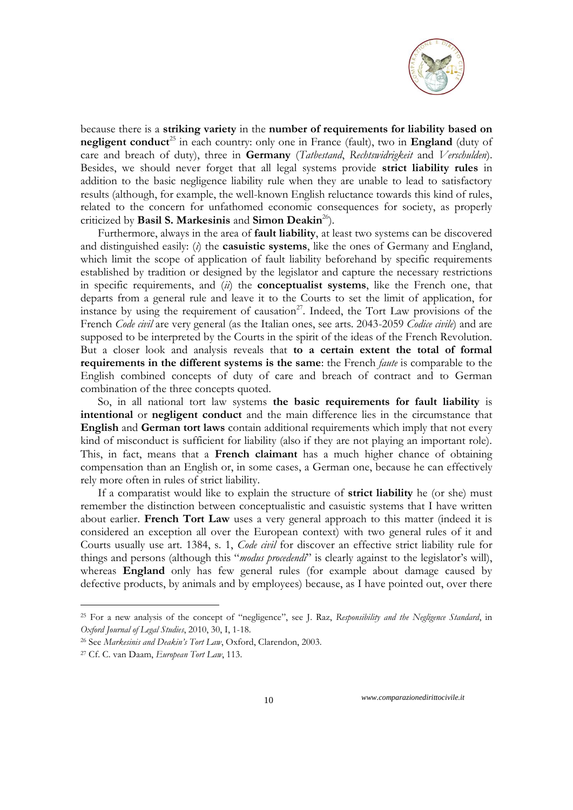

because there is a **striking variety** in the **number of requirements for liability based on negligent conduct**<sup>25</sup> in each country: only one in France (fault), two in **England** (duty of care and breach of duty), three in **Germany** (*Tatbestand*, *Rechtswidrigkeit* and *Verschulden*). Besides, we should never forget that all legal systems provide **strict liability rules** in addition to the basic negligence liability rule when they are unable to lead to satisfactory results (although, for example, the well-known English reluctance towards this kind of rules, related to the concern for unfathomed economic consequences for society, as properly criticized by **Basil S. Markesinis** and **Simon Deakin**<sup>26</sup>).

Furthermore, always in the area of **fault liability**, at least two systems can be discovered and distinguished easily: (*i*) the **casuistic systems**, like the ones of Germany and England, which limit the scope of application of fault liability beforehand by specific requirements established by tradition or designed by the legislator and capture the necessary restrictions in specific requirements, and (*ii*) the **conceptualist systems**, like the French one, that departs from a general rule and leave it to the Courts to set the limit of application, for instance by using the requirement of causation<sup>27</sup>. Indeed, the Tort Law provisions of the French *Code civil* are very general (as the Italian ones, see arts. 2043-2059 *Codice civile*) and are supposed to be interpreted by the Courts in the spirit of the ideas of the French Revolution. But a closer look and analysis reveals that **to a certain extent the total of formal requirements in the different systems is the same**: the French *faute* is comparable to the English combined concepts of duty of care and breach of contract and to German combination of the three concepts quoted.

So, in all national tort law systems **the basic requirements for fault liability** is **intentional** or **negligent conduct** and the main difference lies in the circumstance that **English** and **German tort laws** contain additional requirements which imply that not every kind of misconduct is sufficient for liability (also if they are not playing an important role). This, in fact, means that a **French claimant** has a much higher chance of obtaining compensation than an English or, in some cases, a German one, because he can effectively rely more often in rules of strict liability.

If a comparatist would like to explain the structure of **strict liability** he (or she) must remember the distinction between conceptualistic and casuistic systems that I have written about earlier. **French Tort Law** uses a very general approach to this matter (indeed it is considered an exception all over the European context) with two general rules of it and Courts usually use art. 1384, s. 1, *Code civil* for discover an effective strict liability rule for things and persons (although this "*modus procedendi*" is clearly against to the legislator's will), whereas **England** only has few general rules (for example about damage caused by defective products, by animals and by employees) because, as I have pointed out, over there

<u>.</u>

<sup>25</sup> For a new analysis of the concept of "negligence", see J. Raz, *Responsibility and the Negligence Standard*, in *Oxford Journal of Legal Studies*, 2010, 30, I, 1-18.

<sup>26</sup> See *Markesinis and Deakin"s Tort Law*, Oxford, Clarendon, 2003.

<sup>27</sup> Cf. C. van Daam, *European Tort Law*, 113.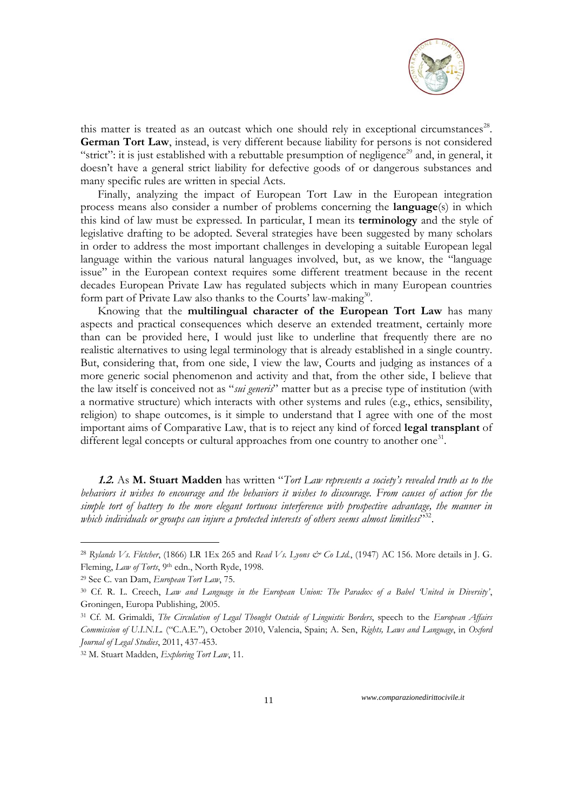

this matter is treated as an outcast which one should rely in exceptional circumstances<sup>28</sup>. **German Tort Law**, instead, is very different because liability for persons is not considered "strict": it is just established with a rebuttable presumption of negligence<sup>29</sup> and, in general, it doesn't have a general strict liability for defective goods of or dangerous substances and many specific rules are written in special Acts.

Finally, analyzing the impact of European Tort Law in the European integration process means also consider a number of problems concerning the **language**(s) in which this kind of law must be expressed. In particular, I mean its **terminology** and the style of legislative drafting to be adopted. Several strategies have been suggested by many scholars in order to address the most important challenges in developing a suitable European legal language within the various natural languages involved, but, as we know, the "language issue" in the European context requires some different treatment because in the recent decades European Private Law has regulated subjects which in many European countries form part of Private Law also thanks to the Courts' law-making<sup>30</sup>.

Knowing that the **multilingual character of the European Tort Law** has many aspects and practical consequences which deserve an extended treatment, certainly more than can be provided here, I would just like to underline that frequently there are no realistic alternatives to using legal terminology that is already established in a single country. But, considering that, from one side, I view the law, Courts and judging as instances of a more generic social phenomenon and activity and that, from the other side, I believe that the law itself is conceived not as "*sui generis*" matter but as a precise type of institution (with a normative structure) which interacts with other systems and rules (e.g., ethics, sensibility, religion) to shape outcomes, is it simple to understand that I agree with one of the most important aims of Comparative Law, that is to reject any kind of forced **legal transplant** of different legal concepts or cultural approaches from one country to another one<sup>31</sup>.

**1.2.** As **M. Stuart Madden** has written "*Tort Law represents a society"s revealed truth as to the behaviors it wishes to encourage and the behaviors it wishes to discourage. From causes of action for the simple tort of battery to the more elegant tortuous interference with prospective advantage, the manner in*  which individuals or groups can injure a protected interests of others seems almost limitless<sup>332</sup>.

<u>.</u>

<sup>28</sup> *Rylands Vs. Fletcher*, (1866) LR 1Ex 265 and *Read Vs. Lyons & Co Ltd.*, (1947) AC 156. More details in J. G. Fleming, *Law of Torts*, 9th edn., North Ryde, 1998.

<sup>29</sup> See C. van Dam, *European Tort Law*, 75.

<sup>30</sup> Cf. R. L. Creech, *Law and Language in the European Union: The Paradox of a Babel "United in Diversity"*, Groningen, Europa Publishing, 2005.

<sup>31</sup> Cf. M. Grimaldi, *The Circulation of Legal Thought Outside of Linguistic Borders*, speech to the *European Affairs Commission of U.I.N.L.* ("C.A.E."), October 2010, Valencia, Spain; A. Sen, *Rights, Laws and Language*, in *Oxford Journal of Legal Studies*, 2011, 437-453.

<sup>32</sup> M. Stuart Madden, *Exploring Tort Law*, 11.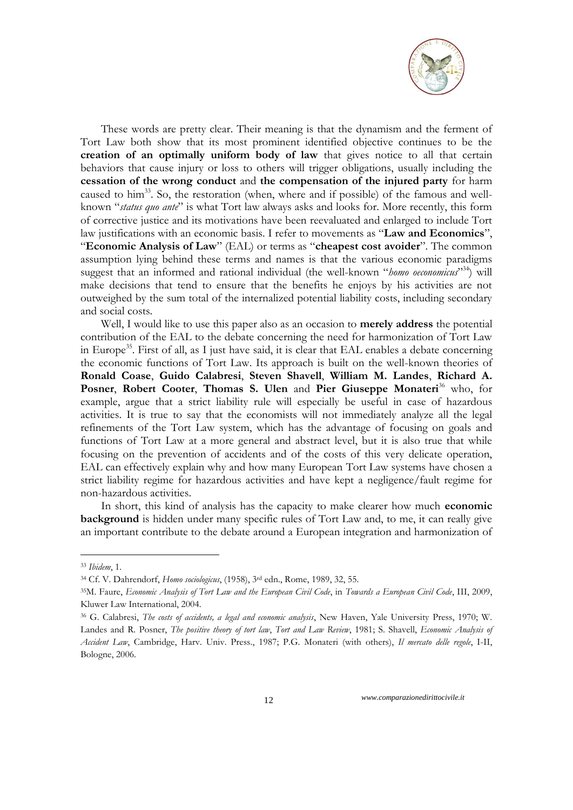

These words are pretty clear. Their meaning is that the dynamism and the ferment of Tort Law both show that its most prominent identified objective continues to be the **creation of an optimally uniform body of law** that gives notice to all that certain behaviors that cause injury or loss to others will trigger obligations, usually including the **cessation of the wrong conduct** and **the compensation of the injured party** for harm caused to him<sup>33</sup>. So, the restoration (when, where and if possible) of the famous and wellknown "*status quo ante*" is what Tort law always asks and looks for. More recently, this form of corrective justice and its motivations have been reevaluated and enlarged to include Tort law justifications with an economic basis. I refer to movements as "**Law and Economics**", "**Economic Analysis of Law**" (EAL) or terms as "**cheapest cost avoider**". The common assumption lying behind these terms and names is that the various economic paradigms suggest that an informed and rational individual (the well-known "homo oeconomicus"<sup>334</sup>) will make decisions that tend to ensure that the benefits he enjoys by his activities are not outweighed by the sum total of the internalized potential liability costs, including secondary and social costs.

Well, I would like to use this paper also as an occasion to **merely address** the potential contribution of the EAL to the debate concerning the need for harmonization of Tort Law in Europe<sup>35</sup>. First of all, as I just have said, it is clear that EAL enables a debate concerning the economic functions of Tort Law. Its approach is built on the well-known theories of **Ronald Coase**, **Guido Calabresi**, **Steven Shavell**, **William M. Landes**, **Richard A. Posner**, **Robert Cooter**, **Thomas S. Ulen** and **Pier Giuseppe Monateri**<sup>36</sup> who, for example, argue that a strict liability rule will especially be useful in case of hazardous activities. It is true to say that the economists will not immediately analyze all the legal refinements of the Tort Law system, which has the advantage of focusing on goals and functions of Tort Law at a more general and abstract level, but it is also true that while focusing on the prevention of accidents and of the costs of this very delicate operation, EAL can effectively explain why and how many European Tort Law systems have chosen a strict liability regime for hazardous activities and have kept a negligence/fault regime for non-hazardous activities.

In short, this kind of analysis has the capacity to make clearer how much **economic background** is hidden under many specific rules of Tort Law and, to me, it can really give an important contribute to the debate around a European integration and harmonization of

-

<sup>33</sup> *Ibidem*, 1.

<sup>34</sup> Cf. V. Dahrendorf, *Homo sociologicus*, (1958), 3rd edn., Rome, 1989, 32, 55.

<sup>35</sup>M. Faure, *Economic Analysis of Tort Law and the European Civil Code*, in *Towards a European Civil Code*, III, 2009, Kluwer Law International, 2004.

<sup>36</sup> G. Calabresi, *The costs of accidents, a legal and economic analysis*, New Haven, Yale University Press, 1970; W. Landes and R. Posner, *The positive theory of tort law*, *Tort and Law Review*, 1981; S. Shavell, *Economic Analysis of Accident Law*, Cambridge, Harv. Univ. Press., 1987; P.G. Monateri (with others), *Il mercato delle regole*, I-II, Bologne, 2006.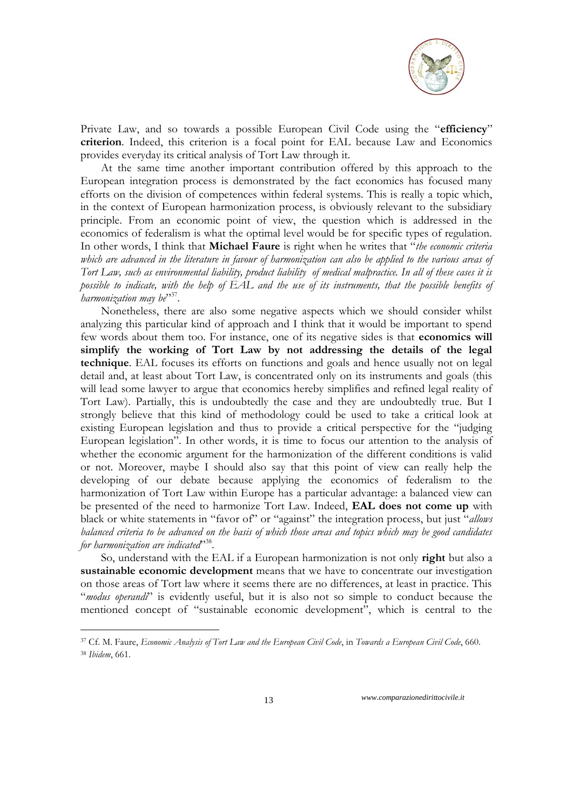

Private Law, and so towards a possible European Civil Code using the "**efficiency**" **criterion**. Indeed, this criterion is a focal point for EAL because Law and Economics provides everyday its critical analysis of Tort Law through it.

At the same time another important contribution offered by this approach to the European integration process is demonstrated by the fact economics has focused many efforts on the division of competences within federal systems. This is really a topic which, in the context of European harmonization process, is obviously relevant to the subsidiary principle. From an economic point of view, the question which is addressed in the economics of federalism is what the optimal level would be for specific types of regulation. In other words, I think that **Michael Faure** is right when he writes that "*the economic criteria which are advanced in the literature in favour of harmonization can also be applied to the various areas of Tort Law, such as environmental liability, product liability of medical malpractice. In all of these cases it is possible to indicate, with the help of EAL and the use of its instruments, that the possible benefits of harmonization may be*" 37 .

Nonetheless, there are also some negative aspects which we should consider whilst analyzing this particular kind of approach and I think that it would be important to spend few words about them too. For instance, one of its negative sides is that **economics will simplify the working of Tort Law by not addressing the details of the legal technique**. EAL focuses its efforts on functions and goals and hence usually not on legal detail and, at least about Tort Law, is concentrated only on its instruments and goals (this will lead some lawyer to argue that economics hereby simplifies and refined legal reality of Tort Law). Partially, this is undoubtedly the case and they are undoubtedly true. But I strongly believe that this kind of methodology could be used to take a critical look at existing European legislation and thus to provide a critical perspective for the "judging European legislation". In other words, it is time to focus our attention to the analysis of whether the economic argument for the harmonization of the different conditions is valid or not. Moreover, maybe I should also say that this point of view can really help the developing of our debate because applying the economics of federalism to the harmonization of Tort Law within Europe has a particular advantage: a balanced view can be presented of the need to harmonize Tort Law. Indeed, **EAL does not come up** with black or white statements in "favor of" or "against" the integration process, but just "*allows balanced criteria to be advanced on the basis of which those areas and topics which may be good candidates for harmonization are indicated*" 38 .

So, understand with the EAL if a European harmonization is not only **right** but also a **sustainable economic development** means that we have to concentrate our investigation on those areas of Tort law where it seems there are no differences, at least in practice. This "*modus operandi*" is evidently useful, but it is also not so simple to conduct because the mentioned concept of "sustainable economic development", which is central to the

13 *www.comparazionedirittocivile.it*

1

<sup>37</sup> Cf. M. Faure, *Economic Analysis of Tort Law and the European Civil Code*, in *Towards a European Civil Code*, 660. <sup>38</sup> *Ibidem*, 661.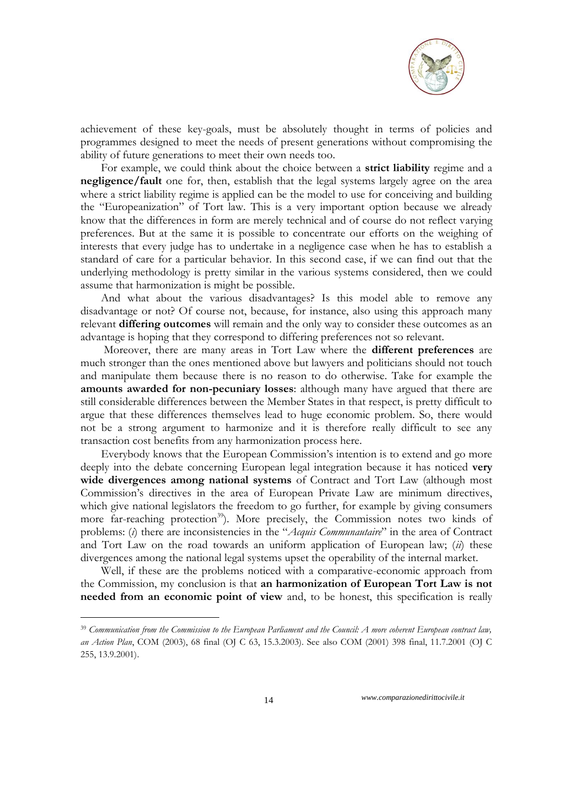

achievement of these key-goals, must be absolutely thought in terms of policies and programmes designed to meet the needs of present generations without compromising the ability of future generations to meet their own needs too.

For example, we could think about the choice between a **strict liability** regime and a **negligence/fault** one for, then, establish that the legal systems largely agree on the area where a strict liability regime is applied can be the model to use for conceiving and building the "Europeanization" of Tort law. This is a very important option because we already know that the differences in form are merely technical and of course do not reflect varying preferences. But at the same it is possible to concentrate our efforts on the weighing of interests that every judge has to undertake in a negligence case when he has to establish a standard of care for a particular behavior. In this second case, if we can find out that the underlying methodology is pretty similar in the various systems considered, then we could assume that harmonization is might be possible.

And what about the various disadvantages? Is this model able to remove any disadvantage or not? Of course not, because, for instance, also using this approach many relevant **differing outcomes** will remain and the only way to consider these outcomes as an advantage is hoping that they correspond to differing preferences not so relevant.

Moreover, there are many areas in Tort Law where the **different preferences** are much stronger than the ones mentioned above but lawyers and politicians should not touch and manipulate them because there is no reason to do otherwise. Take for example the **amounts awarded for non-pecuniary losses**: although many have argued that there are still considerable differences between the Member States in that respect, is pretty difficult to argue that these differences themselves lead to huge economic problem. So, there would not be a strong argument to harmonize and it is therefore really difficult to see any transaction cost benefits from any harmonization process here.

Everybody knows that the European Commission's intention is to extend and go more deeply into the debate concerning European legal integration because it has noticed **very wide divergences among national systems** of Contract and Tort Law (although most Commission's directives in the area of European Private Law are minimum directives, which give national legislators the freedom to go further, for example by giving consumers more far-reaching protection<sup>39</sup>). More precisely, the Commission notes two kinds of problems: (*i*) there are inconsistencies in the "*Acquis Communautaire*" in the area of Contract and Tort Law on the road towards an uniform application of European law; (*ii*) these divergences among the national legal systems upset the operability of the internal market.

Well, if these are the problems noticed with a comparative-economic approach from the Commission, my conclusion is that **an harmonization of European Tort Law is not needed from an economic point of view** and, to be honest, this specification is really

14 *www.comparazionedirittocivile.it*

<u>.</u>

<sup>39</sup> *Communication from the Commission to the European Parliament and the Council: A more coherent European contract law, an Action Plan*, COM (2003), 68 final (OJ C 63, 15.3.2003). See also COM (2001) 398 final, 11.7.2001 (OJ C 255, 13.9.2001).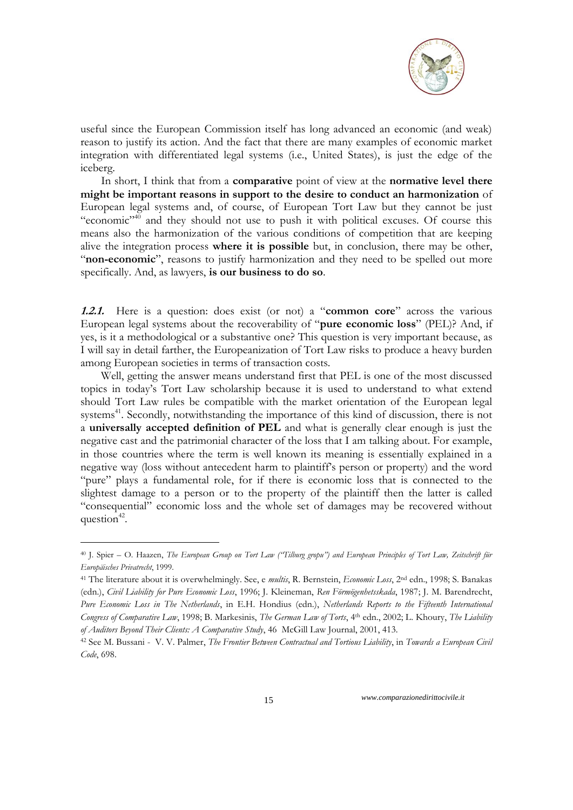

useful since the European Commission itself has long advanced an economic (and weak) reason to justify its action. And the fact that there are many examples of economic market integration with differentiated legal systems (i.e., United States), is just the edge of the iceberg.

In short, I think that from a **comparative** point of view at the **normative level there might be important reasons in support to the desire to conduct an harmonization** of European legal systems and, of course, of European Tort Law but they cannot be just "economic"<sup>40</sup> and they should not use to push it with political excuses. Of course this means also the harmonization of the various conditions of competition that are keeping alive the integration process **where it is possible** but, in conclusion, there may be other, "non-economic", reasons to justify harmonization and they need to be spelled out more specifically. And, as lawyers, **is our business to do so**.

**1.2.1.** Here is a question: does exist (or not) a "**common core**" across the various European legal systems about the recoverability of "**pure economic loss**" (PEL)? And, if yes, is it a methodological or a substantive one? This question is very important because, as I will say in detail farther, the Europeanization of Tort Law risks to produce a heavy burden among European societies in terms of transaction costs.

Well, getting the answer means understand first that PEL is one of the most discussed topics in today's Tort Law scholarship because it is used to understand to what extend should Tort Law rules be compatible with the market orientation of the European legal systems<sup>41</sup>. Secondly, notwithstanding the importance of this kind of discussion, there is not a **universally accepted definition of PEL** and what is generally clear enough is just the negative cast and the patrimonial character of the loss that I am talking about. For example, in those countries where the term is well known its meaning is essentially explained in a negative way (loss without antecedent harm to plaintiff's person or property) and the word "pure" plays a fundamental role, for if there is economic loss that is connected to the slightest damage to a person or to the property of the plaintiff then the latter is called "consequential" economic loss and the whole set of damages may be recovered without question<sup>42</sup>.

<u>.</u>

<sup>40</sup> J. Spier – O. Haazen, *The European Group on Tort Law ("Tilburg gropu") and European Principles of Tort Law, Zeitschrift für Europäisches Privatrecht*, 1999.

<sup>41</sup> The literature about it is overwhelmingly. See, e *multis*, R. Bernstein, *Economic Loss*, 2nd edn., 1998; S. Banakas (edn.), *Civil Liability for Pure Economic Loss*, 1996; J. Kleineman, *Ren Förmögenhetsskada*, 1987; J. M. Barendrecht, *Pure Economic Loss in The Netherlands*, in E.H. Hondius (edn.), *Netherlands Reports to the Fifteenth International Congress of Comparative Law*, 1998; B. Markesinis, *The German Law of Torts*, 4th edn., 2002; L. Khoury, *The Liability of Auditors Beyond Their Clients: A Comparative Study*, 46 McGill Law Journal, 2001, 413.

<sup>42</sup> See M. Bussani - V. V. Palmer, *The Frontier Between Contractual and Tortious Liability*, in *Towards a European Civil Code*, 698.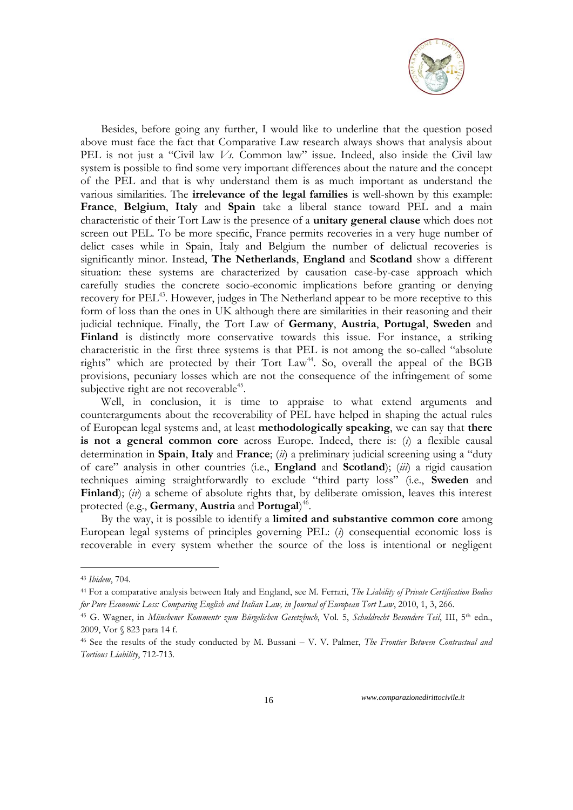

Besides, before going any further, I would like to underline that the question posed above must face the fact that Comparative Law research always shows that analysis about PEL is not just a "Civil law *Vs*. Common law" issue. Indeed, also inside the Civil law system is possible to find some very important differences about the nature and the concept of the PEL and that is why understand them is as much important as understand the various similarities. The **irrelevance of the legal families** is well-shown by this example: **France**, **Belgium**, **Italy** and **Spain** take a liberal stance toward PEL and a main characteristic of their Tort Law is the presence of a **unitary general clause** which does not screen out PEL. To be more specific, France permits recoveries in a very huge number of delict cases while in Spain, Italy and Belgium the number of delictual recoveries is significantly minor. Instead, **The Netherlands**, **England** and **Scotland** show a different situation: these systems are characterized by causation case-by-case approach which carefully studies the concrete socio-economic implications before granting or denying recovery for PEL<sup>43</sup>. However, judges in The Netherland appear to be more receptive to this form of loss than the ones in UK although there are similarities in their reasoning and their judicial technique. Finally, the Tort Law of **Germany**, **Austria**, **Portugal**, **Sweden** and **Finland** is distinctly more conservative towards this issue. For instance, a striking characteristic in the first three systems is that PEL is not among the so-called "absolute rights" which are protected by their Tort Law<sup>44</sup>. So, overall the appeal of the BGB provisions, pecuniary losses which are not the consequence of the infringement of some subjective right are not recoverable<sup>45</sup>.

Well, in conclusion, it is time to appraise to what extend arguments and counterarguments about the recoverability of PEL have helped in shaping the actual rules of European legal systems and, at least **methodologically speaking**, we can say that **there is not a general common core** across Europe. Indeed, there is: (*i*) a flexible causal determination in **Spain**, **Italy** and **France**; (*ii*) a preliminary judicial screening using a "duty of care" analysis in other countries (i.e., **England** and **Scotland**); (*iii*) a rigid causation techniques aiming straightforwardly to exclude "third party loss" (i.e., **Sweden** and **Finland**); (*iv*) a scheme of absolute rights that, by deliberate omission, leaves this interest protected (e.g., **Germany**, **Austria** and **Portugal**) 46 .

By the way, it is possible to identify a **limited and substantive common core** among European legal systems of principles governing PEL: (*i*) consequential economic loss is recoverable in every system whether the source of the loss is intentional or negligent

<u>.</u>

<sup>43</sup> *Ibidem*, 704.

<sup>44</sup> For a comparative analysis between Italy and England, see M. Ferrari, *The Liability of Private Certification Bodies for Pure Economic Loss: Comparing English and Italian Law, in Journal of European Tort Law*, 2010, 1, 3, 266.

<sup>45</sup> G. Wagner, in *Münchener Kommentr zum Bürgelichen Gesetzbuch*, Vol. 5, *Schuldrecht Besondere Teil*, III, 5th edn., 2009, Vor § 823 para 14 f.

<sup>46</sup> See the results of the study conducted by M. Bussani – V. V. Palmer, *The Frontier Between Contractual and Tortious Liability*, 712-713.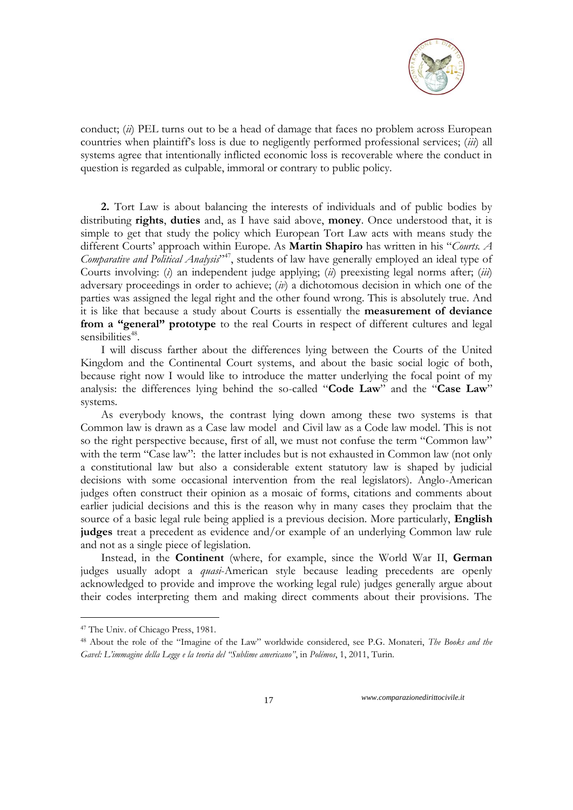

conduct; (*ii*) PEL turns out to be a head of damage that faces no problem across European countries when plaintiff's loss is due to negligently performed professional services; (*iii*) all systems agree that intentionally inflicted economic loss is recoverable where the conduct in question is regarded as culpable, immoral or contrary to public policy.

**2.** Tort Law is about balancing the interests of individuals and of public bodies by distributing **rights**, **duties** and, as I have said above, **money**. Once understood that, it is simple to get that study the policy which European Tort Law acts with means study the different Courts' approach within Europe. As **Martin Shapiro** has written in his "*Courts. A Comparative and Political Analysis*" <sup>47</sup>, students of law have generally employed an ideal type of Courts involving: (*i*) an independent judge applying; (*ii*) preexisting legal norms after; (*iii*) adversary proceedings in order to achieve; (*iv*) a dichotomous decision in which one of the parties was assigned the legal right and the other found wrong. This is absolutely true. And it is like that because a study about Courts is essentially the **measurement of deviance from a "general" prototype** to the real Courts in respect of different cultures and legal sensibilities<sup>48</sup>.

I will discuss farther about the differences lying between the Courts of the United Kingdom and the Continental Court systems, and about the basic social logic of both, because right now I would like to introduce the matter underlying the focal point of my analysis: the differences lying behind the so-called "**Code Law**" and the "**Case Law**" systems.

As everybody knows, the contrast lying down among these two systems is that Common law is drawn as a Case law model and Civil law as a Code law model. This is not so the right perspective because, first of all, we must not confuse the term "Common law" with the term "Case law": the latter includes but is not exhausted in Common law (not only a constitutional law but also a considerable extent statutory law is shaped by judicial decisions with some occasional intervention from the real legislators). Anglo-American judges often construct their opinion as a mosaic of forms, citations and comments about earlier judicial decisions and this is the reason why in many cases they proclaim that the source of a basic legal rule being applied is a previous decision. More particularly, **English judges** treat a precedent as evidence and/or example of an underlying Common law rule and not as a single piece of legislation.

Instead, in the **Continent** (where, for example, since the World War II, **German** judges usually adopt a *quasi*-American style because leading precedents are openly acknowledged to provide and improve the working legal rule) judges generally argue about their codes interpreting them and making direct comments about their provisions. The

<u>.</u>

<sup>47</sup> The Univ. of Chicago Press, 1981.

<sup>48</sup> About the role of the "Imagine of the Law" worldwide considered, see P.G. Monateri, *The Books and the Gavel: L"immagine della Legge e la teoria del "Sublime americano"*, in *Polémos*, 1, 2011, Turin.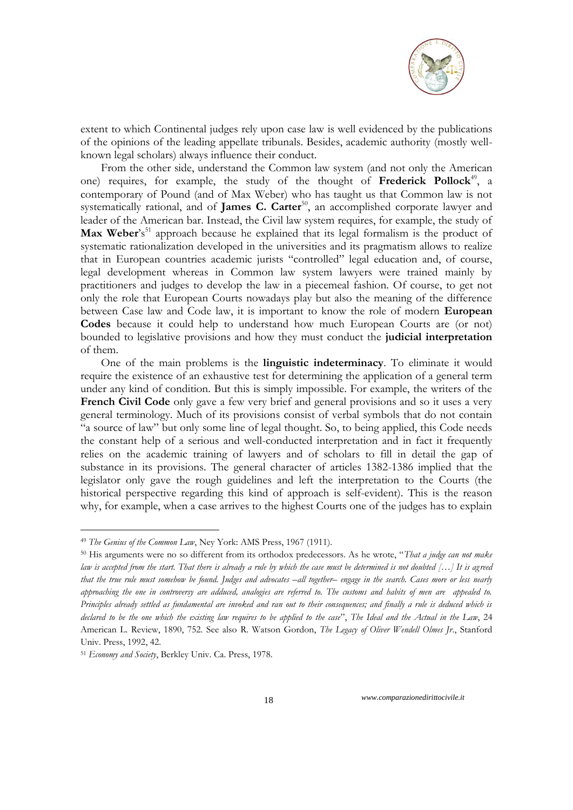

extent to which Continental judges rely upon case law is well evidenced by the publications of the opinions of the leading appellate tribunals. Besides, academic authority (mostly wellknown legal scholars) always influence their conduct.

From the other side, understand the Common law system (and not only the American one) requires, for example, the study of the thought of **Frederick Pollock**<sup>49</sup> , a contemporary of Pound (and of Max Weber) who has taught us that Common law is not systematically rational, and of **James C. Carter**<sup>50</sup>, an accomplished corporate lawyer and leader of the American bar. Instead, the Civil law system requires, for example, the study of **Max Weber**'s<sup>51</sup> approach because he explained that its legal formalism is the product of systematic rationalization developed in the universities and its pragmatism allows to realize that in European countries academic jurists "controlled" legal education and, of course, legal development whereas in Common law system lawyers were trained mainly by practitioners and judges to develop the law in a piecemeal fashion. Of course, to get not only the role that European Courts nowadays play but also the meaning of the difference between Case law and Code law, it is important to know the role of modern **European Codes** because it could help to understand how much European Courts are (or not) bounded to legislative provisions and how they must conduct the **judicial interpretation** of them.

One of the main problems is the **linguistic indeterminacy**. To eliminate it would require the existence of an exhaustive test for determining the application of a general term under any kind of condition. But this is simply impossible. For example, the writers of the **French Civil Code** only gave a few very brief and general provisions and so it uses a very general terminology. Much of its provisions consist of verbal symbols that do not contain "a source of law" but only some line of legal thought. So, to being applied, this Code needs the constant help of a serious and well-conducted interpretation and in fact it frequently relies on the academic training of lawyers and of scholars to fill in detail the gap of substance in its provisions. The general character of articles 1382-1386 implied that the legislator only gave the rough guidelines and left the interpretation to the Courts (the historical perspective regarding this kind of approach is self-evident). This is the reason why, for example, when a case arrives to the highest Courts one of the judges has to explain

<u>.</u>

<sup>49</sup> *The Genius of the Common Law*, Ney York: AMS Press, 1967 (1911).

<sup>50</sup> His arguments were no so different from its orthodox predecessors. As he wrote, "*That a judge can not make law is accepted from the start. That there is already a rule by which the case must be determined is not doubted […] It is agreed that the true rule must somehow be found. Judges and advocates –all together– engage in the search. Cases more or less nearly approaching the one in controversy are adduced, analogies are referred to. The customs and habits of men are appealed to. Principles already settled as fundamental are invoked and ran out to their consequences; and finally a rule is deduced which is declared to be the one which the existing law requires to be applied to the case*", *The Ideal and the Actual in the Law*, 24 American L. Review, 1890, 752. See also R. Watson Gordon, *The Legacy of Oliver Wendell Olmes Jr*., Stanford Univ. Press, 1992, 42.

<sup>51</sup> *Economy and Society*, Berkley Univ. Ca. Press, 1978.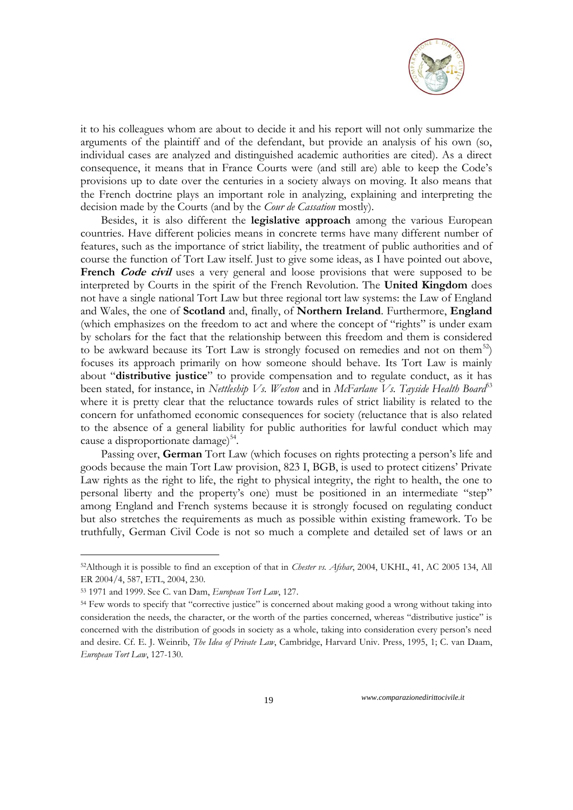

it to his colleagues whom are about to decide it and his report will not only summarize the arguments of the plaintiff and of the defendant, but provide an analysis of his own (so, individual cases are analyzed and distinguished academic authorities are cited). As a direct consequence, it means that in France Courts were (and still are) able to keep the Code's provisions up to date over the centuries in a society always on moving. It also means that the French doctrine plays an important role in analyzing, explaining and interpreting the decision made by the Courts (and by the *Cour de Cassation* mostly).

Besides, it is also different the **legislative approach** among the various European countries. Have different policies means in concrete terms have many different number of features, such as the importance of strict liability, the treatment of public authorities and of course the function of Tort Law itself. Just to give some ideas, as I have pointed out above, French *Code civil* uses a very general and loose provisions that were supposed to be interpreted by Courts in the spirit of the French Revolution. The **United Kingdom** does not have a single national Tort Law but three regional tort law systems: the Law of England and Wales, the one of **Scotland** and, finally, of **Northern Ireland**. Furthermore, **England**  (which emphasizes on the freedom to act and where the concept of "rights" is under exam by scholars for the fact that the relationship between this freedom and them is considered to be awkward because its Tort Law is strongly focused on remedies and not on them<sup>52</sup>) focuses its approach primarily on how someone should behave. Its Tort Law is mainly about "**distributive justice**" to provide compensation and to regulate conduct, as it has been stated, for instance, in *Nettleship Vs. Weston* and in *McFarlane Vs. Tayside Health Board*<sup>53</sup> where it is pretty clear that the reluctance towards rules of strict liability is related to the concern for unfathomed economic consequences for society (reluctance that is also related to the absence of a general liability for public authorities for lawful conduct which may cause a disproportionate damage)<sup>54</sup>.

Passing over, **German** Tort Law (which focuses on rights protecting a person's life and goods because the main Tort Law provision, 823 I, BGB, is used to protect citizens' Private Law rights as the right to life, the right to physical integrity, the right to health, the one to personal liberty and the property's one) must be positioned in an intermediate "step" among England and French systems because it is strongly focused on regulating conduct but also stretches the requirements as much as possible within existing framework. To be truthfully, German Civil Code is not so much a complete and detailed set of laws or an

-

<sup>52</sup>Although it is possible to find an exception of that in *Chester vs. Afshar*, 2004, UKHL, 41, AC 2005 134, All ER 2004/4, 587, ETL, 2004, 230.

<sup>53</sup> 1971 and 1999. See C. van Dam, *European Tort Law*, 127.

<sup>54</sup> Few words to specify that "corrective justice" is concerned about making good a wrong without taking into consideration the needs, the character, or the worth of the parties concerned, whereas "distributive justice" is concerned with the distribution of goods in society as a whole, taking into consideration every person's need and desire. Cf. E. J. Weinrib, *The Idea of Private Law*, Cambridge, Harvard Univ. Press, 1995, 1; C. van Daam, *European Tort Law*, 127-130.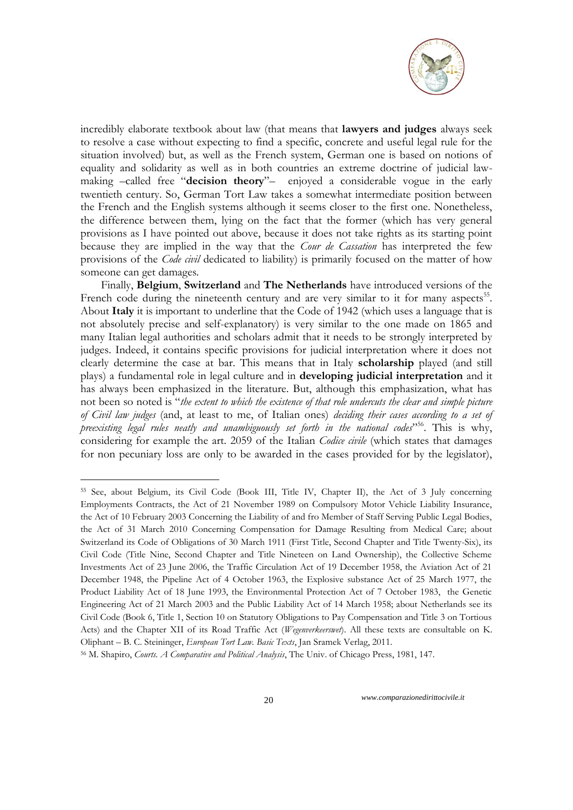

incredibly elaborate textbook about law (that means that **lawyers and judges** always seek to resolve a case without expecting to find a specific, concrete and useful legal rule for the situation involved) but, as well as the French system, German one is based on notions of equality and solidarity as well as in both countries an extreme doctrine of judicial lawmaking –called free "**decision theory**"– enjoyed a considerable vogue in the early twentieth century. So, German Tort Law takes a somewhat intermediate position between the French and the English systems although it seems closer to the first one. Nonetheless, the difference between them, lying on the fact that the former (which has very general provisions as I have pointed out above, because it does not take rights as its starting point because they are implied in the way that the *Cour de Cassation* has interpreted the few provisions of the *Code civil* dedicated to liability) is primarily focused on the matter of how someone can get damages.

Finally, **Belgium**, **Switzerland** and **The Netherlands** have introduced versions of the French code during the nineteenth century and are very similar to it for many aspects<sup>55</sup>. About **Italy** it is important to underline that the Code of 1942 (which uses a language that is not absolutely precise and self-explanatory) is very similar to the one made on 1865 and many Italian legal authorities and scholars admit that it needs to be strongly interpreted by judges. Indeed, it contains specific provisions for judicial interpretation where it does not clearly determine the case at bar. This means that in Italy **scholarship** played (and still plays) a fundamental role in legal culture and in **developing judicial interpretation** and it has always been emphasized in the literature. But, although this emphasization, what has not been so noted is "*the extent to which the existence of that role undercuts the clear and simple picture of Civil law judges* (and, at least to me, of Italian ones) *deciding their cases according to a set of preexisting legal rules neatly and unambiguously set forth in the national codes*" <sup>56</sup>. This is why, considering for example the art. 2059 of the Italian *Codice civile* (which states that damages for non pecuniary loss are only to be awarded in the cases provided for by the legislator),

-

<sup>55</sup> See, about Belgium, its Civil Code (Book III, Title IV, Chapter II), the Act of 3 July concerning Employments Contracts, the Act of 21 November 1989 on Compulsory Motor Vehicle Liability Insurance, the Act of 10 February 2003 Concerning the Liability of and fro Member of Staff Serving Public Legal Bodies, the Act of 31 March 2010 Concerning Compensation for Damage Resulting from Medical Care; about Switzerland its Code of Obligations of 30 March 1911 (First Title, Second Chapter and Title Twenty-Six), its Civil Code (Title Nine, Second Chapter and Title Nineteen on Land Ownership), the Collective Scheme Investments Act of 23 June 2006, the Traffic Circulation Act of 19 December 1958, the Aviation Act of 21 December 1948, the Pipeline Act of 4 October 1963, the Explosive substance Act of 25 March 1977, the Product Liability Act of 18 June 1993, the Environmental Protection Act of 7 October 1983, the Genetic Engineering Act of 21 March 2003 and the Public Liability Act of 14 March 1958; about Netherlands see its Civil Code (Book 6, Title 1, Section 10 on Statutory Obligations to Pay Compensation and Title 3 on Tortious Acts) and the Chapter XII of its Road Traffic Act (*Wegenverkeerswet*). All these texts are consultable on K. Oliphant – B. C. Steininger, *European Tort Law. Basic Texts*, Jan Sramek Verlag, 2011.

<sup>56</sup> M. Shapiro, *Courts. A Comparative and Political Analysis*, The Univ. of Chicago Press, 1981, 147.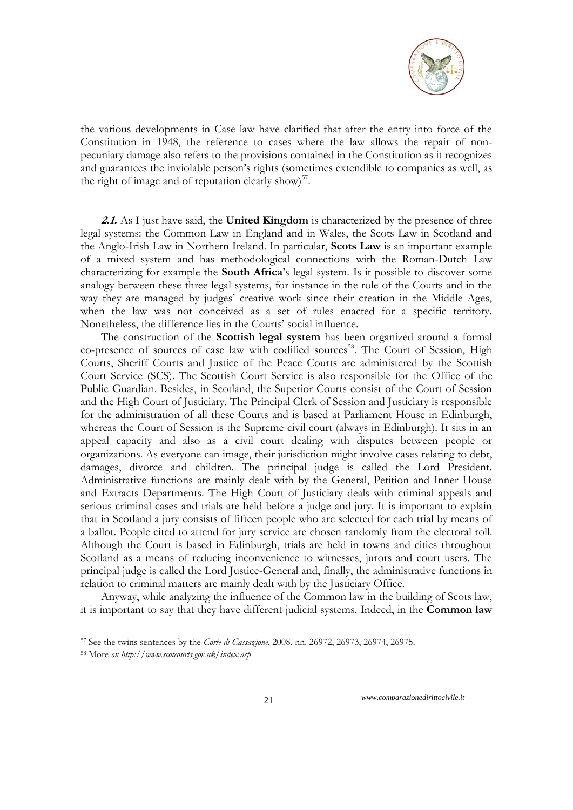

the various developments in Case law have clarified that after the entry into force of the Constitution in 1948, the reference to cases where the law allows the repair of nonpecuniary damage also refers to the provisions contained in the Constitution as it recognizes and guarantees the inviolable person's rights (sometimes extendible to companies as well, as the right of image and of reputation clearly show) $57$ .

**2.1.** As I just have said, the **United Kingdom** is characterized by the presence of three legal systems: the Common Law in England and in Wales, the Scots Law in Scotland and the Anglo-Irish Law in Northern Ireland. In particular, **Scots Law** is an important example of a mixed system and has methodological connections with the Roman-Dutch Law characterizing for example the **South Africa**'s legal system. Is it possible to discover some analogy between these three legal systems, for instance in the role of the Courts and in the way they are managed by judges' creative work since their creation in the Middle Ages, when the law was not conceived as a set of rules enacted for a specific territory. Nonetheless, the difference lies in the Courts' social influence.

The construction of the **Scottish legal system** has been organized around a formal co-presence of sources of case law with codified sources<sup>58</sup>. The Court of Session, High Courts, Sheriff Courts and Justice of the Peace Courts are administered by the Scottish Court Service (SCS). The Scottish Court Service is also responsible for the [Office of the](http://www.publicguardian-scotland.gov.uk/)  [Public Guardian.](http://www.publicguardian-scotland.gov.uk/) Besides, in Scotland, the Superior Courts consist of the Court of Session and the High Court of Justiciary. The Principal Clerk of Session and Justiciary is responsible for the administration of all these Courts and is based at Parliament House in Edinburgh, whereas the Court of Session is the Supreme civil court (always in Edinburgh). It sits in an appeal capacity and also as a civil court dealing with disputes between people or organizations. As everyone can image, their jurisdiction might involve cases relating to debt, damages, divorce and children. The principal judge is called the Lord President. Administrative functions are mainly dealt with by the General, Petition and Inner House and Extracts Departments. The High Court of Justiciary deals with criminal appeals and serious criminal cases and trials are held before a judge and jury. It is important to explain that in Scotland a jury consists of fifteen people who are selected for each trial by means of a ballot. People cited to attend for jury service are chosen randomly from the electoral roll. Although the Court is based in Edinburgh, trials are held in towns and cities throughout Scotland as a means of reducing inconvenience to witnesses, jurors and court users. The principal judge is called the Lord Justice-General and, finally, the administrative functions in relation to criminal matters are mainly dealt with by the Justiciary Office.

Anyway, while analyzing the influence of the Common law in the building of Scots law, it is important to say that they have different judicial systems. Indeed, in the **Common law** 

1

<sup>57</sup> See the twins sentences by the *Corte di Cassazione*, 2008, nn. 26972, 26973, 26974, 26975.

<sup>58</sup> More *on http://www.scotcourts.gov.uk/index.asp*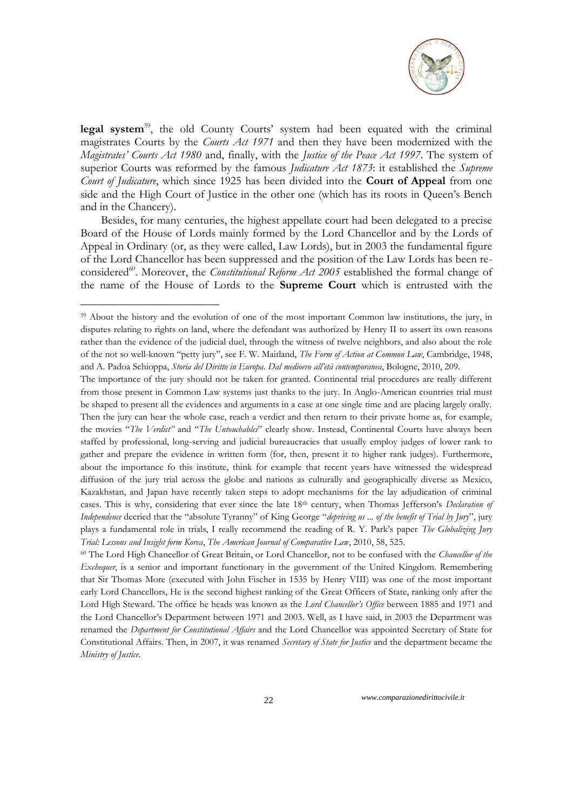

legal system<sup>59</sup>, the old County Courts' system had been equated with the criminal magistrates Courts by the *Courts Act 1971* and then they have been modernized with the *Magistrates" Courts Act 1980* and, finally, with the *Justice of the Peace Act 1997*. The system of superior Courts was reformed by the famous *Judicature Act 1873*: it established the *Supreme Court of Judicature*, which since 1925 has been divided into the **Court of Appeal** from one side and the High Court of Justice in the other one (which has its roots in Queen's Bench and in the Chancery).

Besides, for many centuries, the highest appellate court had been delegated to a precise Board of the House of Lords mainly formed by the Lord Chancellor and by the Lords of Appeal in Ordinary (or, as they were called, Law Lords), but in 2003 the fundamental figure of the Lord Chancellor has been suppressed and the position of the Law Lords has been reconsidered<sup>60</sup>. Moreover, the *Constitutional Reform Act 2005* established the formal change of the name of the House of Lords to the **Supreme Court** which is entrusted with the

-

<sup>60</sup> The Lord High Chancellor of Great Britain, or Lord Chancellor, not to be confused with the *[Chancellor of the](http://en.wikipedia.org/wiki/Chancellor_of_the_Exchequer)  [Exchequer](http://en.wikipedia.org/wiki/Chancellor_of_the_Exchequer)*, is a senior and important functionary in the [government of the United Kingdom.](http://en.wikipedia.org/wiki/Government_of_the_United_Kingdom) Remembering that Sir Thomas More (executed with John Fischer in 1535 by Henry VIII) was one of the most important early Lord Chancellors, He is the second highest ranking of the [Great Officers of State,](http://en.wikipedia.org/wiki/Great_Officer_of_State) ranking only after the [Lord High Steward.](http://en.wikipedia.org/wiki/Lord_High_Steward) The office he heads was known as the *Lord Chancellor"s Office* between 1885 and 1971 and the [Lord Chancellor's Department](http://en.wikipedia.org/wiki/Lord_Chancellor%27s_Department) between 1971 and 2003. Well, as I have said, in 2003 the Department was renamed the *[Department for Constitutional Affairs](http://en.wikipedia.org/wiki/Department_for_Constitutional_Affairs)* and the Lord Chancellor was appointed [Secretary of State for](http://en.wikipedia.org/wiki/Secretary_of_State_for_Constitutional_Affairs)  [Constitutional Affairs.](http://en.wikipedia.org/wiki/Secretary_of_State_for_Constitutional_Affairs) Then, in 2007, it was renamed *[Secretary of State for Justice](http://en.wikipedia.org/wiki/Secretary_of_State_for_Justice)* and the department became the *[Ministry of Justice](http://en.wikipedia.org/wiki/Ministry_of_Justice_%28United_Kingdom%29)*.

<sup>&</sup>lt;sup>59</sup> About the history and the evolution of one of the most important Common law institutions, the jury, in disputes relating to rights on land, where the defendant was authorized by Henry II to assert its own reasons rather than the evidence of the judicial duel, through the witness of twelve neighbors, and also about the role of the not so well-known "petty jury", see F. W. Maitland, *The Form of Action at Common Law*, Cambridge, 1948, and A. Padoa Schioppa, *Storia del Diritto in Europa*. *Dal medioevo all"età contemporanea*, Bologne, 2010, 209.

The importance of the jury should not be taken for granted. Continental trial procedures are really different from those present in Common Law systems just thanks to the jury. In Anglo-American countries trial must be shaped to present all the evidences and arguments in a case at one single time and are placing largely orally. Then the jury can hear the whole case, reach a verdict and then return to their private home as, for example, the movies "*The Verdict"* and "*The Untouchables*" clearly show. Instead, Continental Courts have always been staffed by professional, long-serving and judicial bureaucracies that usually employ judges of lower rank to gather and prepare the evidence in written form (for, then, present it to higher rank judges). Furthermore, about the importance fo this institute, think for example that recent years have witnessed the widespread diffusion of the jury trial across the globe and nations as culturally and geographically diverse as Mexico, Kazakhstan, and Japan have recently taken steps to adopt mechanisms for the lay adjudication of criminal cases. This is why, considering that ever since the late 18th century, when Thomas Jefferson's *Declaration of Independence* decried that the "absolute Tyranny" of King George "*depriving us ... of the benefit of Trial by Jury*", jury plays a fundamental role in trials, I really recommend the reading of R. Y. Park's paper *The Globalizing Jury Trial: Lessons and Insight form Korea*, *The American Journal of Comparative Law*, 2010, 58, 525.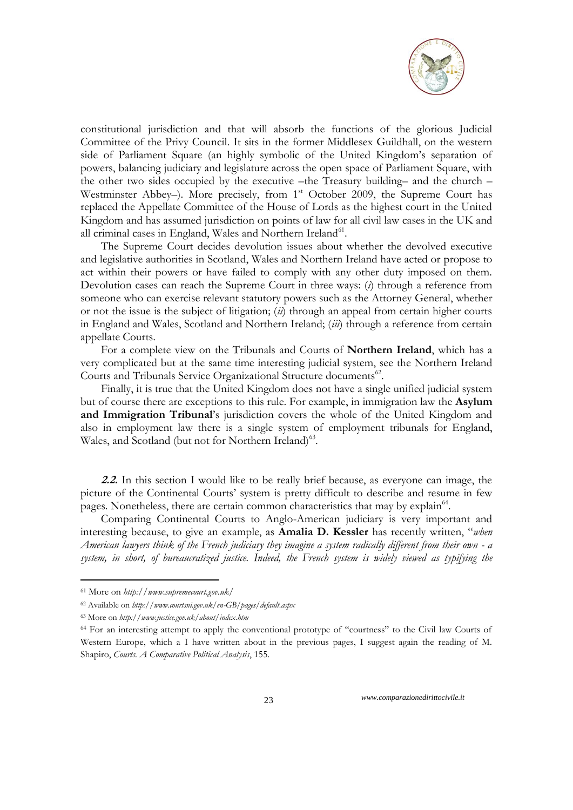

constitutional jurisdiction and that will absorb the functions of the glorious Judicial Committee of the Privy Council. It sits in the former Middlesex Guildhall, on the western side of Parliament Square (an highly symbolic of the United Kingdom's separation of powers, balancing judiciary and legislature across the open space of Parliament Square, with the other two sides occupied by the executive –the Treasury building– and the church – Westminster Abbey–). More precisely, from 1<sup>st</sup> October 2009, the Supreme Court has replaced the Appellate Committee of the House of Lords as the highest court in the United Kingdom and has assumed jurisdiction on points of law for all civil law cases in the UK and all criminal cases in England, Wales and Northern Ireland<sup>61</sup>.

The Supreme Court decides devolution issues about whether the devolved executive and legislative authorities in Scotland, Wales and Northern Ireland have acted or propose to act within their powers or have failed to comply with any other duty imposed on them. Devolution cases can reach the Supreme Court in three ways: (*i*) through a reference from someone who can exercise relevant statutory powers such as the Attorney General, whether or not the issue is the subject of litigation; (*ii*) through an appeal from certain higher courts in England and Wales, Scotland and Northern Ireland; (*iii*) through a reference from certain appellate Courts.

For a complete view on the Tribunals and Courts of **Northern Ireland**, which has a very complicated but at the same time interesting judicial system, see the Northern Ireland Courts and Tribunals Service Organizational Structure documents<sup>62</sup>.

Finally, it is true that the [United Kingdom](http://en.wikipedia.org/wiki/United_Kingdom) does not have a single unified judicial system but of course there are exceptions to this rule. For example, in immigration law the **[Asylum](http://en.wikipedia.org/wiki/Asylum_and_Immigration_Tribunal)  [and Immigration Tribunal](http://en.wikipedia.org/wiki/Asylum_and_Immigration_Tribunal)**'s jurisdiction covers the whole of the United Kingdom and also in employment law there is a single system of [employment tribunals](http://en.wikipedia.org/wiki/Employment_Tribunal) for England, Wales, and Scotland (but not for Northern Ireland)<sup>63</sup>.

**2.2.** In this section I would like to be really brief because, as everyone can image, the picture of the Continental Courts' system is pretty difficult to describe and resume in few pages. Nonetheless, there are certain common characteristics that may by explain<sup>64</sup>.

Comparing Continental Courts to Anglo-American judiciary is very important and interesting because, to give an example, as **Amalia D. Kessler** has recently written, "*when American lawyers think of the French judiciary they imagine a system radically different from their own - a system, in short, of bureaucratized justice. Indeed, the French system is widely viewed as typifying the* 

<u>.</u>

<sup>61</sup> More on *http://www.supremecourt.gov.uk/*

<sup>62</sup> Available on *http://www.courtsni.gov.uk/en-GB/pages/default.aspx*

<sup>63</sup> More on *http://www.justice.gov.uk/about/index.htm*

<sup>64</sup> For an interesting attempt to apply the conventional prototype of "courtness" to the Civil law Courts of Western Europe, which a I have written about in the previous pages, I suggest again the reading of M. Shapiro, *Courts. A Comparative Political Analysis*, 155.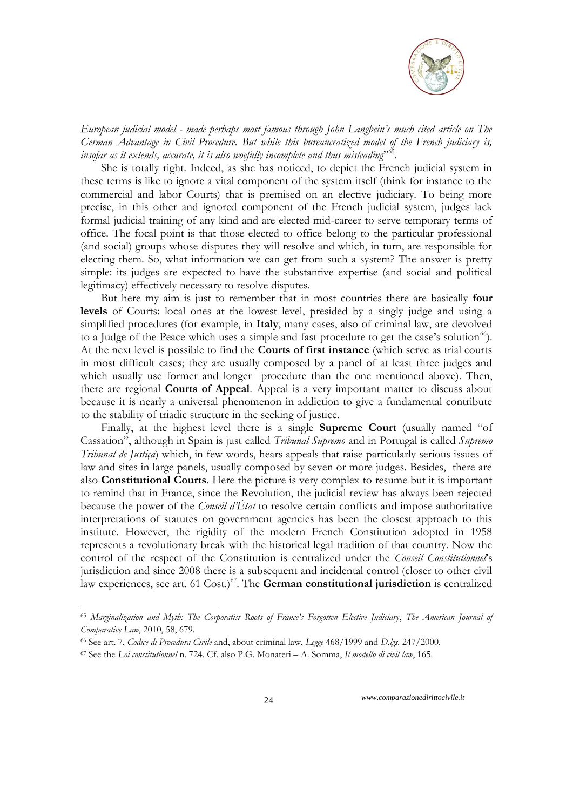

*European judicial model - made perhaps most famous through John Langbein"s much cited article on The German Advantage in Civil Procedure. But while this bureaucratized model of the French judiciary is, insofar as it extends, accurate, it is also woefully incomplete and thus misleading*" 65 *.* 

She is totally right. Indeed, as she has noticed, to depict the French judicial system in these terms is like to ignore a vital component of the system itself (think for instance to the commercial and labor Courts) that is premised on an elective judiciary. To being more precise, in this other and ignored component of the French judicial system, judges lack formal judicial training of any kind and are elected mid-career to serve temporary terms of office. The focal point is that those elected to office belong to the particular professional (and social) groups whose disputes they will resolve and which, in turn, are responsible for electing them. So, what information we can get from such a system? The answer is pretty simple: its judges are expected to have the substantive expertise (and social and political legitimacy) effectively necessary to resolve disputes.

But here my aim is just to remember that in most countries there are basically **four levels** of Courts: local ones at the lowest level, presided by a singly judge and using a simplified procedures (for example, in **Italy**, many cases, also of criminal law, are devolved to a Judge of the Peace which uses a simple and fast procedure to get the case's solution<sup>66</sup>). At the next level is possible to find the **Courts of first instance** (which serve as trial courts in most difficult cases; they are usually composed by a panel of at least three judges and which usually use former and longer procedure than the one mentioned above). Then, there are regional **Courts of Appeal**. Appeal is a very important matter to discuss about because it is nearly a universal phenomenon in addiction to give a fundamental contribute to the stability of triadic structure in the seeking of justice.

Finally, at the highest level there is a single **Supreme Court** (usually named "of Cassation", although in Spain is just called *Tribunal Supremo* and in Portugal is called *Supremo Tribunal de Justiça*) which, in few words, hears appeals that raise particularly serious issues of law and sites in large panels, usually composed by seven or more judges. Besides, there are also **Constitutional Courts**. Here the picture is very complex to resume but it is important to remind that in France, since the Revolution, the judicial review has always been rejected because the power of the *Conseil d"État* to resolve certain conflicts and impose authoritative interpretations of statutes on government agencies has been the closest approach to this institute. However, the rigidity of the modern French Constitution adopted in 1958 represents a revolutionary break with the historical legal tradition of that country. Now the control of the respect of the Constitution is centralized under the *Conseil Constitutionnel*'s jurisdiction and since 2008 there is a subsequent and incidental control (closer to other civil law experiences, see art. 61 Cost.)<sup>67</sup>. The **German constitutional jurisdiction** is centralized

<u>.</u>

<sup>65</sup> *Marginalization and Myth: The Corporatist Roots of France"s Forgotten Elective Judiciary*, *The American Journal of Comparative Law*, 2010, 58, 679.

<sup>66</sup> See art. 7, *Codice di Procedura Civile* and, about criminal law, *Legge* 468/1999 and *D.lgs.* 247/2000.

<sup>67</sup> See the *Loi constitutionnel* n. 724. Cf. also P.G. Monateri – A. Somma, *Il modello di civil law*, 165.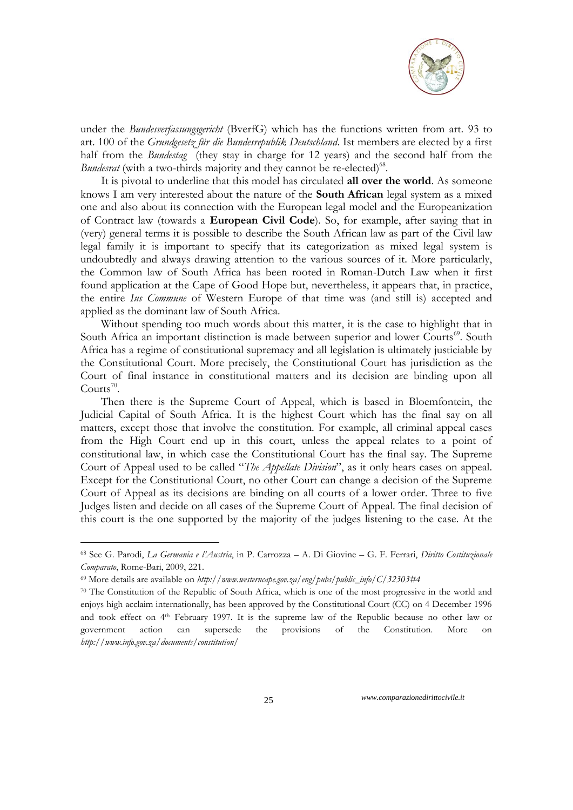

under the *Bundesverfassungsgericht* (BverfG) which has the functions written from art. 93 to art. 100 of the *Grundgesetz für die Bundesrepublik Deutschland*. Ist members are elected by a first half from the *Bundestag* (they stay in charge for 12 years) and the second half from the Bundesrat (with a two-thirds majority and they cannot be re-elected)<sup>68</sup>.

It is pivotal to underline that this model has circulated **all over the world**. As someone knows I am very interested about the nature of the **South African** legal system as a mixed one and also about its connection with the European legal model and the Europeanization of Contract law (towards a **European Civil Code**). So, for example, after saying that in (very) general terms it is possible to describe the South African law as part of the Civil law legal family it is important to specify that its categorization as mixed legal system is undoubtedly and always drawing attention to the various sources of it. More particularly, the Common law of South Africa has been rooted in Roman-Dutch Law when it first found application at the Cape of Good Hope but, nevertheless, it appears that, in practice, the entire *Ius Commune* of Western Europe of that time was (and still is) accepted and applied as the dominant law of South Africa.

Without spending too much words about this matter, it is the case to highlight that in South Africa an important distinction is made between superior and lower Courts<sup>69</sup>. South Africa has a regime of constitutional supremacy and all legislation is ultimately justiciable by the Constitutional Court. More precisely, the Constitutional Court has jurisdiction as the Court of final instance in constitutional matters and its decision are binding upon all Courts<sup>70</sup>.

Then there is the Supreme Court of Appeal, which is based in Bloemfontein, the Judicial Capital of South Africa. It is the highest Court which has the final say on all matters, except those that involve the constitution. For example, all criminal appeal cases from the High Court end up in this court, unless the appeal relates to a point of constitutional law, in which case the Constitutional Court has the final say. The Supreme Court of Appeal used to be called "*The Appellate Division*", as it only hears cases on appeal. Except for the Constitutional Court, no other Court can change a decision of the Supreme Court of Appeal as its decisions are binding on all courts of a lower order. Three to five Judges listen and decide on all cases of the Supreme Court of Appeal. The final decision of this court is the one supported by the majority of the judges listening to the case. At the

<u>.</u>

<sup>68</sup> See G. Parodi, *La Germania e l"Austria*, in P. Carrozza – A. Di Giovine – G. F. Ferrari, *Diritto Costituzionale Comparato*, Rome-Bari, 2009, 221.

<sup>69</sup> More details are available on *http://www.westerncape.gov.za/eng/pubs/public\_info/C/32303#4*

<sup>70</sup> The Constitution of the Republic of South Africa, which is one of the most progressive in the world and enjoys high acclaim internationally, has been approved by the Constitutional Court (CC) on 4 December 1996 and took effect on 4<sup>th</sup> February 1997. It is the supreme law of the Republic because no other law or government action can supersede the provisions of the Constitution. More on *http://www.info.gov.za/documents/constitution/*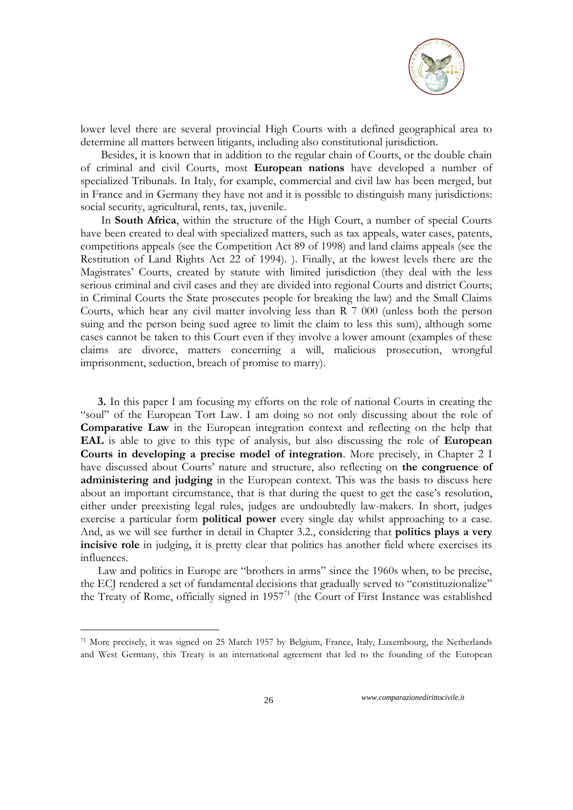

lower level there are several provincial High Courts with a defined geographical area to determine all matters between litigants, including also constitutional jurisdiction.

Besides, it is known that in addition to the regular chain of Courts, or the double chain of criminal and civil Courts, most **European nations** have developed a number of specialized Tribunals. In Italy, for example, commercial and civil law has been merged, but in France and in Germany they have not and it is possible to distinguish many jurisdictions: social security, agricultural, rents, tax, juvenile.

In **South Africa**, within the structure of the High Court, a number of special Courts have been created to deal with specialized matters, such as tax appeals, water cases, patents, competitions appeals (see the Competition Act 89 of 1998) and land claims appeals (see the Restitution of Land Rights Act 22 of 1994). ). Finally, at the lowest levels there are the Magistrates' Courts, created by statute with limited jurisdiction (they deal with the less serious criminal and civil cases and they are divided into regional Courts and district Courts; in Criminal Courts the State prosecutes people for breaking the law) and the Small Claims Courts, which hear any civil matter involving less than R 7 000 (unless both the person suing and the person being sued agree to limit the claim to less this sum), although some cases cannot be taken to this Court even if they involve a lower amount (examples of these claims are divorce, matters concerning a will, malicious prosecution, wrongful imprisonment, seduction, breach of promise to marry).

**3.** In this paper I am focusing my efforts on the role of national Courts in creating the "soul" of the European Tort Law. I am doing so not only discussing about the role of **Comparative Law** in the European integration context and reflecting on the help that **EAL** is able to give to this type of analysis, but also discussing the role of **European Courts in developing a precise model of integration**. More precisely, in Chapter 2 I have discussed about Courts' nature and structure, also reflecting on **the congruence of administering and judging** in the European context. This was the basis to discuss here about an important circumstance, that is that during the quest to get the case's resolution, either under preexisting legal rules, judges are undoubtedly law-makers. In short, judges exercise a particular form **political power** every single day whilst approaching to a case. And, as we will see further in detail in Chapter 3.2., considering that **politics plays a very incisive role** in judging, it is pretty clear that politics has another field where exercises its influences.

Law and politics in Europe are "brothers in arms" since the 1960s when, to be precise, the ECJ rendered a set of fundamental decisions that gradually served to "constituzionalize" the Treaty of Rome, officially signed in 1957<sup>71</sup> (the Court of First Instance was established

1

<sup>71</sup> More precisely, it was signed on 25 March 1957 by [Belgium,](http://en.wikipedia.org/wiki/Belgium) [France,](http://en.wikipedia.org/wiki/France) [Italy,](http://en.wikipedia.org/wiki/Italy) [Luxembourg,](http://en.wikipedia.org/wiki/Luxembourg) the [Netherlands](http://en.wikipedia.org/wiki/Netherlands) and [West Germany,](http://en.wikipedia.org/wiki/West_Germany) this Treaty is an international agreement that led to the founding of the [European](http://en.wikipedia.org/wiki/European_Economic_Community)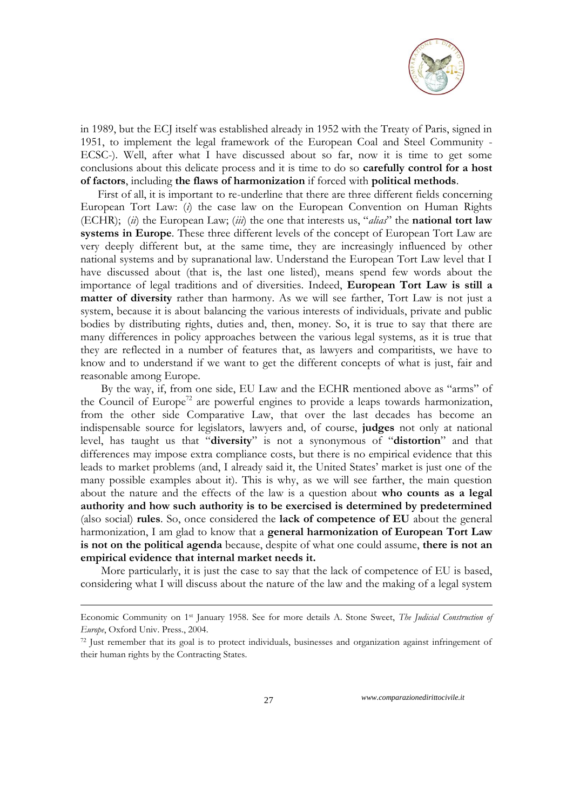

in 1989, but the ECJ itself was established already in 1952 with the Treaty of Paris, signed in 1951, to implement the legal framework of the European Coal and Steel Community - ECSC-). Well, after what I have discussed about so far, now it is time to get some conclusions about this delicate process and it is time to do so **carefully control for a host of factors**, including **the flaws of harmonization** if forced with **political methods**.

First of all, it is important to re-underline that there are three different fields concerning European Tort Law: (*i*) the case law on the European Convention on Human Rights (ECHR); (*ii*) the European Law; (*iii*) the one that interests us, "*alias*" the **national tort law systems in Europe**. These three different levels of the concept of European Tort Law are very deeply different but, at the same time, they are increasingly influenced by other national systems and by supranational law. Understand the European Tort Law level that I have discussed about (that is, the last one listed), means spend few words about the importance of legal traditions and of diversities. Indeed, **European Tort Law is still a matter of diversity** rather than harmony. As we will see farther, Tort Law is not just a system, because it is about balancing the various interests of individuals, private and public bodies by distributing rights, duties and, then, money. So, it is true to say that there are many differences in policy approaches between the various legal systems, as it is true that they are reflected in a number of features that, as lawyers and comparitists, we have to know and to understand if we want to get the different concepts of what is just, fair and reasonable among Europe.

By the way, if, from one side, EU Law and the ECHR mentioned above as "arms" of the Council of Europe<sup>72</sup> are powerful engines to provide a leaps towards harmonization, from the other side Comparative Law, that over the last decades has become an indispensable source for legislators, lawyers and, of course, **judges** not only at national level, has taught us that "**diversity**" is not a synonymous of "**distortion**" and that differences may impose extra compliance costs, but there is no empirical evidence that this leads to market problems (and, I already said it, the United States' market is just one of the many possible examples about it). This is why, as we will see farther, the main question about the nature and the effects of the law is a question about **who counts as a legal authority and how such authority is to be exercised is determined by predetermined**  (also social) **rules**. So, once considered the **lack of competence of EU** about the general harmonization, I am glad to know that a **general harmonization of European Tort Law is not on the political agenda** because, despite of what one could assume, **there is not an empirical evidence that internal market needs it.**

More particularly, it is just the case to say that the lack of competence of EU is based, considering what I will discuss about the nature of the law and the making of a legal system

27 *www.comparazionedirittocivile.it*

<u>.</u>

Economic Community on 1st January 1958. See for more details A. Stone Sweet, *The Judicial Construction of Europe*, Oxford Univ. Press., 2004.

<sup>72</sup> Just remember that its goal is to protect individuals, businesses and organization against infringement of their human rights by the Contracting States.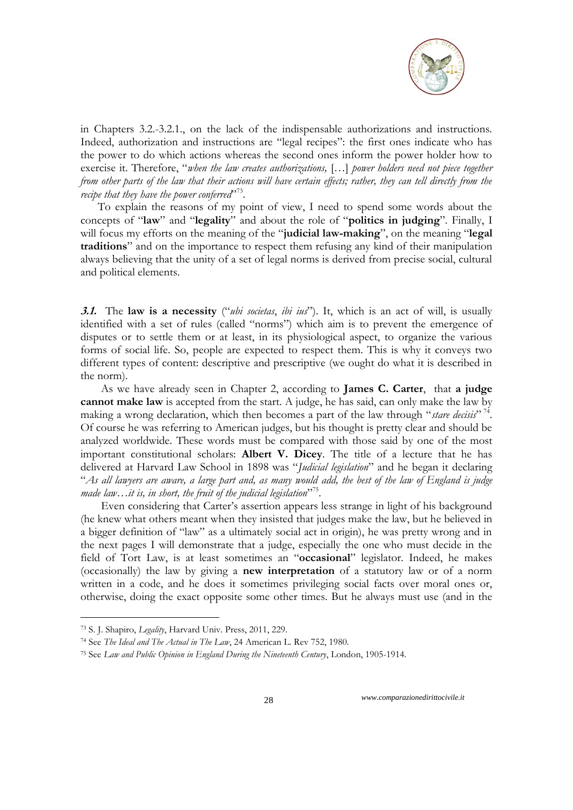

in Chapters 3.2.-3.2.1., on the lack of the indispensable authorizations and instructions. Indeed, authorization and instructions are "legal recipes": the first ones indicate who has the power to do which actions whereas the second ones inform the power holder how to exercise it. Therefore, "*when the law creates authorizations,* […] *power holders need not piece together from other parts of the law that their actions will have certain effects; rather, they can tell directly from the*  recipe that they have the power conferred<sup>,73</sup>.

To explain the reasons of my point of view, I need to spend some words about the concepts of "**law**" and "**legality**" and about the role of "**politics in judging**". Finally, I will focus my efforts on the meaning of the "**judicial law-making**", on the meaning "**legal traditions**" and on the importance to respect them refusing any kind of their manipulation always believing that the unity of a set of legal norms is derived from precise social, cultural and political elements.

**3.1.** The **law is a necessity** ("*ubi societas*, *ibi ius*"). It, which is an act of will, is usually identified with a set of rules (called "norms") which aim is to prevent the emergence of disputes or to settle them or at least, in its physiological aspect, to organize the various forms of social life. So, people are expected to respect them. This is why it conveys two different types of content: descriptive and prescriptive (we ought do what it is described in the norm).

As we have already seen in Chapter 2, according to **James C. Carter**, that **a judge cannot make law** is accepted from the start. A judge, he has said, can only make the law by making a wrong declaration, which then becomes a part of the law through "*stare decisis*" 74 . Of course he was referring to American judges, but his thought is pretty clear and should be analyzed worldwide. These words must be compared with those said by one of the most important constitutional scholars: **Albert V. Dicey**. The title of a lecture that he has delivered at Harvard Law School in 1898 was "*Judicial legislation*" and he began it declaring "*As all lawyers are aware, a large part and, as many would add, the best of the law of England is judge made law…it is, in short, the fruit of the judicial legislation*" 75 .

Even considering that Carter's assertion appears less strange in light of his background (he knew what others meant when they insisted that judges make the law, but he believed in a bigger definition of "law" as a ultimately social act in origin), he was pretty wrong and in the next pages I will demonstrate that a judge, especially the one who must decide in the field of Tort Law, is at least sometimes an "**occasional**" legislator. Indeed, he makes (occasionally) the law by giving a **new interpretation** of a statutory law or of a norm written in a code, and he does it sometimes privileging social facts over moral ones or, otherwise, doing the exact opposite some other times. But he always must use (and in the

<u>.</u>

<sup>73</sup> S. J. Shapiro, *Legality*, Harvard Univ. Press, 2011, 229.

<sup>74</sup> See *The Ideal and The Actual in The Law*, 24 American L. Rev 752, 1980.

<sup>75</sup> See *Law and Public Opinion in England During the Nineteenth Century*, London, 1905-1914.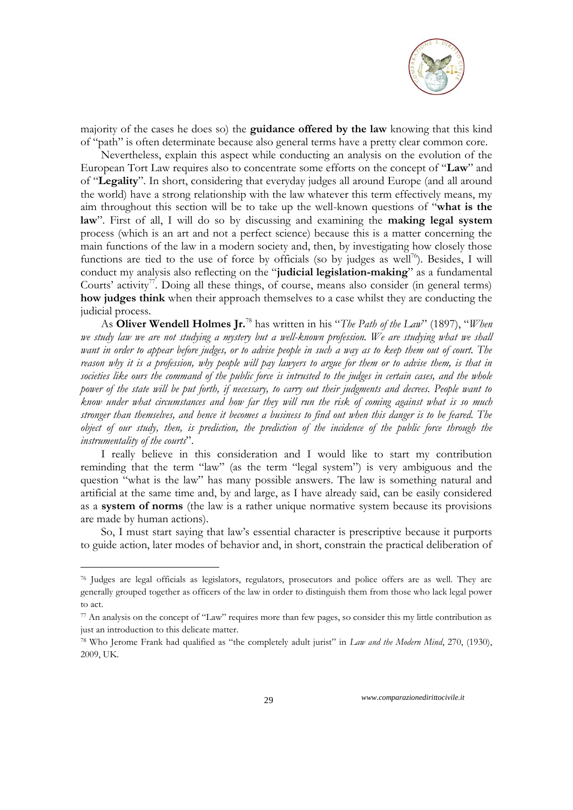

majority of the cases he does so) the **guidance offered by the law** knowing that this kind of "path" is often determinate because also general terms have a pretty clear common core.

Nevertheless, explain this aspect while conducting an analysis on the evolution of the European Tort Law requires also to concentrate some efforts on the concept of "**Law**" and of "**Legality**". In short, considering that everyday judges all around Europe (and all around the world) have a strong relationship with the law whatever this term effectively means, my aim throughout this section will be to take up the well-known questions of "**what is the law**". First of all, I will do so by discussing and examining the **making legal system**  process (which is an art and not a perfect science) because this is a matter concerning the main functions of the law in a modern society and, then, by investigating how closely those functions are tied to the use of force by officials (so by judges as well<sup>76</sup>). Besides, I will conduct my analysis also reflecting on the "**judicial legislation-making**" as a fundamental Courts' activity<sup>77</sup>. Doing all these things, of course, means also consider (in general terms) **how judges think** when their approach themselves to a case whilst they are conducting the judicial process.

As **Oliver Wendell Holmes Jr.**<sup>78</sup> has written in his "*The Path of the Law*" (1897), "*When*  we study law we are not studying a mystery but a well-known profession. We are studying what we shall *want in order to appear before judges, or to advise people in such a way as to keep them out of court. The reason why it is a profession, why people will pay lawyers to argue for them or to advise them, is that in societies like ours the command of the public force is intrusted to the judges in certain cases, and the whole power of the state will be put forth, if necessary, to carry out their judgments and decrees. People want to know under what circumstances and how far they will run the risk of coming against what is so much stronger than themselves, and hence it becomes a business to find out when this danger is to be feared. The object of our study, then, is prediction, the prediction of the incidence of the public force through the instrumentality of the courts*".

I really believe in this consideration and I would like to start my contribution reminding that the term "law" (as the term "legal system") is very ambiguous and the question "what is the law" has many possible answers. The law is something natural and artificial at the same time and, by and large, as I have already said, can be easily considered as a **system of norms** (the law is a rather unique normative system because its provisions are made by human actions).

So, I must start saying that law's essential character is prescriptive because it purports to guide action, later modes of behavior and, in short, constrain the practical deliberation of

<u>.</u>

<sup>76</sup> Judges are legal officials as legislators, regulators, prosecutors and police offers are as well. They are generally grouped together as officers of the law in order to distinguish them from those who lack legal power to act.

<sup>77</sup> An analysis on the concept of "Law" requires more than few pages, so consider this my little contribution as just an introduction to this delicate matter.

<sup>78</sup> Who Jerome Frank had qualified as "the completely adult jurist" in *Law and the Modern Mind*, 270, (1930), 2009, UK.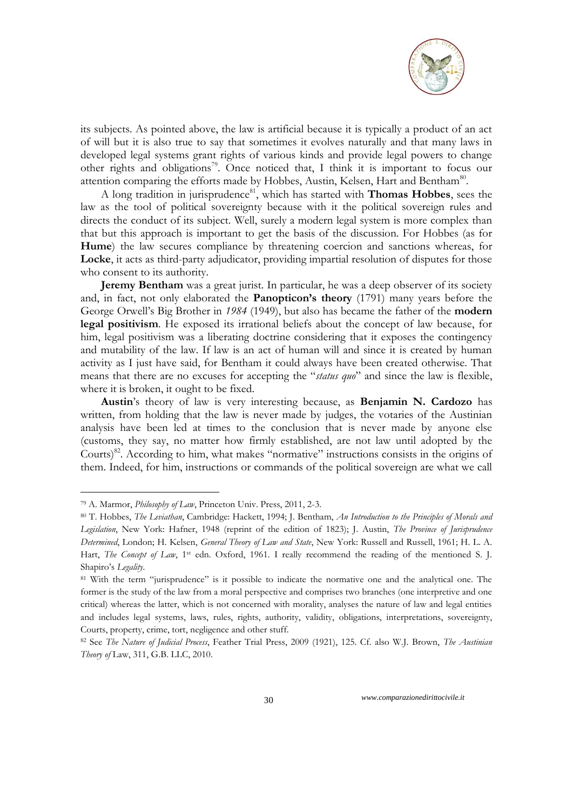

its subjects. As pointed above, the law is artificial because it is typically a product of an act of will but it is also true to say that sometimes it evolves naturally and that many laws in developed legal systems grant rights of various kinds and provide legal powers to change other rights and obligations<sup>79</sup>. Once noticed that, I think it is important to focus our attention comparing the efforts made by Hobbes, Austin, Kelsen, Hart and Bentham<sup>80</sup>.

A long tradition in jurisprudence<sup>81</sup>, which has started with **Thomas Hobbes**, sees the law as the tool of political sovereignty because with it the political sovereign rules and directs the conduct of its subject. Well, surely a modern legal system is more complex than that but this approach is important to get the basis of the discussion. For Hobbes (as for **Hume**) the law secures compliance by threatening coercion and sanctions whereas, for **Locke**, it acts as third-party adjudicator, providing impartial resolution of disputes for those who consent to its authority.

**Jeremy Bentham** was a great jurist. In particular, he was a deep observer of its society and, in fact, not only elaborated the **Panopticon's theory** (1791) many years before the George Orwell's Big Brother in *1984* (1949), but also has became the father of the **modern legal positivism**. He exposed its irrational beliefs about the concept of law because, for him, legal positivism was a liberating doctrine considering that it exposes the contingency and mutability of the law. If law is an act of human will and since it is created by human activity as I just have said, for Bentham it could always have been created otherwise. That means that there are no excuses for accepting the "*status quo*" and since the law is flexible, where it is broken, it ought to be fixed.

**Austin**'s theory of law is very interesting because, as **Benjamin N. Cardozo** has written, from holding that the law is never made by judges, the votaries of the Austinian analysis have been led at times to the conclusion that is never made by anyone else (customs, they say, no matter how firmly established, are not law until adopted by the Courts) $82$ . According to him, what makes "normative" instructions consists in the origins of them. Indeed, for him, instructions or commands of the political sovereign are what we call

<u>.</u>

<sup>79</sup> A. Marmor, *Philosophy of Law*, Princeton Univ. Press, 2011, 2-3.

<sup>80</sup> T. Hobbes, *The Leviathan*, Cambridge: Hackett, 1994; J. Bentham, *An Introduction to the Principles of Morals and Legislation*, New York: Hafner, 1948 (reprint of the edition of 1823); J. Austin, *The Province of Jurisprudence Determined*, London; H. Kelsen, *General Theory of Law and State*, New York: Russell and Russell, 1961; H. L. A. Hart, *The Concept of Law*, 1<sup>st</sup> edn. Oxford, 1961. I really recommend the reading of the mentioned S. J. Shapiro's *Legality*.

<sup>81</sup> With the term "jurisprudence" is it possible to indicate the normative one and the analytical one. The former is the study of the law from a moral perspective and comprises two branches (one interpretive and one critical) whereas the latter, which is not concerned with morality, analyses the nature of law and legal entities and includes legal systems, laws, rules, rights, authority, validity, obligations, interpretations, sovereignty, Courts, property, crime, tort, negligence and other stuff.

<sup>82</sup> See *The Nature of Judicial Process*, Feather Trial Press, 2009 (1921), 125. Cf. also W.J. Brown, *The Austinian Theory of* Law, 311, G.B. LLC, 2010.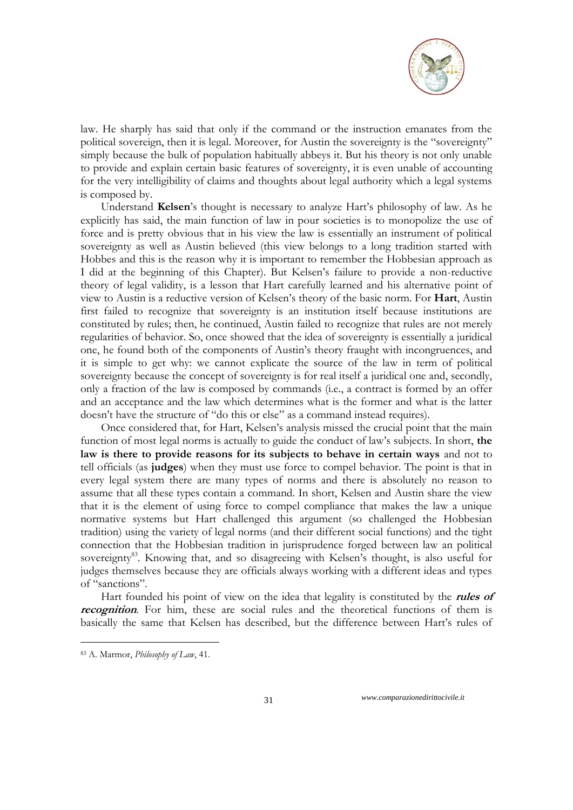

law. He sharply has said that only if the command or the instruction emanates from the political sovereign, then it is legal. Moreover, for Austin the sovereignty is the "sovereignty" simply because the bulk of population habitually abbeys it. But his theory is not only unable to provide and explain certain basic features of sovereignty, it is even unable of accounting for the very intelligibility of claims and thoughts about legal authority which a legal systems is composed by.

Understand **Kelsen**'s thought is necessary to analyze Hart's philosophy of law. As he explicitly has said, the main function of law in pour societies is to monopolize the use of force and is pretty obvious that in his view the law is essentially an instrument of political sovereignty as well as Austin believed (this view belongs to a long tradition started with Hobbes and this is the reason why it is important to remember the Hobbesian approach as I did at the beginning of this Chapter). But Kelsen's failure to provide a non-reductive theory of legal validity, is a lesson that Hart carefully learned and his alternative point of view to Austin is a reductive version of Kelsen's theory of the basic norm. For **Hart**, Austin first failed to recognize that sovereignty is an institution itself because institutions are constituted by rules; then, he continued, Austin failed to recognize that rules are not merely regularities of behavior. So, once showed that the idea of sovereignty is essentially a juridical one, he found both of the components of Austin's theory fraught with incongruences, and it is simple to get why: we cannot explicate the source of the law in term of political sovereignty because the concept of sovereignty is for real itself a juridical one and, secondly, only a fraction of the law is composed by commands (i.e., a contract is formed by an offer and an acceptance and the law which determines what is the former and what is the latter doesn't have the structure of "do this or else" as a command instead requires).

Once considered that, for Hart, Kelsen's analysis missed the crucial point that the main function of most legal norms is actually to guide the conduct of law's subjects. In short, **the law is there to provide reasons for its subjects to behave in certain ways** and not to tell officials (as **judges**) when they must use force to compel behavior. The point is that in every legal system there are many types of norms and there is absolutely no reason to assume that all these types contain a command. In short, Kelsen and Austin share the view that it is the element of using force to compel compliance that makes the law a unique normative systems but Hart challenged this argument (so challenged the Hobbesian tradition) using the variety of legal norms (and their different social functions) and the tight connection that the Hobbesian tradition in jurisprudence forged between law an political sovereignty<sup>83</sup>. Knowing that, and so disagreeing with Kelsen's thought, is also useful for judges themselves because they are officials always working with a different ideas and types of "sanctions".

Hart founded his point of view on the idea that legality is constituted by the **rules of recognition**. For him, these are social rules and the theoretical functions of them is basically the same that Kelsen has described, but the difference between Hart's rules of

<u>.</u>

<sup>83</sup> A. Marmor, *Philosophy of Law*, 41.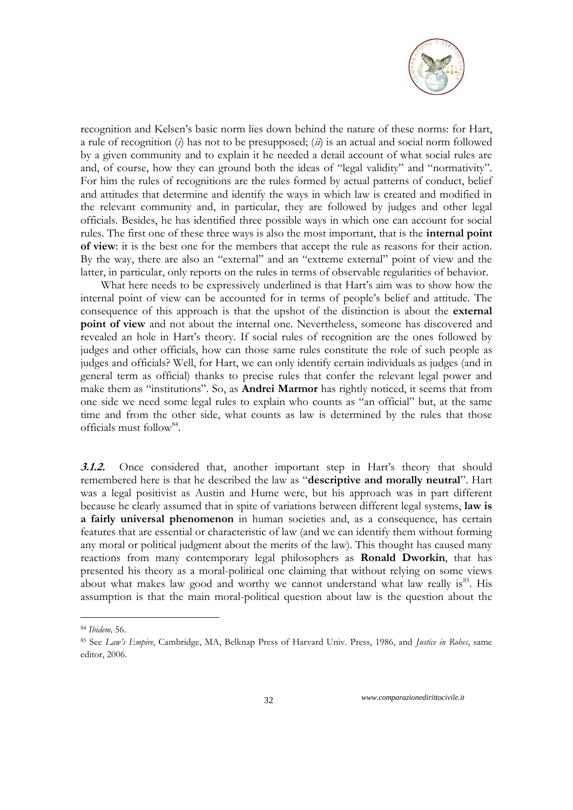

recognition and Kelsen's basic norm lies down behind the nature of these norms: for Hart, a rule of recognition (*i*) has not to be presupposed; (*ii*) is an actual and social norm followed by a given community and to explain it he needed a detail account of what social rules are and, of course, how they can ground both the ideas of "legal validity" and "normativity". For him the rules of recognitions are the rules formed by actual patterns of conduct, belief and attitudes that determine and identify the ways in which law is created and modified in the relevant community and, in particular, they are followed by judges and other legal officials. Besides, he has identified three possible ways in which one can account for social rules. The first one of these three ways is also the most important, that is the **internal point of view**: it is the best one for the members that accept the rule as reasons for their action. By the way, there are also an "external" and an "extreme external" point of view and the latter, in particular, only reports on the rules in terms of observable regularities of behavior.

What here needs to be expressively underlined is that Hart's aim was to show how the internal point of view can be accounted for in terms of people's belief and attitude. The consequence of this approach is that the upshot of the distinction is about the **external point of view** and not about the internal one. Nevertheless, someone has discovered and revealed an hole in Hart's theory. If social rules of recognition are the ones followed by judges and other officials, how can those same rules constitute the role of such people as judges and officials? Well, for Hart, we can only identify certain individuals as judges (and in general term as official) thanks to precise rules that confer the relevant legal power and make them as "institutions". So, as **Andrei Marmor** has rightly noticed, it seems that from one side we need some legal rules to explain who counts as "an official" but, at the same time and from the other side, what counts as law is determined by the rules that those officials must follow<sup>84</sup>.

**3.1.2.** Once considered that, another important step in Hart's theory that should remembered here is that he described the law as "**descriptive and morally neutral**". Hart was a legal positivist as Austin and Hume were, but his approach was in part different because he clearly assumed that in spite of variations between different legal systems, **law is a fairly universal phenomenon** in human societies and, as a consequence, has certain features that are essential or characteristic of law (and we can identify them without forming any moral or political judgment about the merits of the law). This thought has caused many reactions from many contemporary legal philosophers as **Ronald Dworkin**, that has presented his theory as a moral-political one claiming that without relying on some views about what makes law good and worthy we cannot understand what law really is<sup>85</sup>. His assumption is that the main moral-political question about law is the question about the

<u>.</u>

<sup>84</sup> *Ibidem,* 56.

<sup>85</sup> See *Law"s Empire*, Cambridge, MA, Belknap Press of Harvard Univ. Press, 1986, and *Justice in Robes*, same editor, 2006.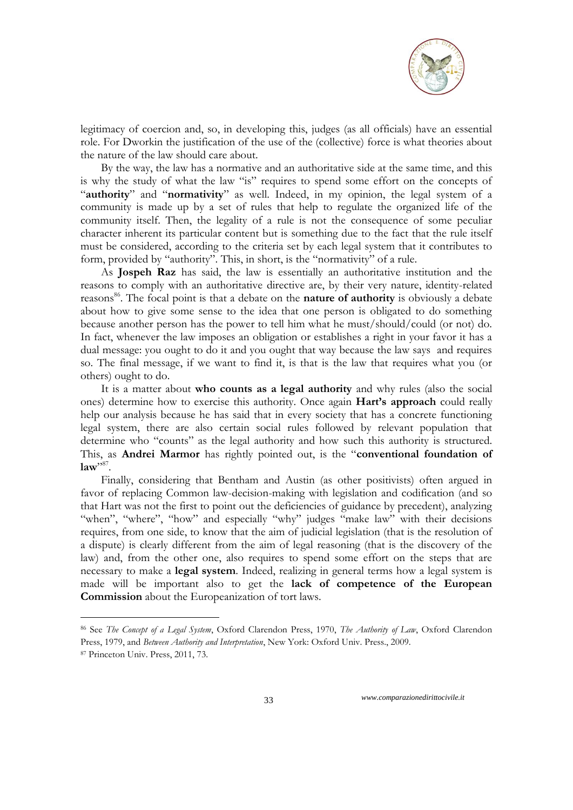

legitimacy of coercion and, so, in developing this, judges (as all officials) have an essential role. For Dworkin the justification of the use of the (collective) force is what theories about the nature of the law should care about.

By the way, the law has a normative and an authoritative side at the same time, and this is why the study of what the law "is" requires to spend some effort on the concepts of "**authority**" and "**normativity**" as well. Indeed, in my opinion, the legal system of a community is made up by a set of rules that help to regulate the organized life of the community itself. Then, the legality of a rule is not the consequence of some peculiar character inherent its particular content but is something due to the fact that the rule itself must be considered, according to the criteria set by each legal system that it contributes to form, provided by "authority". This, in short, is the "normativity" of a rule.

As **Jospeh Raz** has said, the law is essentially an authoritative institution and the reasons to comply with an authoritative directive are, by their very nature, identity-related reasons<sup>86</sup>. The focal point is that a debate on the **nature of authority** is obviously a debate about how to give some sense to the idea that one person is obligated to do something because another person has the power to tell him what he must/should/could (or not) do. In fact, whenever the law imposes an obligation or establishes a right in your favor it has a dual message: you ought to do it and you ought that way because the law says and requires so. The final message, if we want to find it, is that is the law that requires what you (or others) ought to do.

It is a matter about **who counts as a legal authority** and why rules (also the social ones) determine how to exercise this authority. Once again **Hart's approach** could really help our analysis because he has said that in every society that has a concrete functioning legal system, there are also certain social rules followed by relevant population that determine who "counts" as the legal authority and how such this authority is structured. This, as **Andrei Marmor** has rightly pointed out, is the "**conventional foundation of**   $law$ <sup>"87</sup>.

Finally, considering that Bentham and Austin (as other positivists) often argued in favor of replacing Common law-decision-making with legislation and codification (and so that Hart was not the first to point out the deficiencies of guidance by precedent), analyzing "when", "where", "how" and especially "why" judges "make law" with their decisions requires, from one side, to know that the aim of judicial legislation (that is the resolution of a dispute) is clearly different from the aim of legal reasoning (that is the discovery of the law) and, from the other one, also requires to spend some effort on the steps that are necessary to make a **legal system**. Indeed, realizing in general terms how a legal system is made will be important also to get the **lack of competence of the European Commission** about the Europeanization of tort laws.

<u>.</u>

<sup>86</sup> See *The Concept of a Legal System*, Oxford Clarendon Press, 1970, *The Authority of Law*, Oxford Clarendon Press, 1979, and *Between Authority and Interpretation*, New York: Oxford Univ. Press., 2009.

<sup>87</sup> Princeton Univ. Press, 2011, 73.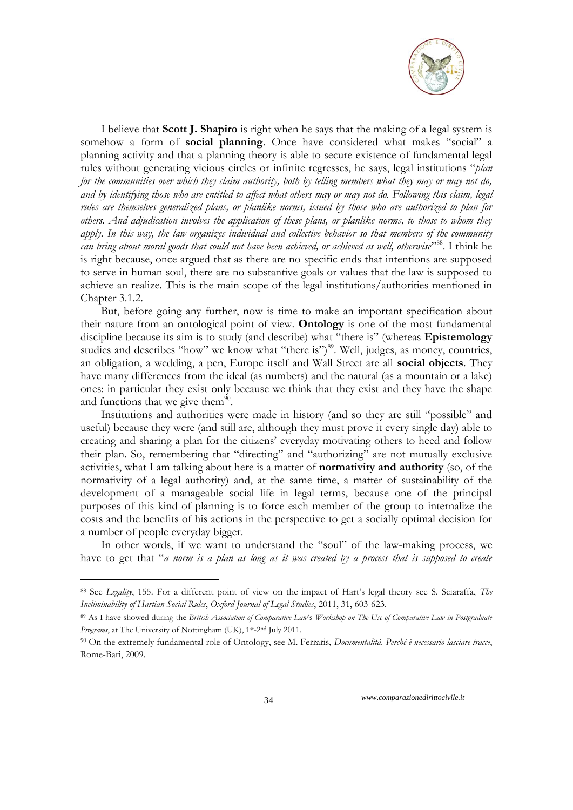

I believe that **Scott J. Shapiro** is right when he says that the making of a legal system is somehow a form of **social planning**. Once have considered what makes "social" a planning activity and that a planning theory is able to secure existence of fundamental legal rules without generating vicious circles or infinite regresses, he says, legal institutions "*plan for the communities over which they claim authority, both by telling members what they may or may not do, and by identifying those who are entitled to affect what others may or may not do. Following this claim, legal rules are themselves generalized plans, or planlike norms, issued by those who are authorized to plan for others. And adjudication involves the application of these plans, or planlike norms, to those to whom they apply. In this way, the law organizes individual and collective behavior so that members of the community can bring about moral goods that could not have been achieved, or achieved as well, otherwise*" <sup>88</sup>. I think he is right because, once argued that as there are no specific ends that intentions are supposed to serve in human soul, there are no substantive goals or values that the law is supposed to achieve an realize. This is the main scope of the legal institutions/authorities mentioned in Chapter 3.1.2.

But, before going any further, now is time to make an important specification about their nature from an ontological point of view. **Ontology** is one of the most fundamental discipline because its aim is to study (and describe) what "there is" (whereas **Epistemology** studies and describes "how" we know what "there is") <sup>89</sup>. Well, judges, as money, countries, an obligation, a wedding, a pen, Europe itself and Wall Street are all **social objects**. They have many differences from the ideal (as numbers) and the natural (as a mountain or a lake) ones: in particular they exist only because we think that they exist and they have the shape and functions that we give them $90$ .

Institutions and authorities were made in history (and so they are still "possible" and useful) because they were (and still are, although they must prove it every single day) able to creating and sharing a plan for the citizens' everyday motivating others to heed and follow their plan. So, remembering that "directing" and "authorizing" are not mutually exclusive activities, what I am talking about here is a matter of **normativity and authority** (so, of the normativity of a legal authority) and, at the same time, a matter of sustainability of the development of a manageable social life in legal terms, because one of the principal purposes of this kind of planning is to force each member of the group to internalize the costs and the benefits of his actions in the perspective to get a socially optimal decision for a number of people everyday bigger.

In other words, if we want to understand the "soul" of the law-making process, we have to get that "*a norm is a plan as long as it was created by a process that is supposed to create* 

<u>.</u>

<sup>88</sup> See *Legality*, 155. For a different point of view on the impact of Hart's legal theory see S. Sciaraffa, *The Ineliminability of Hartian Social Rules*, *Oxford Journal of Legal Studies*, 2011, 31, 603-623.

<sup>89</sup> As I have showed during the *British Association of Comparative Law*'s *Workshop on The Use of Comparative Law in Postgraduate Programs*, at The University of Nottingham (UK), 1st-2nd July 2011.

<sup>90</sup> On the extremely fundamental role of Ontology, see M. Ferraris, *Documentalità. Perché è necessario lasciare tracce*, Rome-Bari, 2009.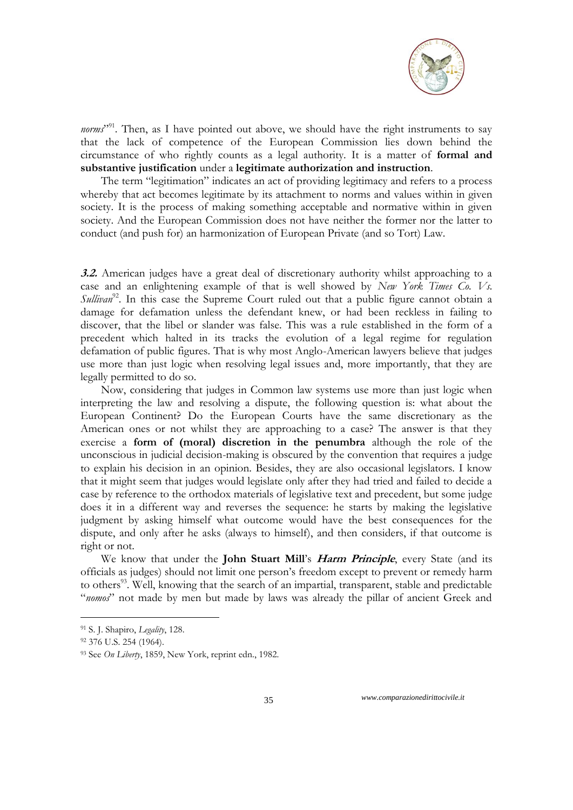

norms<sup>",91</sup>. Then, as I have pointed out above, we should have the right instruments to say that the lack of competence of the European Commission lies down behind the circumstance of who rightly counts as a legal authority. It is a matter of **formal and substantive justification** under a **legitimate authorization and instruction**.

The term "legitimation" indicates an act of providing legitimacy and refers to a process whereby that act becomes legitimate by its attachment to [norms](http://en.wikipedia.org/wiki/Norm_%28sociology%29) and [values](http://en.wikipedia.org/wiki/Values) within in given [society.](http://en.wikipedia.org/wiki/Society) It is the process of making something acceptable and normative within in given society. And the European Commission does not have neither the former nor the latter to conduct (and push for) an harmonization of European Private (and so Tort) Law.

**3.2.** American judges have a great deal of discretionary authority whilst approaching to a case and an enlightening example of that is well showed by *New York Times Co. Vs. Sullivan*<sup>92</sup>. In this case the Supreme Court ruled out that a public figure cannot obtain a damage for defamation unless the defendant knew, or had been reckless in failing to discover, that the libel or slander was false. This was a rule established in the form of a precedent which halted in its tracks the evolution of a legal regime for regulation defamation of public figures. That is why most Anglo-American lawyers believe that judges use more than just logic when resolving legal issues and, more importantly, that they are legally permitted to do so.

Now, considering that judges in Common law systems use more than just logic when interpreting the law and resolving a dispute, the following question is: what about the European Continent? Do the European Courts have the same discretionary as the American ones or not whilst they are approaching to a case? The answer is that they exercise a **form of (moral) discretion in the penumbra** although the role of the unconscious in judicial decision-making is obscured by the convention that requires a judge to explain his decision in an opinion. Besides, they are also occasional legislators. I know that it might seem that judges would legislate only after they had tried and failed to decide a case by reference to the orthodox materials of legislative text and precedent, but some judge does it in a different way and reverses the sequence: he starts by making the legislative judgment by asking himself what outcome would have the best consequences for the dispute, and only after he asks (always to himself), and then considers, if that outcome is right or not.

We know that under the **John Stuart Mill**'s **Harm Principle**, every State (and its officials as judges) should not limit one person's freedom except to prevent or remedy harm to others<sup>93</sup>. Well, knowing that the search of an impartial, transparent, stable and predictable "*nomos*" not made by men but made by laws was already the pillar of ancient Greek and

<u>.</u>

<sup>91</sup> S. J. Shapiro, *Legality*, 128.

<sup>92 376</sup> U.S. 254 (1964).

<sup>93</sup> See *On Liberty*, 1859, New York, reprint edn., 1982.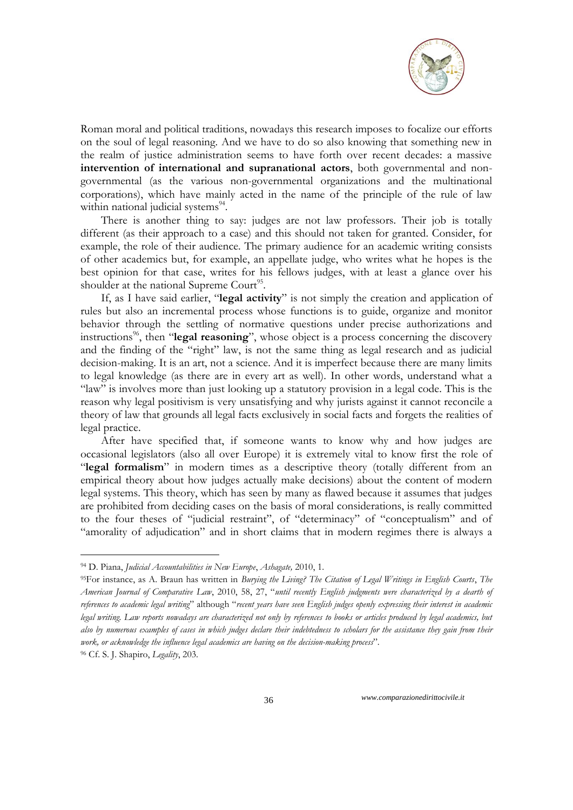

Roman moral and political traditions, nowadays this research imposes to focalize our efforts on the soul of legal reasoning. And we have to do so also knowing that something new in the realm of justice administration seems to have forth over recent decades: a massive **intervention of international and supranational actors**, both governmental and nongovernmental (as the various non-governmental organizations and the multinational corporations), which have mainly acted in the name of the principle of the rule of law within national judicial systems<sup>94</sup>.

There is another thing to say: judges are not law professors. Their job is totally different (as their approach to a case) and this should not taken for granted. Consider, for example, the role of their audience. The primary audience for an academic writing consists of other academics but, for example, an appellate judge, who writes what he hopes is the best opinion for that case, writes for his fellows judges, with at least a glance over his shoulder at the national Supreme Court<sup>95</sup>.

If, as I have said earlier, "**legal activity**" is not simply the creation and application of rules but also an incremental process whose functions is to guide, organize and monitor behavior through the settling of normative questions under precise authorizations and instructions<sup>96</sup>, then "**legal reasoning**", whose object is a process concerning the discovery and the finding of the "right" law, is not the same thing as legal research and as judicial decision-making. It is an art, not a science. And it is imperfect because there are many limits to legal knowledge (as there are in every art as well). In other words, understand what a "law" is involves more than just looking up a statutory provision in a legal code. This is the reason why legal positivism is very unsatisfying and why jurists against it cannot reconcile a theory of law that grounds all legal facts exclusively in social facts and forgets the realities of legal practice.

After have specified that, if someone wants to know why and how judges are occasional legislators (also all over Europe) it is extremely vital to know first the role of "**legal formalism**" in modern times as a descriptive theory (totally different from an empirical theory about how judges actually make decisions) about the content of modern legal systems. This theory, which has seen by many as flawed because it assumes that judges are prohibited from deciding cases on the basis of moral considerations, is really committed to the four theses of "judicial restraint", of "determinacy" of "conceptualism" and of "amorality of adjudication" and in short claims that in modern regimes there is always a

-

<sup>94</sup> D. Piana, *Judicial Accountabilities in New Europe*, *Ashagate,* 2010, 1.

<sup>95</sup>For instance, as A. Braun has written in *Burying the Living? The Citation of Legal Writings in English Courts*, *The American Journal of Comparative Law*, 2010, 58, 27, "*until recently English judgments were characterized by a dearth of references to academic legal writing*" although "*recent years have seen English judges openly expressing their interest in academic legal writing. Law reports nowadays are characterized not only by references to books or articles produced by legal academics, but also by numerous examples of cases in which judges declare their indebtedness to scholars for the assistance they gain from their work, or acknowledge the influence legal academics are having on the decision-making process*".

<sup>96</sup> Cf. S. J. Shapiro, *Legality*, 203.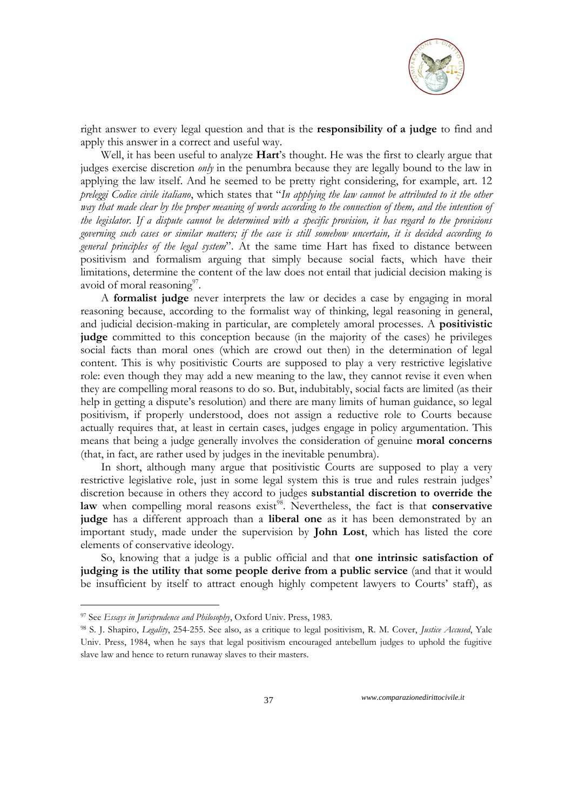

right answer to every legal question and that is the **responsibility of a judge** to find and apply this answer in a correct and useful way.

Well, it has been useful to analyze **Hart**'s thought. He was the first to clearly argue that judges exercise discretion *only* in the penumbra because they are legally bound to the law in applying the law itself. And he seemed to be pretty right considering, for example, art. 12 *preleggi Codice civile italiano*, which states that "*In applying the law cannot be attributed to it the other way that made clear by the proper meaning of words according to the connection of them, and the intention of the legislator. If a dispute cannot be determined with a specific provision, it has regard to the provisions governing such cases or similar matters; if the case is still somehow uncertain, it is decided according to general principles of the legal system*". At the same time Hart has fixed to distance between positivism and formalism arguing that simply because social facts, which have their limitations, determine the content of the law does not entail that judicial decision making is avoid of moral reasoning<sup>97</sup>.

A **formalist judge** never interprets the law or decides a case by engaging in moral reasoning because, according to the formalist way of thinking, legal reasoning in general, and judicial decision-making in particular, are completely amoral processes. A **positivistic judge** committed to this conception because (in the majority of the cases) he privileges social facts than moral ones (which are crowd out then) in the determination of legal content. This is why positivistic Courts are supposed to play a very restrictive legislative role: even though they may add a new meaning to the law, they cannot revise it even when they are compelling moral reasons to do so. But, indubitably, social facts are limited (as their help in getting a dispute's resolution) and there are many limits of human guidance, so legal positivism, if properly understood, does not assign a reductive role to Courts because actually requires that, at least in certain cases, judges engage in policy argumentation. This means that being a judge generally involves the consideration of genuine **moral concerns** (that, in fact, are rather used by judges in the inevitable penumbra).

In short, although many argue that positivistic Courts are supposed to play a very restrictive legislative role, just in some legal system this is true and rules restrain judges' discretion because in others they accord to judges **substantial discretion to override the**  law when compelling moral reasons exist<sup>98</sup>. Nevertheless, the fact is that conservative **judge** has a different approach than a **liberal one** as it has been demonstrated by an important study, made under the supervision by **John Lost**, which has listed the core elements of conservative ideology.

So, knowing that a judge is a public official and that **one intrinsic satisfaction of judging is the utility that some people derive from a public service** (and that it would be insufficient by itself to attract enough highly competent lawyers to Courts' staff), as

<u>.</u>

<sup>97</sup> See *Essays in Jurisprudence and Philosophy*, Oxford Univ. Press, 1983.

<sup>98</sup> S. J. Shapiro, *Legality*, 254-255. See also, as a critique to legal positivism, R. M. Cover, *Justice Accused*, Yale Univ. Press, 1984, when he says that legal positivism encouraged antebellum judges to uphold the fugitive slave law and hence to return runaway slaves to their masters.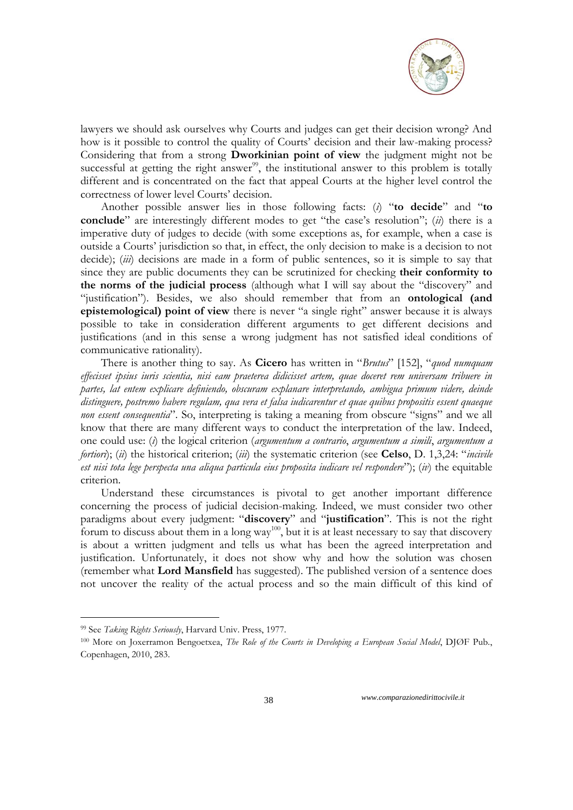

lawyers we should ask ourselves why Courts and judges can get their decision wrong? And how is it possible to control the quality of Courts' decision and their law-making process? Considering that from a strong **Dworkinian point of view** the judgment might not be successful at getting the right answer $99$ , the institutional answer to this problem is totally different and is concentrated on the fact that appeal Courts at the higher level control the correctness of lower level Courts' decision.

Another possible answer lies in those following facts: (*i*) "**to decide**" and "**to conclude**" are interestingly different modes to get "the case's resolution"; (*ii*) there is a imperative duty of judges to decide (with some exceptions as, for example, when a case is outside a Courts' jurisdiction so that, in effect, the only decision to make is a decision to not decide); (*iii*) decisions are made in a form of public sentences, so it is simple to say that since they are public documents they can be scrutinized for checking **their conformity to the norms of the judicial process** (although what I will say about the "discovery" and "justification"). Besides, we also should remember that from an **ontological (and epistemological) point of view** there is never "a single right" answer because it is always possible to take in consideration different arguments to get different decisions and justifications (and in this sense a wrong judgment has not satisfied ideal conditions of communicative rationality).

There is another thing to say. As **Cicero** has written in "*Brutus*" [152], "*quod numquam effecisset ipsius iuris scientia, nisi eam praeterea didicisset artem, quae doceret rem universam tribuere in partes, lat entem explicare definiendo, obscuram explanare interpretando, ambigua primum videre, deinde distinguere, postremo habere regulam, qua vera et falsa iudicarentur et quae quibus propositis essent quaeque non essent consequentia*". So, interpreting is taking a meaning from obscure "signs" and we all know that there are many different ways to conduct the interpretation of the law. Indeed, one could use: (*i*) the logical criterion (*argumentum a contrario*, *argumentum a simili*, *argumentum a fortiori*); (*ii*) the historical criterion; (*iii*) the systematic criterion (see **Celso**, D. 1,3,24: "*incivile est nisi tota lege perspecta una aliqua particula eius proposita iudicare vel respondere*"); (*iv*) the equitable criterion.

Understand these circumstances is pivotal to get another important difference concerning the process of judicial decision-making. Indeed, we must consider two other paradigms about every judgment: "**discovery**" and "**justification**". This is not the right forum to discuss about them in a long way<sup>100</sup>, but it is at least necessary to say that discovery is about a written judgment and tells us what has been the agreed interpretation and justification. Unfortunately, it does not show why and how the solution was chosen (remember what **Lord Mansfield** has suggested). The published version of a sentence does not uncover the reality of the actual process and so the main difficult of this kind of

<u>.</u>

<sup>99</sup> See *Taking Rights Seriously*, Harvard Univ. Press, 1977.

<sup>100</sup> More on Joxerramon Bengoetxea, *The Role of the Courts in Developing a European Social Model*, DJØF Pub., Copenhagen, 2010, 283.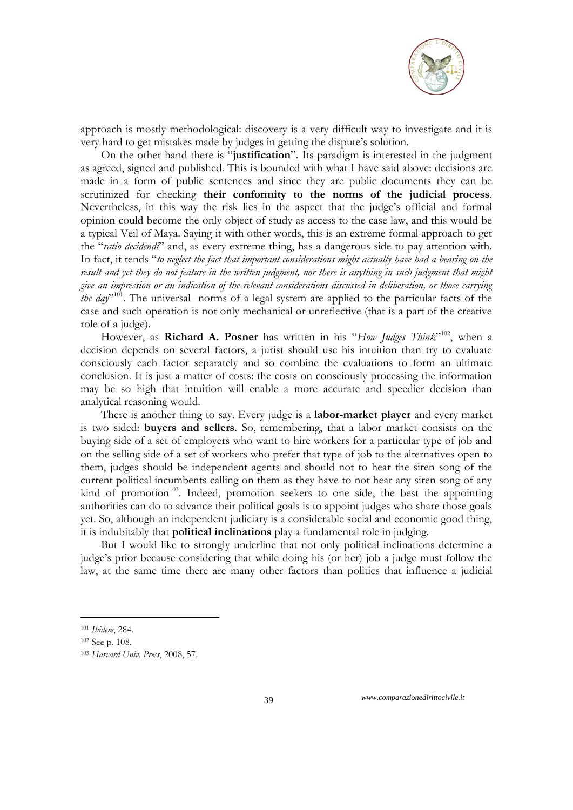

approach is mostly methodological: discovery is a very difficult way to investigate and it is very hard to get mistakes made by judges in getting the dispute's solution.

On the other hand there is "**justification**". Its paradigm is interested in the judgment as agreed, signed and published. This is bounded with what I have said above: decisions are made in a form of public sentences and since they are public documents they can be scrutinized for checking **their conformity to the norms of the judicial process**. Nevertheless, in this way the risk lies in the aspect that the judge's official and formal opinion could become the only object of study as access to the case law, and this would be a typical Veil of Maya. Saying it with other words, this is an extreme formal approach to get the "*ratio decidendi*" and, as every extreme thing, has a dangerous side to pay attention with. In fact, it tends "*to neglect the fact that important considerations might actually have had a bearing on the result and yet they do not feature in the written judgment, nor there is anything in such judgment that might give an impression or an indication of the relevant considerations discussed in deliberation, or those carrying the day*" <sup>101</sup>. The universal norms of a legal system are applied to the particular facts of the case and such operation is not only mechanical or unreflective (that is a part of the creative role of a judge).

However, as **Richard A. Posner** has written in his "How Judges Think"<sup>102</sup>, when a decision depends on several factors, a jurist should use his intuition than try to evaluate consciously each factor separately and so combine the evaluations to form an ultimate conclusion. It is just a matter of costs: the costs on consciously processing the information may be so high that intuition will enable a more accurate and speedier decision than analytical reasoning would.

There is another thing to say. Every judge is a **labor-market player** and every market is two sided: **buyers and sellers**. So, remembering, that a labor market consists on the buying side of a set of employers who want to hire workers for a particular type of job and on the selling side of a set of workers who prefer that type of job to the alternatives open to them, judges should be independent agents and should not to hear the siren song of the current political incumbents calling on them as they have to not hear any siren song of any kind of promotion<sup>103</sup>. Indeed, promotion seekers to one side, the best the appointing authorities can do to advance their political goals is to appoint judges who share those goals yet. So, although an independent judiciary is a considerable social and economic good thing, it is indubitably that **political inclinations** play a fundamental role in judging.

But I would like to strongly underline that not only political inclinations determine a judge's prior because considering that while doing his (or her) job a judge must follow the law, at the same time there are many other factors than politics that influence a judicial

<u>.</u>

<sup>101</sup> *Ibidem*, 284.

<sup>102</sup> See p. 108.

<sup>103</sup> *Harvard Univ. Press*, 2008, 57.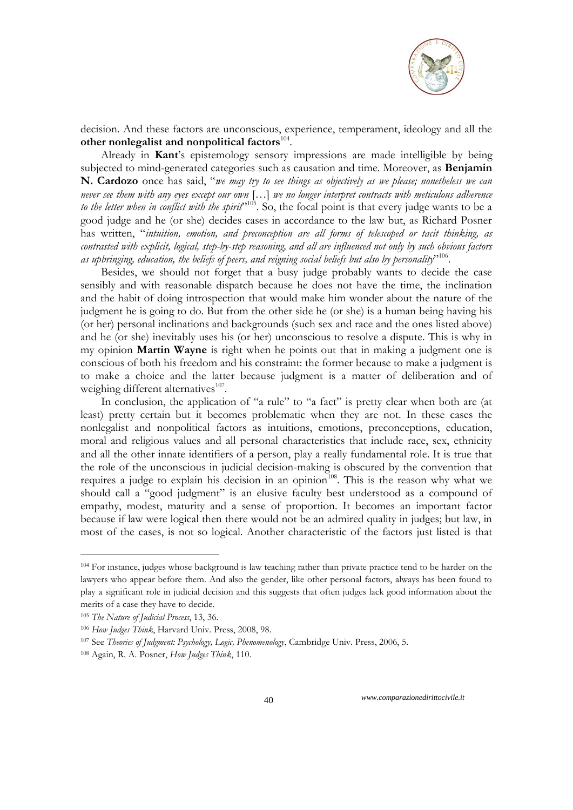

decision. And these factors are unconscious, experience, temperament, ideology and all the other nonlegalist and nonpolitical factors<sup>104</sup>.

Already in **Kant**'s epistemology sensory impressions are made intelligible by being subjected to mind-generated categories such as causation and time. Moreover, as **Benjamin N. Cardozo** once has said, "*we may try to see things as objectively as we please; nonetheless we can never see them with any eyes except our own* […] *we no longer interpret contracts with meticulous adherence to the letter when in conflict with the spirit*" <sup>105</sup>. So, the focal point is that every judge wants to be a good judge and he (or she) decides cases in accordance to the law but, as Richard Posner has written, "*intuition, emotion, and preconception are all forms of telescoped or tacit thinking, as contrasted with explicit, logical, step-by-step reasoning, and all are influenced not only by such obvious factors as upbringing, education, the beliefs of peers, and reigning social beliefs but also by personality*" 106 .

Besides, we should not forget that a busy judge probably wants to decide the case sensibly and with reasonable dispatch because he does not have the time, the inclination and the habit of doing introspection that would make him wonder about the nature of the judgment he is going to do. But from the other side he (or she) is a human being having his (or her) personal inclinations and backgrounds (such sex and race and the ones listed above) and he (or she) inevitably uses his (or her) unconscious to resolve a dispute. This is why in my opinion **Martin Wayne** is right when he points out that in making a judgment one is conscious of both his freedom and his constraint: the former because to make a judgment is to make a choice and the latter because judgment is a matter of deliberation and of weighing different alternatives<sup>107</sup>.

In conclusion, the application of "a rule" to "a fact" is pretty clear when both are (at least) pretty certain but it becomes problematic when they are not. In these cases the nonlegalist and nonpolitical factors as intuitions, emotions, preconceptions, education, moral and religious values and all personal characteristics that include race, sex, ethnicity and all the other innate identifiers of a person, play a really fundamental role. It is true that the role of the unconscious in judicial decision-making is obscured by the convention that requires a judge to explain his decision in an opinion<sup>108</sup>. This is the reason why what we should call a "good judgment" is an elusive faculty best understood as a compound of empathy, modest, maturity and a sense of proportion. It becomes an important factor because if law were logical then there would not be an admired quality in judges; but law, in most of the cases, is not so logical. Another characteristic of the factors just listed is that

-

<sup>104</sup> For instance, judges whose background is law teaching rather than private practice tend to be harder on the lawyers who appear before them. And also the gender, like other personal factors, always has been found to play a significant role in judicial decision and this suggests that often judges lack good information about the merits of a case they have to decide.

<sup>105</sup> *The Nature of Judicial Process*, 13, 36.

<sup>106</sup> *How Judges Think*, Harvard Univ. Press, 2008, 98.

<sup>107</sup> See *Theories of Judgment: Psychology, Logic, Phenomenology*, Cambridge Univ. Press, 2006, 5.

<sup>108</sup> Again, R. A. Posner, *How Judges Think*, 110.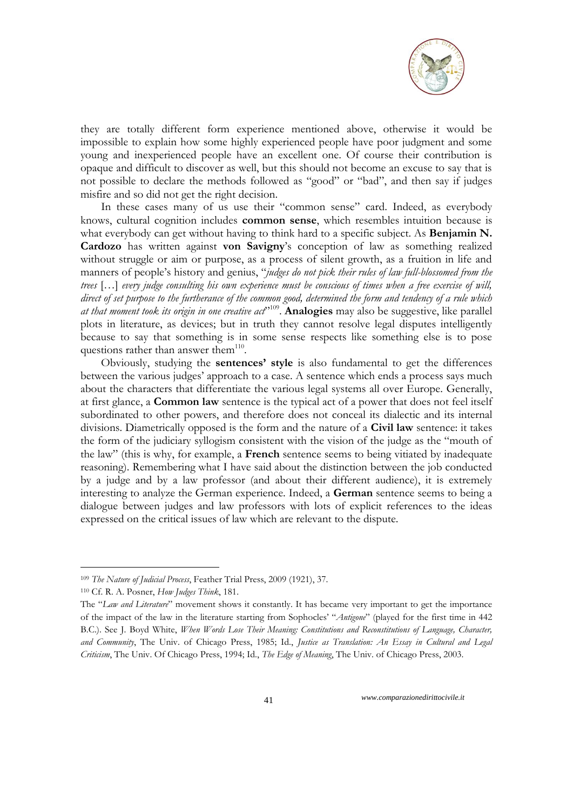

they are totally different form experience mentioned above, otherwise it would be impossible to explain how some highly experienced people have poor judgment and some young and inexperienced people have an excellent one. Of course their contribution is opaque and difficult to discover as well, but this should not become an excuse to say that is not possible to declare the methods followed as "good" or "bad", and then say if judges misfire and so did not get the right decision.

In these cases many of us use their "common sense" card. Indeed, as everybody knows, cultural cognition includes **common sense**, which resembles intuition because is what everybody can get without having to think hard to a specific subject. As **Benjamin N. Cardozo** has written against **von Savigny**'s conception of law as something realized without struggle or aim or purpose, as a process of silent growth, as a fruition in life and manners of people's history and genius, "*judges do not pick their rules of law full-blossomed from the trees* […] *every judge consulting his own experience must be conscious of times when a free exercise of will, direct of set purpose to the furtherance of the common good, determined the form and tendency of a rule which*  at that moment took its origin in one creative act<sup>2109</sup>. Analogies may also be suggestive, like parallel plots in literature, as devices; but in truth they cannot resolve legal disputes intelligently because to say that something is in some sense respects like something else is to pose questions rather than answer them<sup>110</sup>.

Obviously, studying the **sentences' style** is also fundamental to get the differences between the various judges' approach to a case. A sentence which ends a process says much about the characters that differentiate the various legal systems all over Europe. Generally, at first glance, a **Common law** sentence is the typical act of a power that does not feel itself subordinated to other powers, and therefore does not conceal its dialectic and its internal divisions. Diametrically opposed is the form and the nature of a **Civil law** sentence: it takes the form of the judiciary syllogism consistent with the vision of the judge as the "mouth of the law" (this is why, for example, a **French** sentence seems to being vitiated by inadequate reasoning). Remembering what I have said about the distinction between the job conducted by a judge and by a law professor (and about their different audience), it is extremely interesting to analyze the German experience. Indeed, a **German** sentence seems to being a dialogue between judges and law professors with lots of explicit references to the ideas expressed on the critical issues of law which are relevant to the dispute.

<u>.</u>

<sup>109</sup> *The Nature of Judicial Process*, Feather Trial Press, 2009 (1921), 37.

<sup>110</sup> Cf. R. A. Posner, *How Judges Think*, 181.

The "*Law and Literature*" movement shows it constantly. It has became very important to get the importance of the impact of the law in the literature starting from Sophocles' "*Antigone*" (played for the first time in 442 B.C.). See J. Boyd White, *When Words Lose Their Meaning: Constitutions and Reconstitutions of Language, Character, and Community*, The Univ. of Chicago Press, 1985; Id., *Justice as Translation: An Essay in Cultural and Legal Criticism*, The Univ. Of Chicago Press, 1994; Id., *The Edge of Meaning*, The Univ. of Chicago Press, 2003.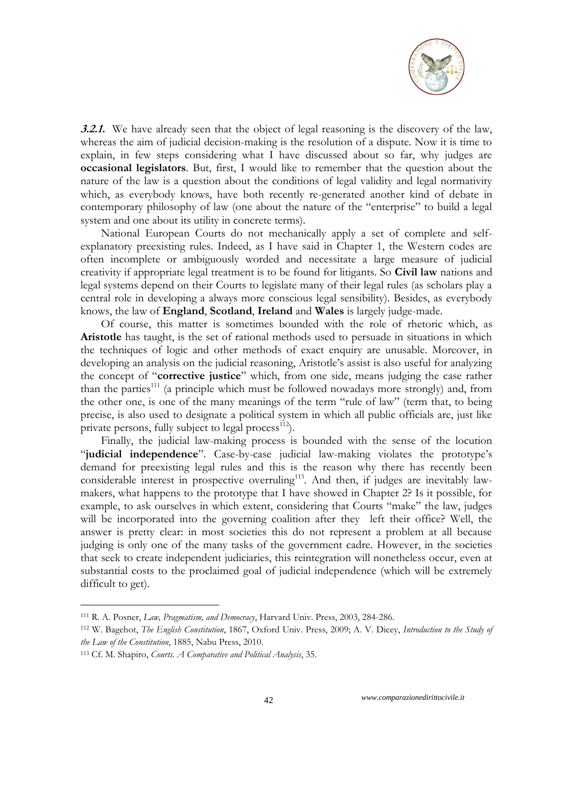

**3.2.1.** We have already seen that the object of legal reasoning is the discovery of the law, whereas the aim of judicial decision-making is the resolution of a dispute. Now it is time to explain, in few steps considering what I have discussed about so far, why judges are **occasional legislators**. But, first, I would like to remember that the question about the nature of the law is a question about the conditions of legal validity and legal normativity which, as everybody knows, have both recently re-generated another kind of debate in contemporary philosophy of law (one about the nature of the "enterprise" to build a legal system and one about its utility in concrete terms).

National European Courts do not mechanically apply a set of complete and selfexplanatory preexisting rules. Indeed, as I have said in Chapter 1, the Western codes are often incomplete or ambiguously worded and necessitate a large measure of judicial creativity if appropriate legal treatment is to be found for litigants. So **Civil law** nations and legal systems depend on their Courts to legislate many of their legal rules (as scholars play a central role in developing a always more conscious legal sensibility). Besides, as everybody knows, the law of **England**, **Scotland**, **Ireland** and **Wales** is largely judge-made.

Of course, this matter is sometimes bounded with the role of rhetoric which, as **Aristotle** has taught, is the set of rational methods used to persuade in situations in which the techniques of logic and other methods of exact enquiry are unusable. Moreover, in developing an analysis on the judicial reasoning, Aristotle's assist is also useful for analyzing the concept of "**corrective justice**" which, from one side, means judging the case rather than the parties<sup>111</sup> (a principle which must be followed nowadays more strongly) and, from the other one, is one of the many meanings of the term "rule of law" (term that, to being precise, is also used to designate a political system in which all public officials are, just like private persons, fully subject to legal process $^{112}$ ).

Finally, the judicial law-making process is bounded with the sense of the locution "**judicial independence**". Case-by-case judicial law-making violates the prototype's demand for preexisting legal rules and this is the reason why there has recently been considerable interest in prospective overruling<sup>113</sup>. And then, if judges are inevitably lawmakers, what happens to the prototype that I have showed in Chapter 2? Is it possible, for example, to ask ourselves in which extent, considering that Courts "make" the law, judges will be incorporated into the governing coalition after they left their office? Well, the answer is pretty clear: in most societies this do not represent a problem at all because judging is only one of the many tasks of the government cadre. However, in the societies that seek to create independent judiciaries, this reintegration will nonetheless occur, even at substantial costs to the proclaimed goal of judicial independence (which will be extremely difficult to get).

<u>.</u>

<sup>111</sup> R. A. Posner, *Law, Pragmatism, and Democracy*, Harvard Univ. Press, 2003, 284-286.

<sup>112</sup> W. Bagehot, *The English Constitution*, 1867, Oxford Univ. Press, 2009; A. V. Dicey, *Introduction to the Study of the Law of the Constitution*, 1885, Nabu Press, 2010.

<sup>113</sup> Cf. M. Shapiro, *Courts. A Comparative and Political Analysis*, 35.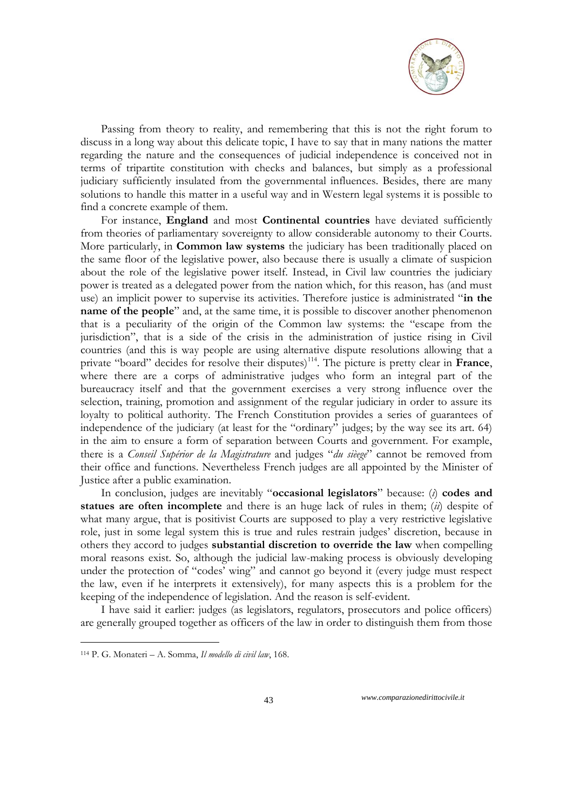

Passing from theory to reality, and remembering that this is not the right forum to discuss in a long way about this delicate topic, I have to say that in many nations the matter regarding the nature and the consequences of judicial independence is conceived not in terms of tripartite constitution with checks and balances, but simply as a professional judiciary sufficiently insulated from the governmental influences. Besides, there are many solutions to handle this matter in a useful way and in Western legal systems it is possible to find a concrete example of them.

For instance, **England** and most **Continental countries** have deviated sufficiently from theories of parliamentary sovereignty to allow considerable autonomy to their Courts. More particularly, in **Common law systems** the judiciary has been traditionally placed on the same floor of the legislative power, also because there is usually a climate of suspicion about the role of the legislative power itself. Instead, in Civil law countries the judiciary power is treated as a delegated power from the nation which, for this reason, has (and must use) an implicit power to supervise its activities. Therefore justice is administrated "**in the name of the people**" and, at the same time, it is possible to discover another phenomenon that is a peculiarity of the origin of the Common law systems: the "escape from the jurisdiction", that is a side of the crisis in the administration of justice rising in Civil countries (and this is way people are using alternative dispute resolutions allowing that a private "board" decides for resolve their disputes)<sup>114</sup>. The picture is pretty clear in France, where there are a corps of administrative judges who form an integral part of the bureaucracy itself and that the government exercises a very strong influence over the selection, training, promotion and assignment of the regular judiciary in order to assure its loyalty to political authority. The French Constitution provides a series of guarantees of independence of the judiciary (at least for the "ordinary" judges; by the way see its art. 64) in the aim to ensure a form of separation between Courts and government. For example, there is a *Conseil Supérior de la Magistrature* and judges "*du sièege*" cannot be removed from their office and functions. Nevertheless French judges are all appointed by the Minister of Justice after a public examination.

In conclusion, judges are inevitably "**occasional legislators**" because: (*i*) **codes and statues are often incomplete** and there is an huge lack of rules in them; (*ii*) despite of what many argue, that is positivist Courts are supposed to play a very restrictive legislative role, just in some legal system this is true and rules restrain judges' discretion, because in others they accord to judges **substantial discretion to override the law** when compelling moral reasons exist. So, although the judicial law-making process is obviously developing under the protection of "codes' wing" and cannot go beyond it (every judge must respect the law, even if he interprets it extensively), for many aspects this is a problem for the keeping of the independence of legislation. And the reason is self-evident.

I have said it earlier: judges (as legislators, regulators, prosecutors and police officers) are generally grouped together as officers of the law in order to distinguish them from those

<u>.</u>

<sup>114</sup> P. G. Monateri – A. Somma, *Il modello di civil law*, 168.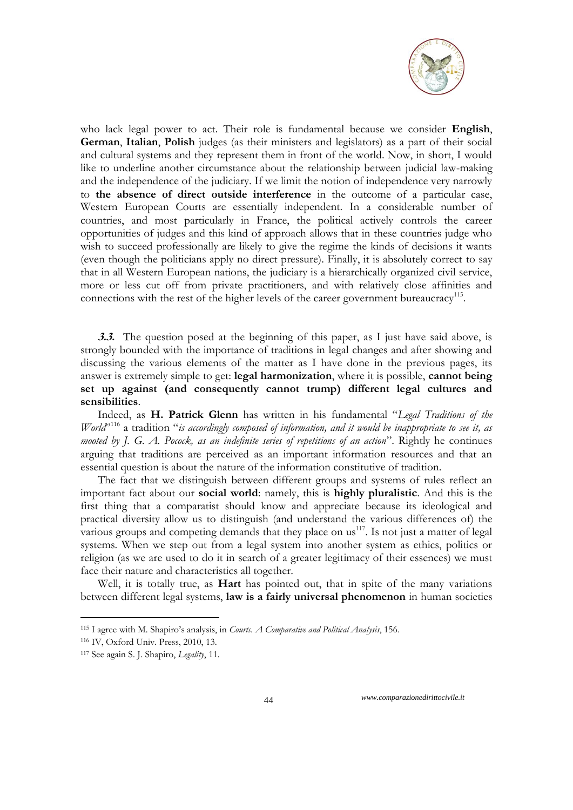

who lack legal power to act. Their role is fundamental because we consider **English**, **German**, **Italian**, **Polish** judges (as their ministers and legislators) as a part of their social and cultural systems and they represent them in front of the world. Now, in short, I would like to underline another circumstance about the relationship between judicial law-making and the independence of the judiciary. If we limit the notion of independence very narrowly to **the absence of direct outside interference** in the outcome of a particular case, Western European Courts are essentially independent. In a considerable number of countries, and most particularly in France, the political actively controls the career opportunities of judges and this kind of approach allows that in these countries judge who wish to succeed professionally are likely to give the regime the kinds of decisions it wants (even though the politicians apply no direct pressure). Finally, it is absolutely correct to say that in all Western European nations, the judiciary is a hierarchically organized civil service, more or less cut off from private practitioners, and with relatively close affinities and connections with the rest of the higher levels of the career government bureaucracy<sup>115</sup>.

**3.3.** The question posed at the beginning of this paper, as I just have said above, is strongly bounded with the importance of traditions in legal changes and after showing and discussing the various elements of the matter as I have done in the previous pages, its answer is extremely simple to get: **legal harmonization**, where it is possible, **cannot being set up against (and consequently cannot trump) different legal cultures and sensibilities**.

Indeed, as **H. Patrick Glenn** has written in his fundamental "*Legal Traditions of the World*<sup>"116</sup> a tradition "*is accordingly composed of information, and it would be inappropriate to see it, as mooted by J. G. A. Pocock, as an indefinite series of repetitions of an action*". Rightly he continues arguing that traditions are perceived as an important information resources and that an essential question is about the nature of the information constitutive of tradition.

The fact that we distinguish between different groups and systems of rules reflect an important fact about our **social world**: namely, this is **highly pluralistic**. And this is the first thing that a comparatist should know and appreciate because its ideological and practical diversity allow us to distinguish (and understand the various differences of) the various groups and competing demands that they place on  $us^{117}$ . Is not just a matter of legal systems. When we step out from a legal system into another system as ethics, politics or religion (as we are used to do it in search of a greater legitimacy of their essences) we must face their nature and characteristics all together.

Well, it is totally true, as **Hart** has pointed out, that in spite of the many variations between different legal systems, **law is a fairly universal phenomenon** in human societies

<u>.</u>

<sup>115</sup> I agree with M. Shapiro's analysis, in *Courts. A Comparative and Political Analysis*, 156.

<sup>116</sup> IV, Oxford Univ. Press, 2010, 13.

<sup>117</sup> See again S. J. Shapiro, *Legality*, 11.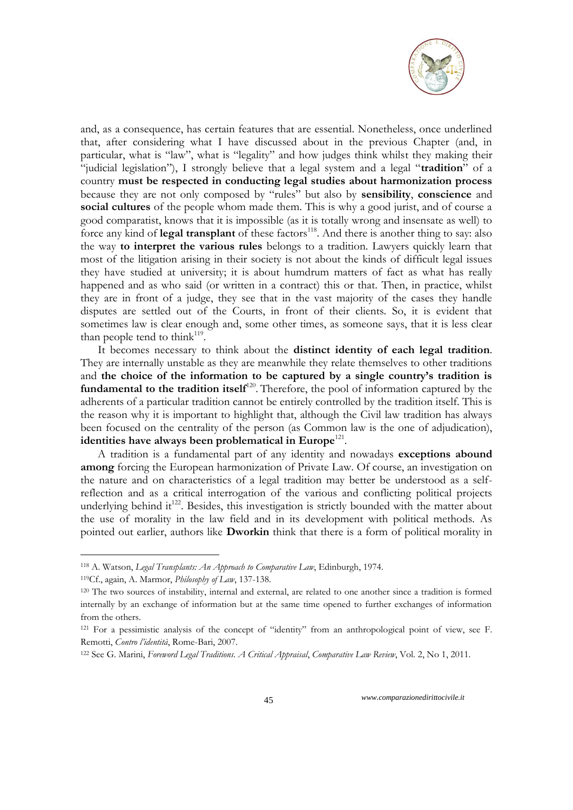

and, as a consequence, has certain features that are essential. Nonetheless, once underlined that, after considering what I have discussed about in the previous Chapter (and, in particular, what is "law", what is "legality" and how judges think whilst they making their "judicial legislation"), I strongly believe that a legal system and a legal "**tradition**" of a country **must be respected in conducting legal studies about harmonization process** because they are not only composed by "rules" but also by **sensibility**, **conscience** and **social cultures** of the people whom made them. This is why a good jurist, and of course a good comparatist, knows that it is impossible (as it is totally wrong and insensate as well) to force any kind of **legal transplant** of these factors<sup>118</sup>. And there is another thing to say: also the way **to interpret the various rules** belongs to a tradition. Lawyers quickly learn that most of the litigation arising in their society is not about the kinds of difficult legal issues they have studied at university; it is about humdrum matters of fact as what has really happened and as who said (or written in a contract) this or that. Then, in practice, whilst they are in front of a judge, they see that in the vast majority of the cases they handle disputes are settled out of the Courts, in front of their clients. So, it is evident that sometimes law is clear enough and, some other times, as someone says, that it is less clear than people tend to think<sup>119</sup>.

It becomes necessary to think about the **distinct identity of each legal tradition**. They are internally unstable as they are meanwhile they relate themselves to other traditions and **the choice of the information to be captured by a single country's tradition is**  fundamental to the tradition itself<sup>120</sup>. Therefore, the pool of information captured by the adherents of a particular tradition cannot be entirely controlled by the tradition itself. This is the reason why it is important to highlight that, although the Civil law tradition has always been focused on the centrality of the person (as Common law is the one of adjudication), identities have always been problematical in Europe<sup>121</sup>.

A tradition is a fundamental part of any identity and nowadays **exceptions abound among** forcing the European harmonization of Private Law. Of course, an investigation on the nature and on characteristics of a legal tradition may better be understood as a selfreflection and as a critical interrogation of the various and conflicting political projects underlying behind it<sup>122</sup>. Besides, this investigation is strictly bounded with the matter about the use of morality in the law field and in its development with political methods. As pointed out earlier, authors like **Dworkin** think that there is a form of political morality in

-

<sup>118</sup> A. Watson, *Legal Transplants: An Approach to [Comparative Law](http://en.wikipedia.org/wiki/Comparative_Law)*, [Edinburgh,](http://en.wikipedia.org/wiki/Edinburgh) 1974.

<sup>119</sup>Cf., again, A. Marmor, *Philosophy of Law*, 137-138.

<sup>120</sup> The two sources of instability, internal and external, are related to one another since a tradition is formed internally by an exchange of information but at the same time opened to further exchanges of information from the others.

<sup>121</sup> For a pessimistic analysis of the concept of "identity" from an anthropological point of view, see F. Remotti, *Contro l"identità*, Rome-Bari, 2007.

<sup>122</sup> See G. Marini, *Foreword Legal Traditions. A Critical Appraisal*, *Comparative Law Review*, Vol. 2, No 1, 2011.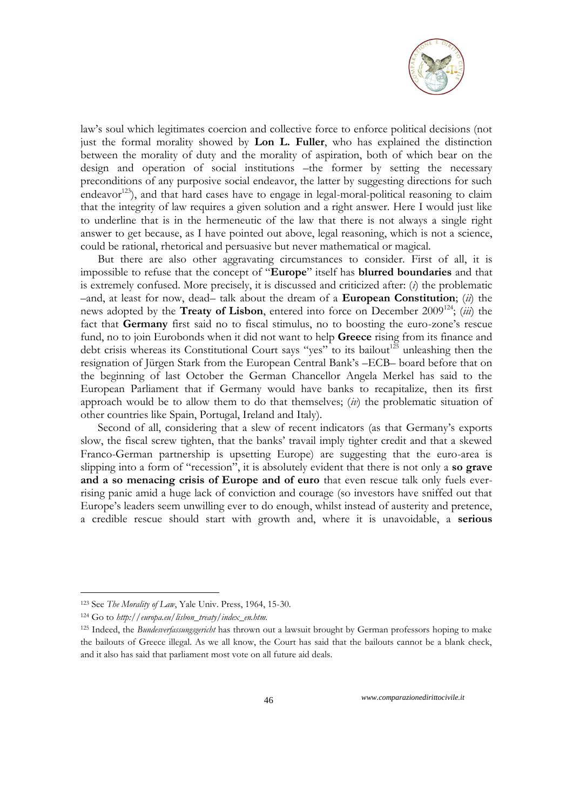

law's soul which legitimates coercion and collective force to enforce political decisions (not just the formal morality showed by **Lon L. Fuller**, who has explained the distinction between the morality of duty and the morality of aspiration, both of which bear on the design and operation of social institutions –the former by setting the necessary preconditions of any purposive social endeavor, the latter by suggesting directions for such endeavor<sup>123</sup>), and that hard cases have to engage in legal-moral-political reasoning to claim that the integrity of law requires a given solution and a right answer. Here I would just like to underline that is in the hermeneutic of the law that there is not always a single right answer to get because, as I have pointed out above, legal reasoning, which is not a science, could be rational, rhetorical and persuasive but never mathematical or magical.

But there are also other aggravating circumstances to consider. First of all, it is impossible to refuse that the concept of "**Europe**" itself has **blurred boundaries** and that is extremely confused. More precisely, it is discussed and criticized after: (*i*) the problematic –and, at least for now, dead– talk about the dream of a **European Constitution**; (*ii*) the news adopted by the **Treaty of Lisbon**, entered into force on December 2009<sup>124</sup>; (*iii*) the fact that **Germany** first said no to fiscal stimulus, no to boosting the euro-zone's rescue fund, no to join Eurobonds when it did not want to help **Greece** rising from its finance and debt crisis whereas its Constitutional Court says "yes" to its bailout<sup>125</sup> unleashing then the resignation of Jürgen Stark from the European Central Bank's –ECB– board before that on the beginning of last October the German Chancellor Angela Merkel has said to the European Parliament that if Germany would have banks to recapitalize, then its first approach would be to allow them to do that themselves; (*iv*) the problematic situation of other countries like Spain, Portugal, Ireland and Italy).

Second of all, considering that a slew of recent indicators (as that Germany's exports slow, the fiscal screw tighten, that the banks' travail imply tighter credit and that a skewed Franco-German partnership is upsetting Europe) are suggesting that the euro-area is slipping into a form of "recession", it is absolutely evident that there is not only a **so grave and a so menacing crisis of Europe and of euro** that even rescue talk only fuels everrising panic amid a huge lack of conviction and courage (so investors have sniffed out that Europe's leaders seem unwilling ever to do enough, whilst instead of austerity and pretence, a credible rescue should start with growth and, where it is unavoidable, a **serious** 

1

<sup>123</sup> See *The Morality of Law*, Yale Univ. Press, 1964, 15-30.

<sup>124</sup> Go to *http://europa.eu/lisbon\_treaty/index\_en.htm.*

<sup>125</sup> Indeed, the *Bundesverfassungsgericht* has thrown out a lawsuit brought by German professors hoping to make the bailouts of Greece illegal. As we all know, the Court has said that the bailouts cannot be a blank check, and it [also has said that parliament most vote on all future aid deals.](http://twitter.com/djfxtrader/statuses/111351818252070912)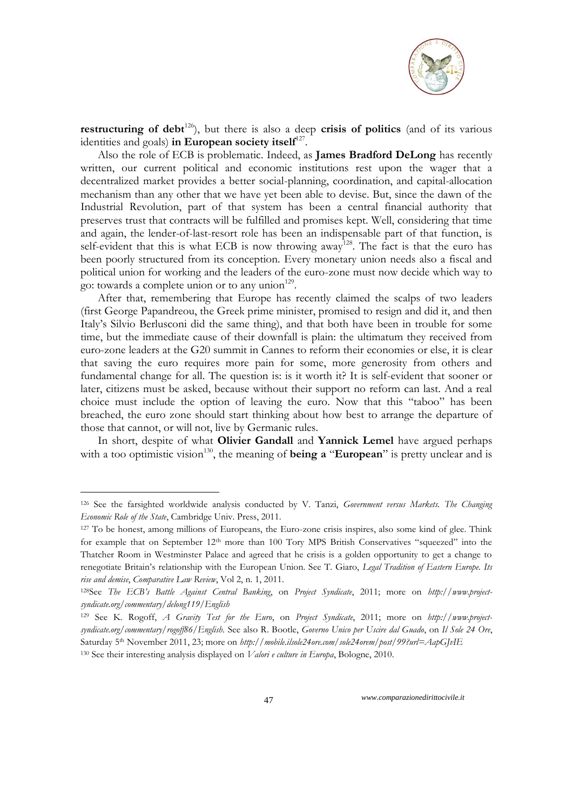

**restructuring of debt**<sup>126</sup>), but there is also a deep **crisis of politics** (and of its various identities and goals) in European society itself<sup>127</sup>.

Also the role of ECB is problematic. Indeed, as **James Bradford DeLong** has recently written, our current political and economic institutions rest upon the wager that a decentralized market provides a better social-planning, coordination, and capital-allocation mechanism than any other that we have yet been able to devise. But, since the dawn of the Industrial Revolution, part of that system has been a central financial authority that preserves trust that contracts will be fulfilled and promises kept. Well, considering that time and again, the lender-of-last-resort role has been an indispensable part of that function, is self-evident that this is what ECB is now throwing away<sup>128</sup>. The fact is that the euro has been poorly structured from its conception. Every monetary union needs also a fiscal and political union for working and the leaders of the euro-zone must now decide which way to go: towards a complete union or to any union<sup>129</sup>.

After that, remembering that Europe has recently claimed the scalps of two leaders (first George Papandreou, the Greek prime minister, promised to resign and did it, and then Italy's Silvio Berlusconi did the same thing), and that both have been in trouble for some time, but the immediate cause of their downfall is plain: the ultimatum they received from euro-zone leaders at the G20 summit in Cannes to reform their economies or else, it is clear that saving the euro requires more pain for some, more generosity from others and fundamental change for all. The question is: is it worth it? It is self-evident that sooner or later, citizens must be asked, because without their support no reform can last. And a real choice must include the option of leaving the euro. Now that this "taboo" has been breached, the euro zone should start thinking about how best to arrange the departure of those that cannot, or will not, live by Germanic rules.

In short, despite of what **Olivier Gandall** and **Yannick Lemel** have argued perhaps with a too optimistic vision<sup>130</sup>, the meaning of **being a "European"** is pretty unclear and is

<u>.</u>

<sup>126</sup> See the farsighted worldwide analysis conducted by V. Tanzi, *Government versus Markets. The Changing Economic Role of the State*, Cambridge Univ. Press, 2011.

<sup>127</sup> To be honest, among millions of Europeans, the Euro-zone crisis inspires, also some kind of glee. Think for example that on September 12<sup>th</sup> more than 100 Tory MPS British Conservatives "squeezed" into the Thatcher Room in Westminster Palace and agreed that he crisis is a golden opportunity to get a change to renegotiate Britain's relationship with the European Union. See T. Giaro, *Legal Tradition of Eastern Europe. Its rise and demise*, *Comparative Law Review*, Vol 2, n. 1, 2011.

<sup>128</sup>See *The ECB"s Battle Against Central Banking*, on *Project Syndicate*, 2011; more on *http://www.projectsyndicate.org/commentary/delong119/English*

<sup>129</sup> See K. Rogoff, *A Gravity Test for the Euro*, on *Project Syndicate*, 2011; more on *[http://www.project](http://www.project-syndicate.org/commentary/rogoff86/English)[syndicate.org/commentary/rogoff86/English.](http://www.project-syndicate.org/commentary/rogoff86/English)* See also R. Bootle, *Governo Unico per Uscire dal Guado*, on *Il Sole 24 Ore*, Saturday 5th November 2011, 23; more on *http://mobile.ilsole24ore.com/sole24orem/post/99?url=AapGJvIE* <sup>130</sup> See their interesting analysis displayed on *Valori e culture in Europa*, Bologne, 2010.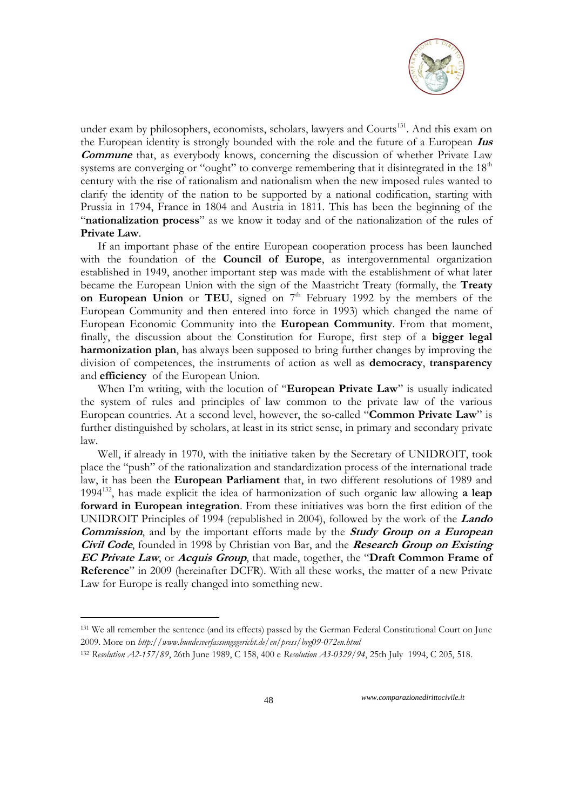

under exam by philosophers, economists, scholars, lawyers and Courts<sup>131</sup>. And this exam on the European identity is strongly bounded with the role and the future of a European **Ius Commune** that, as everybody knows, concerning the discussion of whether Private Law systems are converging or "ought" to converge remembering that it disintegrated in the  $18<sup>th</sup>$ century with the rise of rationalism and nationalism when the new imposed rules wanted to clarify the identity of the nation to be supported by a national codification, starting with Prussia in 1794, France in 1804 and Austria in 1811. This has been the beginning of the "**nationalization process**" as we know it today and of the nationalization of the rules of **Private Law**.

If an important phase of the entire European cooperation process has been launched with the foundation of the **Council of Europe**, as intergovernmental organization established in 1949, another important step was made with the establishment of what later became the European Union with the sign of the Maastricht Treaty (formally, the **Treaty**  on European Union or TEU, signed on  $7<sup>th</sup>$  February 1992 by the members of the [European Community](http://en.wikipedia.org/wiki/European_Communities) and then entered into force in 1993) which changed the name of European Economic Community into the **European Community**. From that moment, finally, the discussion about the Constitution for Europe, first step of a **bigger legal harmonization plan**, has always been supposed to bring further changes by improving the division of competences, the instruments of action as well as **democracy**, **transparency** and **efficiency** of the European Union.

When I'm writing, with the locution of "**European Private Law**" is usually indicated the system of rules and principles of law common to the private law of the various European countries. At a second level, however, the so-called "**Common Private Law**" is further distinguished by scholars, at least in its strict sense, in primary and secondary private law.

Well, if already in 1970, with the initiative taken by the Secretary of UNIDROIT, took place the "push" of the rationalization and standardization process of the international trade law, it has been the **European Parliament** that, in two different resolutions of 1989 and 1994<sup>132</sup>, has made explicit the idea of harmonization of such organic law allowing **a leap forward in European integration**. From these initiatives was born the first edition of the UNIDROIT Principles of 1994 (republished in 2004), followed by the work of the **Lando Commission**, and by the important efforts made by the **Study Group on a European Civil Code**, founded in 1998 by Christian von Bar, and the **Research Group on Existing EC Private Law**, or **[Acquis Group](http://www.acquis-group.org/)**, that made, together, the "**Draft Common Frame of Reference**" in 2009 (hereinafter DCFR). With all these works, the matter of a new Private Law for Europe is really changed into something new.

<u>.</u>

<sup>131</sup> We all remember the sentence (and its effects) passed by the German Federal Constitutional Court on June 2009. More on *http://www.bundesverfassungsgericht.de/en/press/bvg09-072en.html*

<sup>132</sup> *Resolution A2-157/89*, 26th June 1989, C 158, 400 e *Resolution A3-0329/94*, 25th July 1994, C 205, 518.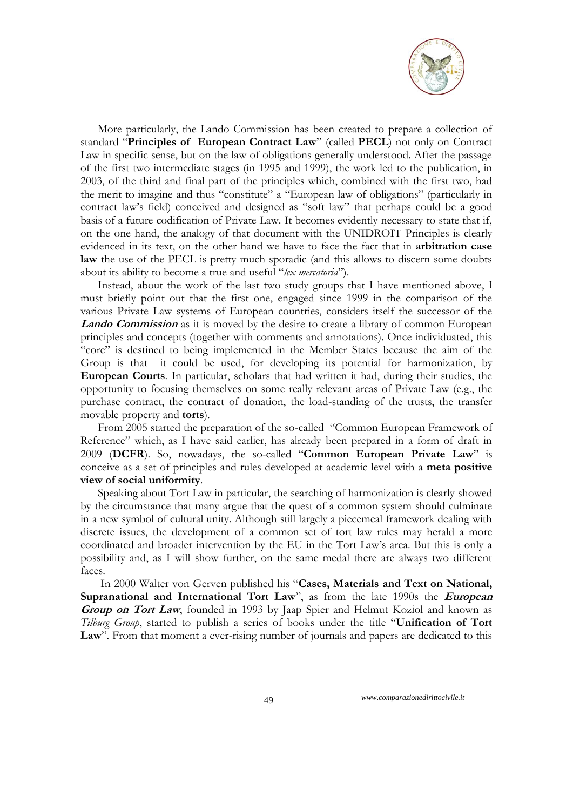

More particularly, the Lando Commission has been created to prepare a collection of standard "**Principles of European Contract Law**" (called **PECL**) not only on Contract Law in specific sense, but on the law of obligations generally understood. After the passage of the first two intermediate stages (in 1995 and 1999), the work led to the publication, in 2003, of the third and final part of the principles which, combined with the first two, had the merit to imagine and thus "constitute" a "European law of obligations" (particularly in contract law's field) conceived and designed as "soft law" that perhaps could be a good basis of a future codification of Private Law. It becomes evidently necessary to state that if, on the one hand, the analogy of that document with the UNIDROIT Principles is clearly evidenced in its text, on the other hand we have to face the fact that in **arbitration case law** the use of the PECL is pretty much sporadic (and this allows to discern some doubts about its ability to become a true and useful "*lex mercatoria*").

Instead, about the work of the last two study groups that I have mentioned above, I must briefly point out that the first one, engaged since 1999 in the comparison of the various Private Law systems of European countries, considers itself the successor of the **Lando Commission** as it is moved by the desire to create a library of common European principles and concepts (together with comments and annotations). Once individuated, this "core" is destined to being implemented in the Member States because the aim of the Group is that it could be used, for developing its potential for harmonization, by **European Courts**. In particular, scholars that had written it had, during their studies, the opportunity to focusing themselves on some really relevant areas of Private Law (e.g., the purchase contract, the contract of donation, the load-standing of the trusts, the transfer movable property and **torts**).

From 2005 started the preparation of the so-called "Common European Framework of Reference" which, as I have said earlier, has already been prepared in a form of draft in 2009 (**DCFR**). So, nowadays, the so-called "**Common European Private Law**" is conceive as a set of principles and rules developed at academic level with a **meta positive view of social uniformity**.

Speaking about Tort Law in particular, the searching of harmonization is clearly showed by the circumstance that many argue that the quest of a common system should culminate in a new symbol of cultural unity. Although still largely a piecemeal framework dealing with discrete issues, the development of a common set of tort law rules may herald a more coordinated and broader intervention by the EU in the Tort Law's area. But this is only a possibility and, as I will show further, on the same medal there are always two different faces.

In 2000 Walter von Gerven published his "**Cases, Materials and Text on National, Supranational and International Tort Law**", as from the late 1990s the **European**  Group on Tort Law, founded in 1993 by Jaap Spier and Helmut Koziol and known as *Tilburg Group*, started to publish a series of books under the title "**Unification of Tort**  Law". From that moment a ever-rising number of journals and papers are dedicated to this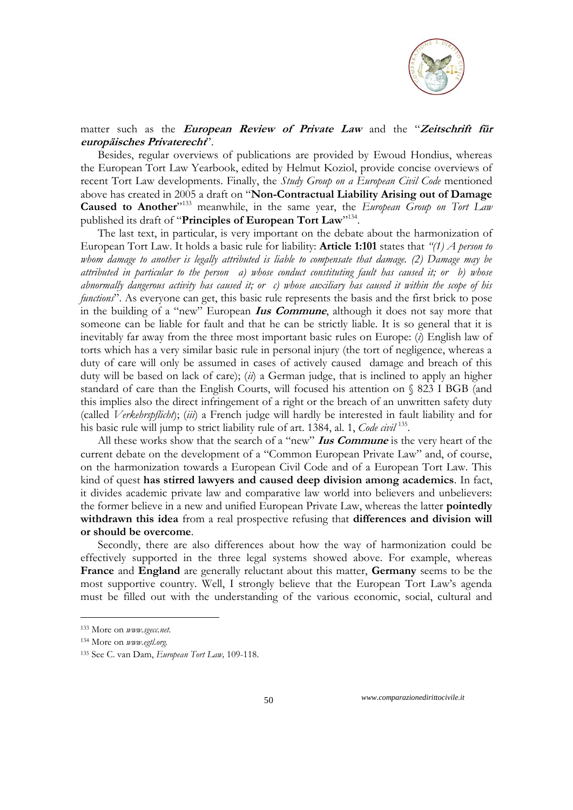

## matter such as the **European Review of Private Law** and the "**Zeitschrift für europäisches Privaterecht**".

Besides, regular overviews of publications are provided by Ewoud Hondius, whereas the European Tort Law Yearbook, edited by Helmut Koziol, provide concise overviews of recent Tort Law developments. Finally, the *Study Group on a European Civil Code* mentioned above has created in 2005 a draft on "**Non-Contractual Liability Arising out of Damage**  Caused to Another<sup>"133</sup> meanwhile, in the same year, the *European Group on Tort Law* published its draft of "**Principles of European Tort Law**"134.

The last text, in particular, is very important on the debate about the harmonization of European Tort Law. It holds a basic rule for liability: **Article 1:101** states that *"(1) A person to whom damage to another is legally attributed is liable to compensate that damage. (2) Damage may be attributed in particular to the person a) whose conduct constituting fault has caused it; or b) whose abnormally dangerous activity has caused it; or c) whose auxiliary has caused it within the scope of his functions*". As everyone can get, this basic rule represents the basis and the first brick to pose in the building of a "new" European **Ius Commune**, although it does not say more that someone can be liable for fault and that he can be strictly liable. It is so general that it is inevitably far away from the three most important basic rules on Europe: (*i*) English law of torts which has a very similar basic rule in personal injury (the tort of negligence, whereas a duty of care will only be assumed in cases of actively caused damage and breach of this duty will be based on lack of care); (*ii*) a German judge, that is inclined to apply an higher standard of care than the English Courts, will focused his attention on § 823 I BGB (and this implies also the direct infringement of a right or the breach of an unwritten safety duty (called *Verkehrspflicht*); (*iii*) a French judge will hardly be interested in fault liability and for his basic rule will jump to strict liability rule of art. 1384, al. 1, *Code civil* <sup>135</sup> .

All these works show that the search of a "new" **Ius Commune** is the very heart of the current debate on the development of a "Common European Private Law" and, of course, on the harmonization towards a European Civil Code and of a European Tort Law. This kind of quest **has stirred lawyers and caused deep division among academics**. In fact, it divides academic private law and comparative law world into believers and unbelievers: the former believe in a new and unified European Private Law, whereas the latter **pointedly withdrawn this idea** from a real prospective refusing that **differences and division will or should be overcome**.

Secondly, there are also differences about how the way of harmonization could be effectively supported in the three legal systems showed above. For example, whereas **France** and **England** are generally reluctant about this matter, **Germany** seems to be the most supportive country. Well, I strongly believe that the European Tort Law's agenda must be filled out with the understanding of the various economic, social, cultural and

<u>.</u>

<sup>133</sup> More on *www.sgecc.net.*

<sup>134</sup> More on *www.egtl.org.*

<sup>135</sup> See C. van Dam, *European Tort Law,* 109-118.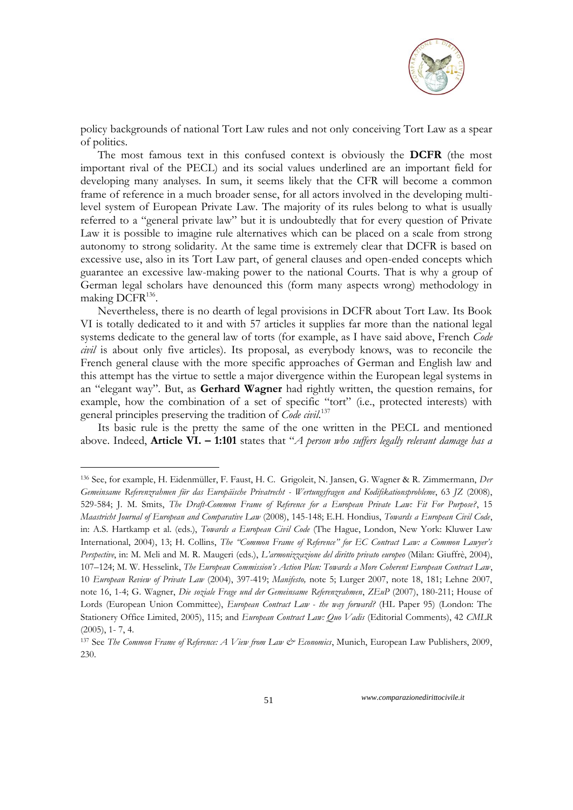

policy backgrounds of national Tort Law rules and not only conceiving Tort Law as a spear of politics.

The most famous text in this confused context is obviously the **DCFR** (the most important rival of the PECL) and its social values underlined are an important field for developing many analyses. In sum, it seems likely that the CFR will become a common frame of reference in a much broader sense, for all actors involved in the developing multilevel system of European Private Law. The majority of its rules belong to what is usually referred to a "general private law" but it is undoubtedly that for every question of Private Law it is possible to imagine rule alternatives which can be placed on a scale from strong autonomy to strong solidarity. At the same time is extremely clear that DCFR is based on excessive use, also in its Tort Law part, of general clauses and open-ended concepts which guarantee an excessive law-making power to the national Courts. That is why a group of German legal scholars have denounced this (form many aspects wrong) methodology in making DCFR<sup>136</sup>.

Nevertheless, there is no dearth of legal provisions in DCFR about Tort Law. Its Book VI is totally dedicated to it and with 57 articles it supplies far more than the national legal systems dedicate to the general law of torts (for example, as I have said above, French *Code civil* is about only five articles). Its proposal, as everybody knows, was to reconcile the French general clause with the more specific approaches of German and English law and this attempt has the virtue to settle a major divergence within the European legal systems in an "elegant way". But, as **Gerhard Wagner** had rightly written, the question remains, for example, how the combination of a set of specific "tort" (i.e., protected interests) with general principles preserving the tradition of *Code civil*. 137

Its basic rule is the pretty the same of the one written in the PECL and mentioned above. Indeed, **Article VI. – 1:101** states that "*A person who suffers legally relevant damage has a* 

<u>.</u>

<sup>136</sup> See, for example, H. Eidenmüller, F. Faust, H. C. Grigoleit, N. Jansen, G. Wagner & R. Zimmermann, *Der Gemeinsame Referenzrahmen für das Europäische Privatrecht - Wertungsfragen and Kodifikationsprobleme*, 63 *JZ* (2008), 529-584; J. M. Smits, *The Draft-Common Frame of Reference for a European Private Law: Fit For Purpose?*, 15 *Maastricht Journal of European and Comparative Law* (2008), 145-148; E.H. Hondius, *Towards a European Civil Code*, in: A.S. Hartkamp et al. (eds.), *Towards a European Civil Code* (The Hague, London, New York: Kluwer Law International, 2004), 13; H. Collins, *The "Common Frame of Reference" for EC Contract Law: a Common Lawyer"s Perspective*, in: M. Meli and M. R. Maugeri (eds.), *L"armonizzazione del diritto privato europeo* (Milan: Giuffrè, 2004), 107–124; M. W. Hesselink, *The European Commission"s Action Plan: Towards a More Coherent European Contract Law*, 10 *European Review of Private Law* (2004), 397-419; *Manifesto,* note 5; Lurger 2007, note 18, 181; Lehne 2007, note 16, 1-4; G. Wagner, *Die soziale Frage und der Gemeinsame Referenzrahmen*, *ZEuP* (2007), 180-211; House of Lords (European Union Committee), *European Contract Law - the way forward?* (HL Paper 95) (London: The Stationery Office Limited, 2005), 115; and *European Contract Law: Quo Vadis* (Editorial Comments), 42 *CMLR*   $(2005)$ , 1 - 7, 4.

<sup>137</sup> See *The Common Frame of Reference: A View from Law & Economics*, Munich, European Law Publishers, 2009, 230.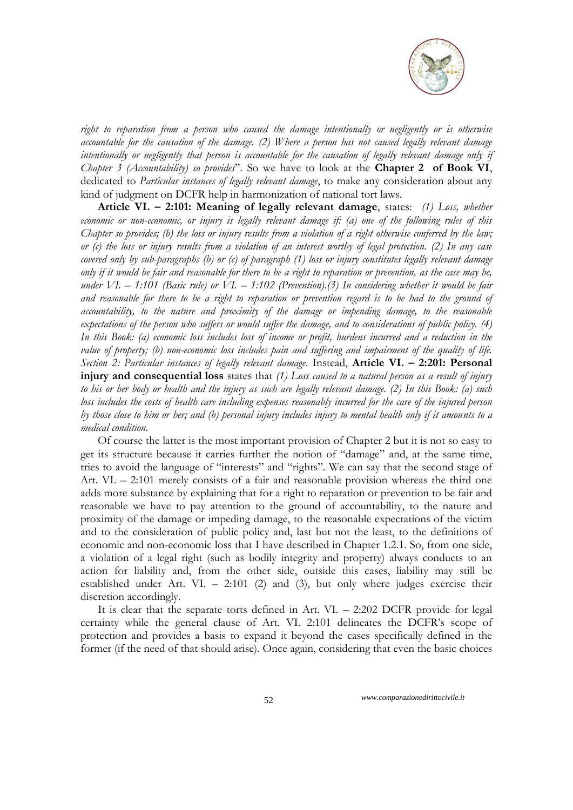

*right to reparation from a person who caused the damage intentionally or negligently or is otherwise accountable for the causation of the damage. (2) Where a person has not caused legally relevant damage intentionally or negligently that person is accountable for the causation of legally relevant damage only if Chapter 3 (Accountability) so provides*". So we have to look at the **Chapter 2 of Book VI**, dedicated to *Particular instances of legally relevant damage*, to make any consideration about any kind of judgment on DCFR help in harmonization of national tort laws.

**Article VI. – 2:101: Meaning of legally relevant damage**, states: *(1) Loss, whether economic or non-economic, or injury is legally relevant damage if: (a) one of the following rules of this Chapter so provides; (b) the loss or injury results from a violation of a right otherwise conferred by the law; or (c) the loss or injury results from a violation of an interest worthy of legal protection. (2) In any case covered only by sub-paragraphs (b) or (c) of paragraph (1) loss or injury constitutes legally relevant damage only if it would be fair and reasonable for there to be a right to reparation or prevention, as the case may be, under VI. – 1:101 (Basic rule) or VI. – 1:102 (Prevention).(3) In considering whether it would be fair and reasonable for there to be a right to reparation or prevention regard is to be had to the ground of accountability, to the nature and proximity of the damage or impending damage, to the reasonable expectations of the person who suffers or would suffer the damage, and to considerations of public policy. (4) In this Book: (a) economic loss includes loss of income or profit, burdens incurred and a reduction in the value of property; (b) non-economic loss includes pain and suffering and impairment of the quality of life. Section 2: Particular instances of legally relevant damage*. Instead, **Article VI. – 2:201: Personal injury and consequential loss** states that *(1) Loss caused to a natural person as a result of injury to his or her body or health and the injury as such are legally relevant damage. (2) In this Book: (a) such loss includes the costs of health care including expenses reasonably incurred for the care of the injured person by those close to him or her; and (b) personal injury includes injury to mental health only if it amounts to a medical condition.*

Of course the latter is the most important provision of Chapter 2 but it is not so easy to get its structure because it carries further the notion of "damage" and, at the same time, tries to avoid the language of "interests" and "rights". We can say that the second stage of Art. VI. – 2:101 merely consists of a fair and reasonable provision whereas the third one adds more substance by explaining that for a right to reparation or prevention to be fair and reasonable we have to pay attention to the ground of accountability, to the nature and proximity of the damage or impeding damage, to the reasonable expectations of the victim and to the consideration of public policy and, last but not the least, to the definitions of economic and non-economic loss that I have described in Chapter 1.2.1. So, from one side, a violation of a legal right (such as bodily integrity and property) always conducts to an action for liability and, from the other side, outside this cases, liability may still be established under Art. VI. – 2:101 (2) and (3), but only where judges exercise their discretion accordingly.

It is clear that the separate torts defined in Art. VI. – 2:202 DCFR provide for legal certainty while the general clause of Art. VI. 2:101 delineates the DCFR's scope of protection and provides a basis to expand it beyond the cases specifically defined in the former (if the need of that should arise). Once again, considering that even the basic choices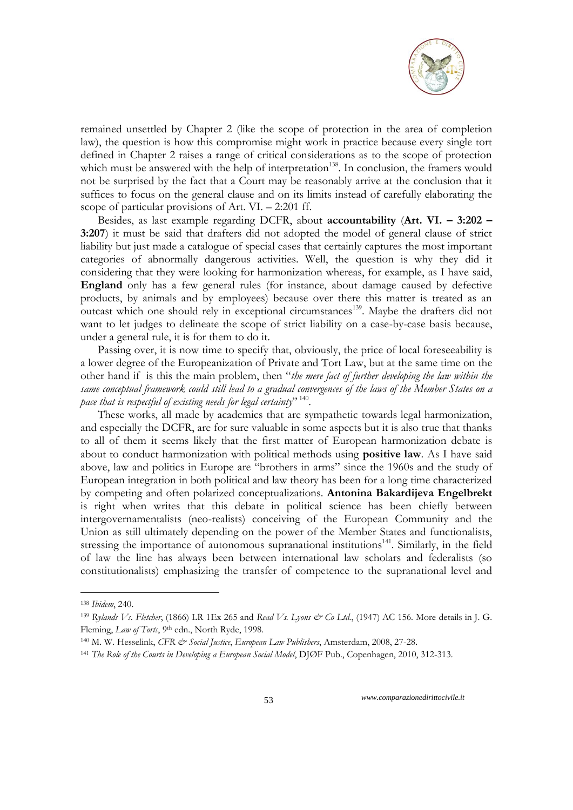

remained unsettled by Chapter 2 (like the scope of protection in the area of completion law), the question is how this compromise might work in practice because every single tort defined in Chapter 2 raises a range of critical considerations as to the scope of protection which must be answered with the help of interpretation<sup>138</sup>. In conclusion, the framers would not be surprised by the fact that a Court may be reasonably arrive at the conclusion that it suffices to focus on the general clause and on its limits instead of carefully elaborating the scope of particular provisions of Art. VI. – 2:201 ff.

Besides, as last example regarding DCFR, about **accountability** (**Art. VI. – 3:202 – 3:207**) it must be said that drafters did not adopted the model of general clause of strict liability but just made a catalogue of special cases that certainly captures the most important categories of abnormally dangerous activities. Well, the question is why they did it considering that they were looking for harmonization whereas, for example, as I have said, **England** only has a few general rules (for instance, about damage caused by defective products, by animals and by employees) because over there this matter is treated as an outcast which one should rely in exceptional circumstances<sup>139</sup>. Maybe the drafters did not want to let judges to delineate the scope of strict liability on a case-by-case basis because, under a general rule, it is for them to do it.

Passing over, it is now time to specify that, obviously, the price of local foreseeability is a lower degree of the Europeanization of Private and Tort Law, but at the same time on the other hand if is this the main problem, then "*the mere fact of further developing the law within the same conceptual framework could still lead to a gradual convergences of the laws of the Member States on a pace that is respectful of existing needs for legal certainty*" 140 .

These works, all made by academics that are sympathetic towards legal harmonization, and especially the DCFR, are for sure valuable in some aspects but it is also true that thanks to all of them it seems likely that the first matter of European harmonization debate is about to conduct harmonization with political methods using **positive law**. As I have said above, law and politics in Europe are "brothers in arms" since the 1960s and the study of European integration in both political and law theory has been for a long time characterized by competing and often polarized conceptualizations. **Antonina Bakardijeva Engelbrekt** is right when writes that this debate in political science has been chiefly between intergovernamentalists (neo-realists) conceiving of the European Community and the Union as still ultimately depending on the power of the Member States and functionalists, stressing the importance of autonomous supranational institutions<sup>141</sup>. Similarly, in the field of law the line has always been between international law scholars and federalists (so constitutionalists) emphasizing the transfer of competence to the supranational level and

1

<sup>138</sup> *Ibidem*, 240.

<sup>139</sup> Rylands Vs. Fletcher, (1866) LR 1Ex 265 and *Read Vs. Lyons & Co Ltd.*, (1947) AC 156. More details in J. G. Fleming, *Law of Torts*, <sup>9th</sup> edn., North Ryde, 1998.

<sup>140</sup> M. W. Hesselink, *CFR & Social Justice*, *European Law Publishers*, Amsterdam, 2008, 27-28.

<sup>141</sup> *The Role of the Courts in Developing a European Social Model*, DJØF Pub., Copenhagen, 2010, 312-313.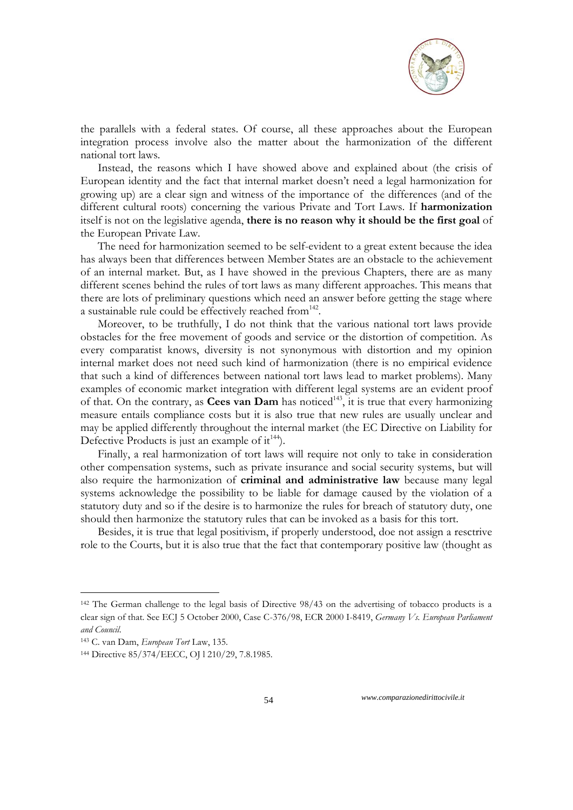

the parallels with a federal states. Of course, all these approaches about the European integration process involve also the matter about the harmonization of the different national tort laws.

Instead, the reasons which I have showed above and explained about (the crisis of European identity and the fact that internal market doesn't need a legal harmonization for growing up) are a clear sign and witness of the importance of the differences (and of the different cultural roots) concerning the various Private and Tort Laws. If **harmonization** itself is not on the legislative agenda, **there is no reason why it should be the first goal** of the European Private Law.

The need for harmonization seemed to be self-evident to a great extent because the idea has always been that differences between Member States are an obstacle to the achievement of an internal market. But, as I have showed in the previous Chapters, there are as many different scenes behind the rules of tort laws as many different approaches. This means that there are lots of preliminary questions which need an answer before getting the stage where a sustainable rule could be effectively reached from<sup>142</sup>.

Moreover, to be truthfully, I do not think that the various national tort laws provide obstacles for the free movement of goods and service or the distortion of competition. As every comparatist knows, diversity is not synonymous with distortion and my opinion internal market does not need such kind of harmonization (there is no empirical evidence that such a kind of differences between national tort laws lead to market problems). Many examples of economic market integration with different legal systems are an evident proof of that. On the contrary, as **Cees van Dam** has noticed<sup>143</sup>, it is true that every harmonizing measure entails compliance costs but it is also true that new rules are usually unclear and may be applied differently throughout the internal market (the EC Directive on Liability for Defective Products is just an example of  $it^{144}$ ).

Finally, a real harmonization of tort laws will require not only to take in consideration other compensation systems, such as private insurance and social security systems, but will also require the harmonization of **criminal and administrative law** because many legal systems acknowledge the possibility to be liable for damage caused by the violation of a statutory duty and so if the desire is to harmonize the rules for breach of statutory duty, one should then harmonize the statutory rules that can be invoked as a basis for this tort.

Besides, it is true that legal positivism, if properly understood, doe not assign a resctrive role to the Courts, but it is also true that the fact that contemporary positive law (thought as

1

<sup>&</sup>lt;sup>142</sup> The German challenge to the legal basis of Directive 98/43 on the advertising of tobacco products is a clear sign of that. See ECJ 5 October 2000, Case C-376/98, ECR 2000 I-8419, *Germany Vs. European Parliament and Council*.

<sup>143</sup> C. van Dam, *European Tort* Law, 135.

<sup>144</sup> Directive 85/374/EECC, OJ l 210/29, 7.8.1985.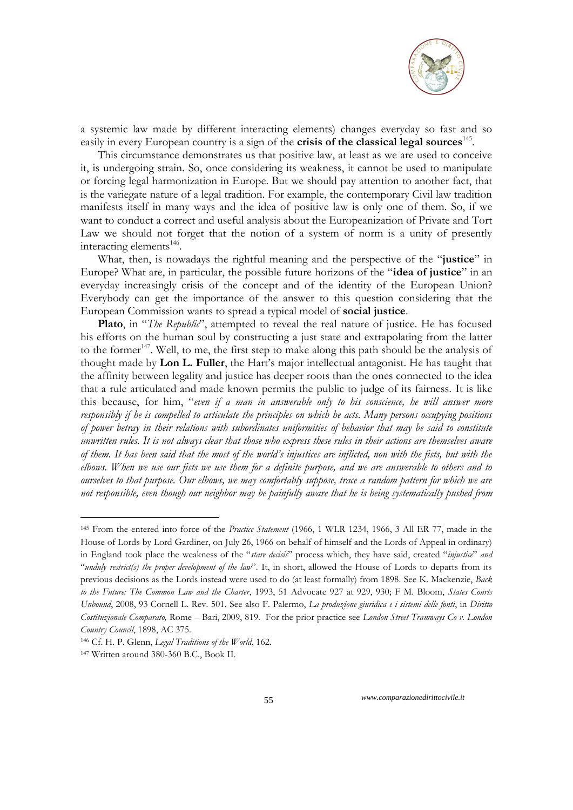

a systemic law made by different interacting elements) changes everyday so fast and so easily in every European country is a sign of the **crisis of the classical legal sources**<sup>145</sup>.

This circumstance demonstrates us that positive law, at least as we are used to conceive it, is undergoing strain. So, once considering its weakness, it cannot be used to manipulate or forcing legal harmonization in Europe. But we should pay attention to another fact, that is the variegate nature of a legal tradition. For example, the contemporary Civil law tradition manifests itself in many ways and the idea of positive law is only one of them. So, if we want to conduct a correct and useful analysis about the Europeanization of Private and Tort Law we should not forget that the notion of a system of norm is a unity of presently interacting elements<sup>146</sup>.

What, then, is nowadays the rightful meaning and the perspective of the "**justice**" in Europe? What are, in particular, the possible future horizons of the "**idea of justice**" in an everyday increasingly crisis of the concept and of the identity of the European Union? Everybody can get the importance of the answer to this question considering that the European Commission wants to spread a typical model of **social justice**.

**Plato**, in "*The Republic*", attempted to reveal the real nature of justice. He has focused his efforts on the human soul by constructing a just state and extrapolating from the latter to the former<sup>147</sup>. Well, to me, the first step to make along this path should be the analysis of thought made by **Lon L. Fuller**, the Hart's major intellectual antagonist. He has taught that the affinity between legality and justice has deeper roots than the ones connected to the idea that a rule articulated and made known permits the public to judge of its fairness*.* It is like this because, for him, "*even if a man in answerable only to his conscience, he will answer more responsibly if he is compelled to articulate the principles on which he acts. Many persons occupying positions of power betray in their relations with subordinates uniformities of behavior that may be said to constitute unwritten rules. It is not always clear that those who express these rules in their actions are themselves aware of them. It has been said that the most of the world"s injustices are inflicted, non with the fists, but with the elbows. When we use our fists we use them for a definite purpose, and we are answerable to others and to ourselves to that purpose. Our elbows, we may comfortably suppose, trace a random pattern for which we are not responsible, even though our neighbor may be painfully aware that he is being systematically pushed from* 

-

<sup>145</sup> From the entered into force of the *Practice Statement* (1966, 1 WLR 1234, 1966, 3 All ER 77, made in the [House of Lords](http://en.wikipedia.org/wiki/House_of_Lords) by [Lord Gardiner,](http://en.wikipedia.org/wiki/Gerald_Gardiner,_Baron_Gardiner) on July 26, 1966 on behalf of himself and the Lords of Appeal in ordinary) in England took place the weakness of the "*stare decisis*" process which, they have said, created "*injustice*" *and*  "*unduly restrict(s) the proper development of the law*". It, in short, allowed the House of Lords to departs from its previous decisions as the Lords instead were used to do (at least formally) from 1898. See K. Mackenzie, *Back to the Future: The Common Law and the Charter*, 1993, 51 Advocate 927 at 929, 930; F M. Bloom, *States Courts Unbound*, 2008, 93 Cornell L. Rev. 501. See also F. Palermo, *La produzione giuridica e i sistemi delle fonti*, in *Diritto Costituzionale Comparato,* Rome – Bari, 2009, 819. For the prior practice see *London Street Tramways Co v. London Country Council*, 1898, AC 375.

<sup>146</sup> Cf. H. P. Glenn, *Legal Traditions of the World*, 162.

<sup>147</sup> Written around 380-360 B.C., Book II.